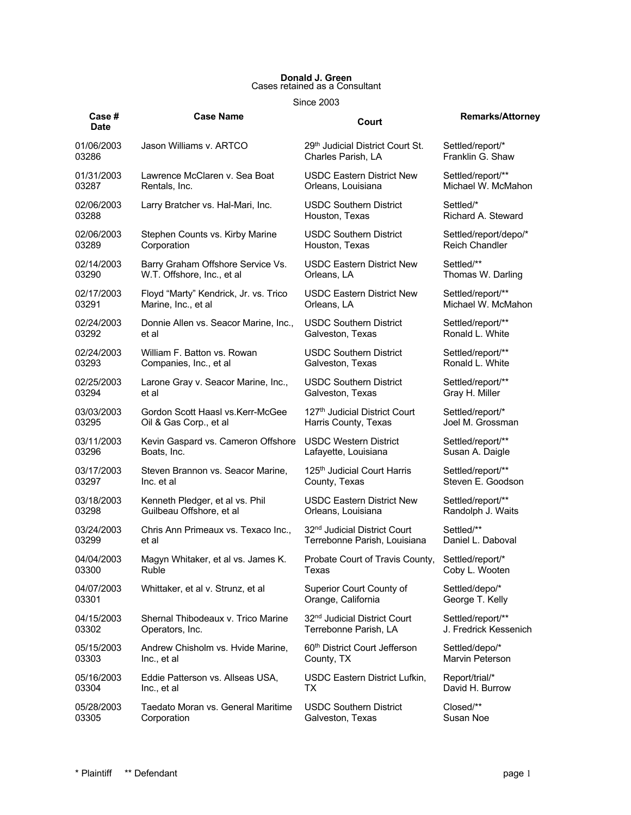## **Donald J. Green** Cases retained as a Consultant

Since 2003

| Case #<br><b>Date</b> | <b>Case Name</b>                      | Court                                     | <b>Remarks/Attorney</b> |
|-----------------------|---------------------------------------|-------------------------------------------|-------------------------|
| 01/06/2003            | Jason Williams v. ARTCO               | 29th Judicial District Court St.          | Settled/report/*        |
| 03286                 |                                       | Charles Parish, LA                        | Franklin G. Shaw        |
| 01/31/2003            | Lawrence McClaren v. Sea Boat         | <b>USDC Eastern District New</b>          | Settled/report/**       |
| 03287                 | Rentals, Inc.                         | Orleans, Louisiana                        | Michael W. McMahon      |
| 02/06/2003            | Larry Bratcher vs. Hal-Mari, Inc.     | <b>USDC Southern District</b>             | Settled/*               |
| 03288                 |                                       | Houston, Texas                            | Richard A. Steward      |
| 02/06/2003            | Stephen Counts vs. Kirby Marine       | <b>USDC Southern District</b>             | Settled/report/depo/*   |
| 03289                 | Corporation                           | Houston, Texas                            | <b>Reich Chandler</b>   |
| 02/14/2003            | Barry Graham Offshore Service Vs.     | <b>USDC Eastern District New</b>          | Settled/**              |
| 03290                 | W.T. Offshore, Inc., et al            | Orleans, LA                               | Thomas W. Darling       |
| 02/17/2003            | Floyd "Marty" Kendrick, Jr. vs. Trico | <b>USDC Eastern District New</b>          | Settled/report/**       |
| 03291                 | Marine, Inc., et al                   | Orleans, LA                               | Michael W. McMahon      |
| 02/24/2003            | Donnie Allen vs. Seacor Marine, Inc., | <b>USDC Southern District</b>             | Settled/report/**       |
| 03292                 | et al                                 | Galveston, Texas                          | Ronald L. White         |
| 02/24/2003            | William F. Batton vs. Rowan           | <b>USDC Southern District</b>             | Settled/report/**       |
| 03293                 | Companies, Inc., et al                | Galveston, Texas                          | Ronald L. White         |
| 02/25/2003            | Larone Gray v. Seacor Marine, Inc.,   | <b>USDC Southern District</b>             | Settled/report/**       |
| 03294                 | et al                                 | Galveston, Texas                          | Gray H. Miller          |
| 03/03/2003            | Gordon Scott Haasl vs. Kerr-McGee     | 127 <sup>th</sup> Judicial District Court | Settled/report/*        |
| 03295                 | Oil & Gas Corp., et al                | Harris County, Texas                      | Joel M. Grossman        |
| 03/11/2003            | Kevin Gaspard vs. Cameron Offshore    | USDC Western District                     | Settled/report/**       |
| 03296                 | Boats, Inc.                           | Lafayette, Louisiana                      | Susan A. Daigle         |
| 03/17/2003            | Steven Brannon vs. Seacor Marine,     | 125 <sup>th</sup> Judicial Court Harris   | Settled/report/**       |
| 03297                 | Inc. et al                            | County, Texas                             | Steven E. Goodson       |
| 03/18/2003            | Kenneth Pledger, et al vs. Phil       | <b>USDC Eastern District New</b>          | Settled/report/**       |
| 03298                 | Guilbeau Offshore, et al              | Orleans, Louisiana                        | Randolph J. Waits       |
| 03/24/2003            | Chris Ann Primeaux vs. Texaco Inc.,   | 32 <sup>nd</sup> Judicial District Court  | Settled/**              |
| 03299                 | et al                                 | Terrebonne Parish, Louisiana              | Daniel L. Daboval       |
| 04/04/2003            | Magyn Whitaker, et al vs. James K.    | Probate Court of Travis County,           | Settled/report/*        |
| 03300                 | Ruble                                 | Texas                                     | Coby L. Wooten          |
| 04/07/2003            | Whittaker, et al v. Strunz, et al     | Superior Court County of                  | Settled/depo/*          |
| 03301                 |                                       | Orange, California                        | George T. Kelly         |
| 04/15/2003            | Shernal Thibodeaux v. Trico Marine    | 32 <sup>nd</sup> Judicial District Court  | Settled/report/**       |
| 03302                 | Operators, Inc.                       | Terrebonne Parish, LA                     | J. Fredrick Kessenich   |
| 05/15/2003            | Andrew Chisholm vs. Hvide Marine,     | 60 <sup>th</sup> District Court Jefferson | Settled/depo/*          |
| 03303                 | Inc., et al                           | County, TX                                | Marvin Peterson         |
| 05/16/2003            | Eddie Patterson vs. Allseas USA,      | USDC Eastern District Lufkin,             | Report/trial/*          |
| 03304                 | Inc., et al                           | ТX                                        | David H. Burrow         |
| 05/28/2003            | Taedato Moran vs. General Maritime    | <b>USDC Southern District</b>             | Closed/**               |
| 03305                 | Corporation                           | Galveston, Texas                          | Susan Noe               |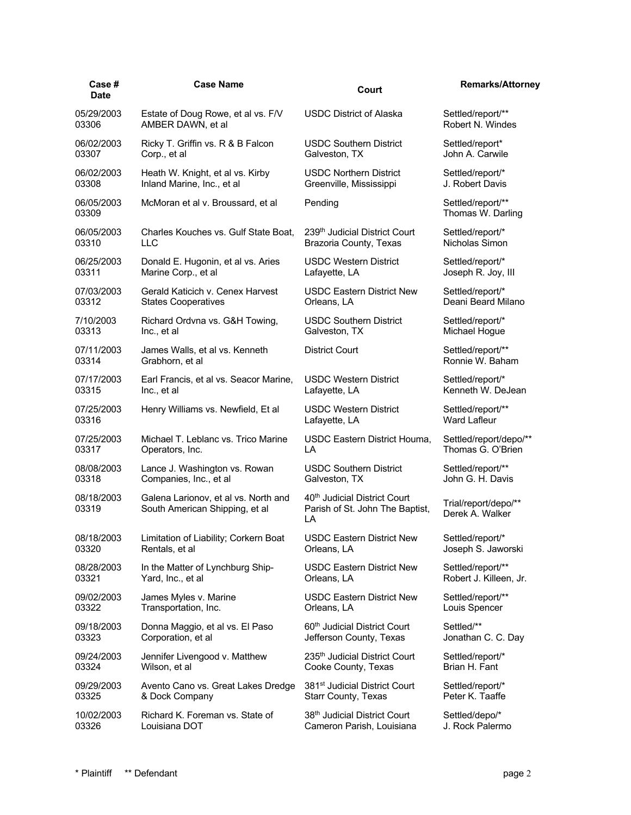| Case#<br><b>Date</b> | <b>Case Name</b>                                                       | Court                                                                             | <b>Remarks/Attorney</b>                 |
|----------------------|------------------------------------------------------------------------|-----------------------------------------------------------------------------------|-----------------------------------------|
| 05/29/2003           | Estate of Doug Rowe, et al vs. F/V                                     | <b>USDC District of Alaska</b>                                                    | Settled/report/**                       |
| 03306                | AMBER DAWN, et al                                                      |                                                                                   | Robert N. Windes                        |
| 06/02/2003           | Ricky T. Griffin vs. R & B Falcon                                      | <b>USDC Southern District</b>                                                     | Settled/report*                         |
| 03307                | Corp., et al                                                           | Galveston, TX                                                                     | John A. Carwile                         |
| 06/02/2003           | Heath W. Knight, et al vs. Kirby                                       | <b>USDC Northern District</b>                                                     | Settled/report/*                        |
| 03308                | Inland Marine, Inc., et al                                             | Greenville, Mississippi                                                           | J. Robert Davis                         |
| 06/05/2003<br>03309  | McMoran et al v. Broussard, et al                                      | Pending                                                                           | Settled/report/**<br>Thomas W. Darling  |
| 06/05/2003           | Charles Kouches vs. Gulf State Boat.                                   | 239th Judicial District Court                                                     | Settled/report/*                        |
| 03310                | <b>LLC</b>                                                             | Brazoria County, Texas                                                            | Nicholas Simon                          |
| 06/25/2003           | Donald E. Hugonin, et al vs. Aries                                     | <b>USDC Western District</b>                                                      | Settled/report/*                        |
| 03311                | Marine Corp., et al                                                    | Lafayette, LA                                                                     | Joseph R. Joy, III                      |
| 07/03/2003           | Gerald Katicich v. Cenex Harvest                                       | <b>USDC Eastern District New</b>                                                  | Settled/report/*                        |
| 03312                | <b>States Cooperatives</b>                                             | Orleans, LA                                                                       | Deani Beard Milano                      |
| 7/10/2003            | Richard Ordvna vs. G&H Towing,                                         | <b>USDC Southern District</b>                                                     | Settled/report/*                        |
| 03313                | Inc., et al                                                            | Galveston, TX                                                                     | Michael Hogue                           |
| 07/11/2003           | James Walls, et al vs. Kenneth                                         | <b>District Court</b>                                                             | Settled/report/**                       |
| 03314                | Grabhorn, et al                                                        |                                                                                   | Ronnie W. Baham                         |
| 07/17/2003           | Earl Francis, et al vs. Seacor Marine,                                 | <b>USDC Western District</b>                                                      | Settled/report/*                        |
| 03315                | Inc., et al                                                            | Lafayette, LA                                                                     | Kenneth W. DeJean                       |
| 07/25/2003           | Henry Williams vs. Newfield, Et al                                     | <b>USDC Western District</b>                                                      | Settled/report/**                       |
| 03316                |                                                                        | Lafayette, LA                                                                     | <b>Ward Lafleur</b>                     |
| 07/25/2003           | Michael T. Leblanc vs. Trico Marine                                    | USDC Eastern District Houma,                                                      | Settled/report/depo/**                  |
| 03317                | Operators, Inc.                                                        | LA                                                                                | Thomas G. O'Brien                       |
| 08/08/2003           | Lance J. Washington vs. Rowan                                          | <b>USDC Southern District</b>                                                     | Settled/report/**                       |
| 03318                | Companies, Inc., et al                                                 | Galveston, TX                                                                     | John G. H. Davis                        |
| 08/18/2003<br>03319  | Galena Larionov, et al vs. North and<br>South American Shipping, et al | 40 <sup>th</sup> Judicial District Court<br>Parish of St. John The Baptist,<br>LA | Trial/report/depo/**<br>Derek A. Walker |
| 08/18/2003           | Limitation of Liability; Corkern Boat                                  | <b>USDC Eastern District New</b>                                                  | Settled/report/*                        |
| 03320                | Rentals, et al                                                         | Orleans, LA                                                                       | Joseph S. Jaworski                      |
| 08/28/2003           | In the Matter of Lynchburg Ship-                                       | <b>USDC Eastern District New</b>                                                  | Settled/report/**                       |
| 03321                | Yard, Inc., et al                                                      | Orleans, LA                                                                       | Robert J. Killeen, Jr.                  |
| 09/02/2003           | James Myles v. Marine                                                  | <b>USDC Eastern District New</b>                                                  | Settled/report/**                       |
| 03322                | Transportation, Inc.                                                   | Orleans, LA                                                                       | Louis Spencer                           |
| 09/18/2003           | Donna Maggio, et al vs. El Paso                                        | 60 <sup>th</sup> Judicial District Court                                          | Settled/**                              |
| 03323                | Corporation, et al                                                     | Jefferson County, Texas                                                           | Jonathan C. C. Day                      |
| 09/24/2003           | Jennifer Livengood v. Matthew                                          | 235th Judicial District Court                                                     | Settled/report/*                        |
| 03324                | Wilson, et al                                                          | Cooke County, Texas                                                               | Brian H. Fant                           |
| 09/29/2003           | Avento Cano vs. Great Lakes Dredge                                     | 381 <sup>st</sup> Judicial District Court                                         | Settled/report/*                        |
| 03325                | & Dock Company                                                         | <b>Starr County, Texas</b>                                                        | Peter K. Taaffe                         |
| 10/02/2003           | Richard K. Foreman vs. State of                                        | 38th Judicial District Court                                                      | Settled/depo/*                          |
| 03326                | Louisiana DOT                                                          | Cameron Parish, Louisiana                                                         | J. Rock Palermo                         |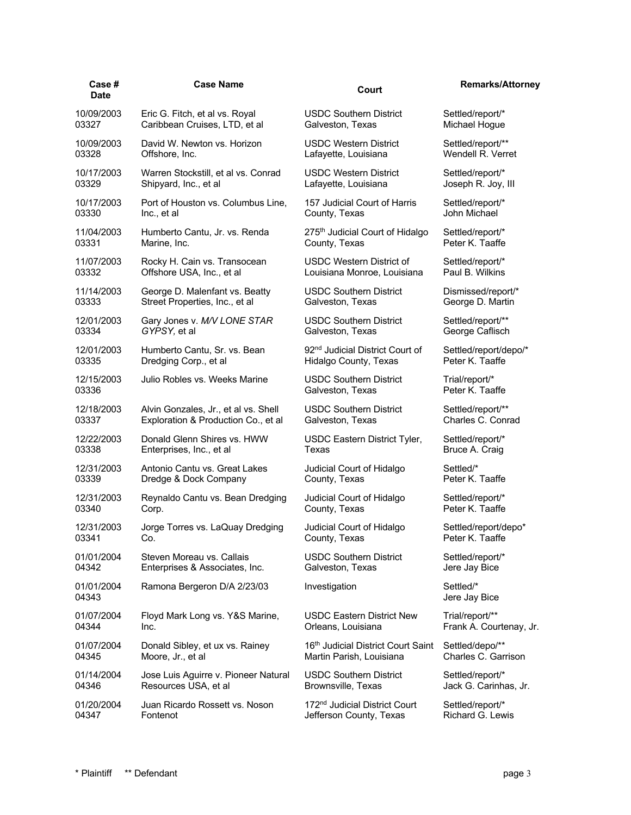| Case#<br><b>Date</b> | <b>Case Name</b>                     | Court                                       | <b>Remarks/Attorney</b>    |
|----------------------|--------------------------------------|---------------------------------------------|----------------------------|
| 10/09/2003           | Eric G. Fitch, et al vs. Royal       | <b>USDC Southern District</b>               | Settled/report/*           |
| 03327                | Caribbean Cruises, LTD, et al        | Galveston, Texas                            | Michael Hogue              |
| 10/09/2003           | David W. Newton vs. Horizon          | <b>USDC Western District</b>                | Settled/report/**          |
| 03328                | Offshore, Inc.                       | Lafayette, Louisiana                        | Wendell R. Verret          |
| 10/17/2003           | Warren Stockstill, et al vs. Conrad  | <b>USDC Western District</b>                | Settled/report/*           |
| 03329                | Shipyard, Inc., et al                | Lafayette, Louisiana                        | Joseph R. Joy, III         |
| 10/17/2003           | Port of Houston vs. Columbus Line,   | 157 Judicial Court of Harris                | Settled/report/*           |
| 03330                | Inc., et al                          | County, Texas                               | John Michael               |
| 11/04/2003           | Humberto Cantu, Jr. vs. Renda        | 275 <sup>th</sup> Judicial Court of Hidalgo | Settled/report/*           |
| 03331                | Marine, Inc.                         | County, Texas                               | Peter K. Taaffe            |
| 11/07/2003           | Rocky H. Cain vs. Transocean         | USDC Western District of                    | Settled/report/*           |
| 03332                | Offshore USA, Inc., et al            | Louisiana Monroe, Louisiana                 | Paul B. Wilkins            |
| 11/14/2003           | George D. Malenfant vs. Beatty       | <b>USDC Southern District</b>               | Dismissed/report/*         |
| 03333                | Street Properties, Inc., et al       | Galveston, Texas                            | George D. Martin           |
| 12/01/2003           | Gary Jones v. M/V LONE STAR          | <b>USDC Southern District</b>               | Settled/report/**          |
| 03334                | GYPSY, et al                         | Galveston, Texas                            | George Caflisch            |
| 12/01/2003           | Humberto Cantu, Sr. vs. Bean         | 92 <sup>nd</sup> Judicial District Court of | Settled/report/depo/*      |
| 03335                | Dredging Corp., et al                | Hidalgo County, Texas                       | Peter K. Taaffe            |
| 12/15/2003           | Julio Robles vs. Weeks Marine        | <b>USDC Southern District</b>               | Trial/report/*             |
| 03336                |                                      | Galveston, Texas                            | Peter K. Taaffe            |
| 12/18/2003           | Alvin Gonzales, Jr., et al vs. Shell | <b>USDC Southern District</b>               | Settled/report/**          |
| 03337                | Exploration & Production Co., et al  | Galveston, Texas                            | Charles C. Conrad          |
| 12/22/2003           | Donald Glenn Shires vs. HWW          | USDC Eastern District Tyler,                | Settled/report/*           |
| 03338                | Enterprises, Inc., et al             | Texas                                       | Bruce A. Craig             |
| 12/31/2003           | Antonio Cantu vs. Great Lakes        | Judicial Court of Hidalgo                   | Settled/*                  |
| 03339                | Dredge & Dock Company                | County, Texas                               | Peter K. Taaffe            |
| 12/31/2003           | Reynaldo Cantu vs. Bean Dredging     | Judicial Court of Hidalgo                   | Settled/report/*           |
| 03340                | Corp.                                | County, Texas                               | Peter K. Taaffe            |
| 12/31/2003           | Jorge Torres vs. LaQuay Dredging     | Judicial Court of Hidalgo                   | Settled/report/depo*       |
| 03341                | Co.                                  | County, Texas                               | Peter K. Taaffe            |
| 01/01/2004           | Steven Moreau vs. Callais            | <b>USDC Southern District</b>               | Settled/report/*           |
| 04342                | Enterprises & Associates, Inc.       | Galveston, Texas                            | Jere Jay Bice              |
| 01/01/2004<br>04343  | Ramona Bergeron D/A 2/23/03          | Investigation                               | Settled/*<br>Jere Jay Bice |
| 01/07/2004           | Floyd Mark Long vs. Y&S Marine,      | <b>USDC Eastern District New</b>            | Trial/report/**            |
| 04344                | Inc.                                 | Orleans, Louisiana                          | Frank A. Courtenay, Jr.    |
| 01/07/2004           | Donald Sibley, et ux vs. Rainey      | 16th Judicial District Court Saint          | Settled/depo/**            |
| 04345                | Moore, Jr., et al                    | Martin Parish, Louisiana                    | Charles C. Garrison        |
| 01/14/2004           | Jose Luis Aguirre v. Pioneer Natural | <b>USDC Southern District</b>               | Settled/report/*           |
| 04346                | Resources USA, et al                 | Brownsville, Texas                          | Jack G. Carinhas, Jr.      |
| 01/20/2004           | Juan Ricardo Rossett vs. Noson       | 172nd Judicial District Court               | Settled/report/*           |
| 04347                | Fontenot                             | Jefferson County, Texas                     | Richard G. Lewis           |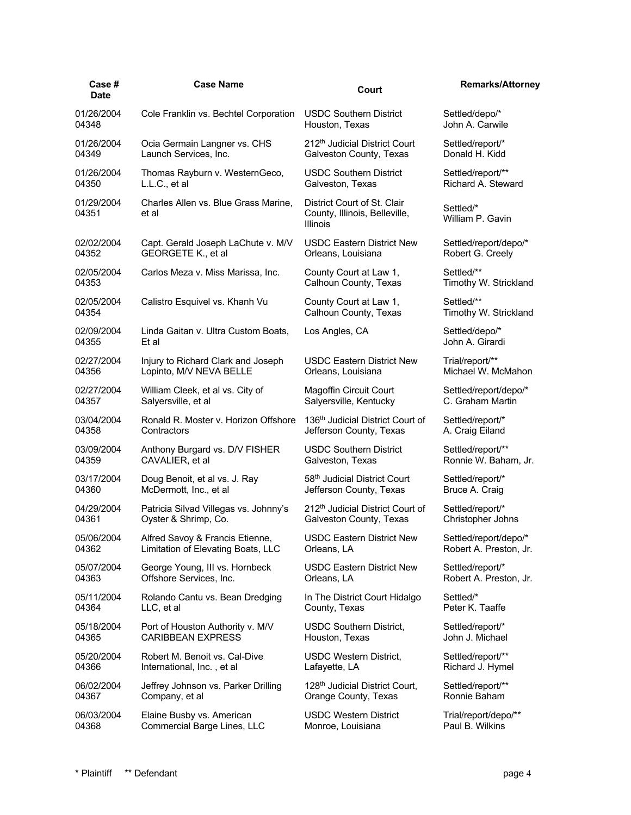| <b>Case Name</b>                              | Court                                                                           | <b>Remarks/Attorney</b>             |
|-----------------------------------------------|---------------------------------------------------------------------------------|-------------------------------------|
| Cole Franklin vs. Bechtel Corporation         | <b>USDC Southern District</b><br>Houston, Texas                                 | Settled/depo/*<br>John A. Carwile   |
| Ocia Germain Langner vs. CHS                  | 212 <sup>th</sup> Judicial District Court                                       | Settled/report/*                    |
| Launch Services, Inc.                         | Galveston County, Texas                                                         | Donald H. Kidd                      |
| Thomas Rayburn v. WesternGeco,                | <b>USDC Southern District</b>                                                   | Settled/report/**                   |
| L.L.C., et al                                 | Galveston, Texas                                                                | Richard A. Steward                  |
| Charles Allen vs. Blue Grass Marine,<br>et al | District Court of St. Clair<br>County, Illinois, Belleville,<br><b>Illinois</b> | Settled/*<br>William P. Gavin       |
| Capt. Gerald Joseph LaChute v. M/V            | <b>USDC Eastern District New</b>                                                | Settled/report/depo/*               |
| GEORGETE K., et al                            | Orleans, Louisiana                                                              | Robert G. Creely                    |
| Carlos Meza v. Miss Marissa, Inc.             | County Court at Law 1,<br>Calhoun County, Texas                                 | Settled/**<br>Timothy W. Strickland |
| Calistro Esquivel vs. Khanh Vu                | County Court at Law 1,<br>Calhoun County, Texas                                 | Settled/**<br>Timothy W. Strickland |
| Linda Gaitan v. Ultra Custom Boats,<br>Et al  | Los Angles, CA                                                                  | Settled/depo/*<br>John A. Girardi   |
| Injury to Richard Clark and Joseph            | <b>USDC Eastern District New</b>                                                | Trial/report/**                     |
| Lopinto, M/V NEVA BELLE                       | Orleans, Louisiana                                                              | Michael W. McMahon                  |
| William Cleek, et al vs. City of              | <b>Magoffin Circuit Court</b>                                                   | Settled/report/depo/*               |
| Salyersville, et al                           | Salyersville, Kentucky                                                          | C. Graham Martin                    |
| Ronald R. Moster v. Horizon Offshore          | 136 <sup>th</sup> Judicial District Court of                                    | Settled/report/*                    |
| Contractors                                   | Jefferson County, Texas                                                         | A. Craig Eiland                     |
| Anthony Burgard vs. D/V FISHER                | <b>USDC Southern District</b>                                                   | Settled/report/**                   |
| CAVALIER, et al                               | Galveston, Texas                                                                | Ronnie W. Baham, Jr.                |
| Doug Benoit, et al vs. J. Ray                 | 58th Judicial District Court                                                    | Settled/report/*                    |
| McDermott, Inc., et al                        | Jefferson County, Texas                                                         | Bruce A. Craig                      |
| Patricia Silvad Villegas vs. Johnny's         | 212 <sup>th</sup> Judicial District Court of                                    | Settled/report/*                    |
| Oyster & Shrimp, Co.                          | Galveston County, Texas                                                         | Christopher Johns                   |
| Alfred Savoy & Francis Etienne,               | <b>USDC Eastern District New</b>                                                | Settled/report/depo/*               |
| Limitation of Elevating Boats, LLC            | Orleans, LA                                                                     | Robert A. Preston, Jr.              |
| George Young, III vs. Hornbeck                | <b>USDC Eastern District New</b>                                                | Settled/report/*                    |
| Offshore Services, Inc.                       | Orleans, LA                                                                     | Robert A. Preston, Jr.              |
| Rolando Cantu vs. Bean Dredging               | In The District Court Hidalgo                                                   | Settled/*                           |
| LLC, et al                                    | County, Texas                                                                   | Peter K. Taaffe                     |
| Port of Houston Authority v. M/V              | <b>USDC Southern District,</b>                                                  | Settled/report/*                    |
| <b>CARIBBEAN EXPRESS</b>                      | Houston, Texas                                                                  | John J. Michael                     |
| Robert M. Benoit vs. Cal-Dive                 | <b>USDC Western District,</b>                                                   | Settled/report/**                   |
| International, Inc., et al                    | Lafayette, LA                                                                   | Richard J. Hymel                    |
| Jeffrey Johnson vs. Parker Drilling           | 128 <sup>th</sup> Judicial District Court,                                      | Settled/report/**                   |
| Company, et al                                | Orange County, Texas                                                            | Ronnie Baham                        |
| Elaine Busby vs. American                     | <b>USDC Western District</b>                                                    | Trial/report/depo/**                |
| Commercial Barge Lines, LLC                   | Monroe, Louisiana                                                               | Paul B. Wilkins                     |
|                                               |                                                                                 |                                     |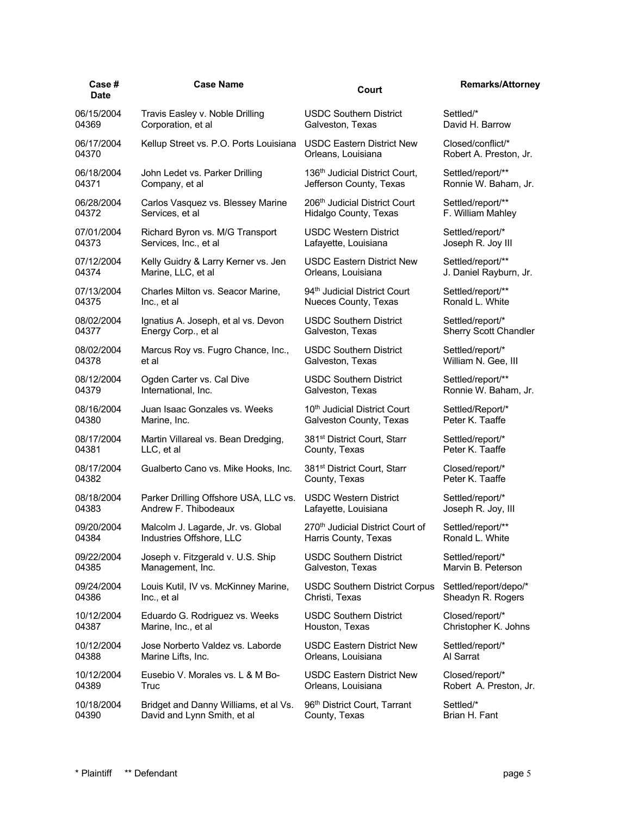| Case #<br><b>Date</b> | <b>Case Name</b>                       | Court                                      | <b>Remarks/Attorney</b> |
|-----------------------|----------------------------------------|--------------------------------------------|-------------------------|
| 06/15/2004            | Travis Easley v. Noble Drilling        | <b>USDC Southern District</b>              | Settled/*               |
| 04369                 | Corporation, et al                     | Galveston, Texas                           | David H. Barrow         |
| 06/17/2004            | Kellup Street vs. P.O. Ports Louisiana | <b>USDC Eastern District New</b>           | Closed/conflict/*       |
| 04370                 |                                        | Orleans, Louisiana                         | Robert A. Preston, Jr.  |
| 06/18/2004            | John Ledet vs. Parker Drilling         | 136 <sup>th</sup> Judicial District Court, | Settled/report/**       |
| 04371                 | Company, et al                         | Jefferson County, Texas                    | Ronnie W. Baham, Jr.    |
| 06/28/2004            | Carlos Vasquez vs. Blessey Marine      | 206 <sup>th</sup> Judicial District Court  | Settled/report/**       |
| 04372                 | Services, et al                        | Hidalgo County, Texas                      | F. William Mahley       |
| 07/01/2004            | Richard Byron vs. M/G Transport        | <b>USDC Western District</b>               | Settled/report/*        |
| 04373                 | Services, Inc., et al                  | Lafayette, Louisiana                       | Joseph R. Joy III       |
| 07/12/2004            | Kelly Guidry & Larry Kerner vs. Jen    | <b>USDC Eastern District New</b>           | Settled/report/**       |
| 04374                 | Marine, LLC, et al                     | Orleans, Louisiana                         | J. Daniel Rayburn, Jr.  |
| 07/13/2004            | Charles Milton vs. Seacor Marine,      | 94 <sup>th</sup> Judicial District Court   | Settled/report/**       |
| 04375                 | Inc., et al                            | Nueces County, Texas                       | Ronald L. White         |
| 08/02/2004            | Ignatius A. Joseph, et al vs. Devon    | <b>USDC Southern District</b>              | Settled/report/*        |
| 04377                 | Energy Corp., et al                    | Galveston, Texas                           | Sherry Scott Chandler   |
| 08/02/2004            | Marcus Roy vs. Fugro Chance, Inc.,     | <b>USDC Southern District</b>              | Settled/report/*        |
| 04378                 | et al                                  | Galveston, Texas                           | William N. Gee, III     |
| 08/12/2004            | Ogden Carter vs. Cal Dive              | <b>USDC Southern District</b>              | Settled/report/**       |
| 04379                 | International, Inc.                    | Galveston, Texas                           | Ronnie W. Baham, Jr.    |
| 08/16/2004            | Juan Isaac Gonzales vs. Weeks          | 10 <sup>th</sup> Judicial District Court   | Settled/Report/*        |
| 04380                 | Marine, Inc.                           | Galveston County, Texas                    | Peter K. Taaffe         |
| 08/17/2004            | Martin Villareal vs. Bean Dredging,    | 381 <sup>st</sup> District Court, Starr    | Settled/report/*        |
| 04381                 | LLC, et al                             | County, Texas                              | Peter K. Taaffe         |
| 08/17/2004            | Gualberto Cano vs. Mike Hooks, Inc.    | 381 <sup>st</sup> District Court, Starr    | Closed/report/*         |
| 04382                 |                                        | County, Texas                              | Peter K. Taaffe         |
| 08/18/2004            | Parker Drilling Offshore USA, LLC vs.  | <b>USDC Western District</b>               | Settled/report/*        |
| 04383                 | Andrew F. Thibodeaux                   | Lafayette, Louisiana                       | Joseph R. Joy, III      |
| 09/20/2004            | Malcolm J. Lagarde, Jr. vs. Global     | 270th Judicial District Court of           | Settled/report/**       |
| 04384                 | Industries Offshore, LLC               | Harris County, Texas                       | Ronald L. White         |
| 09/22/2004            | Joseph v. Fitzgerald v. U.S. Ship      | <b>USDC Southern District</b>              | Settled/report/*        |
| 04385                 | Management, Inc.                       | Galveston, Texas                           | Marvin B. Peterson      |
| 09/24/2004            | Louis Kutil, IV vs. McKinney Marine,   | <b>USDC Southern District Corpus</b>       | Settled/report/depo/*   |
| 04386                 | Inc., et al                            | Christi, Texas                             | Sheadyn R. Rogers       |
| 10/12/2004            | Eduardo G. Rodriguez vs. Weeks         | <b>USDC Southern District</b>              | Closed/report/*         |
| 04387                 | Marine, Inc., et al                    | Houston, Texas                             | Christopher K. Johns    |
| 10/12/2004            | Jose Norberto Valdez vs. Laborde       | <b>USDC Eastern District New</b>           | Settled/report/*        |
| 04388                 | Marine Lifts, Inc.                     | Orleans, Louisiana                         | Al Sarrat               |
| 10/12/2004            | Eusebio V. Morales vs. L & M Bo-       | <b>USDC Eastern District New</b>           | Closed/report/*         |
| 04389                 | Truc                                   | Orleans, Louisiana                         | Robert A. Preston, Jr.  |
| 10/18/2004            | Bridget and Danny Williams, et al Vs.  | 96 <sup>th</sup> District Court, Tarrant   | Settled/*               |
| 04390                 | David and Lynn Smith, et al            | County, Texas                              | Brian H. Fant           |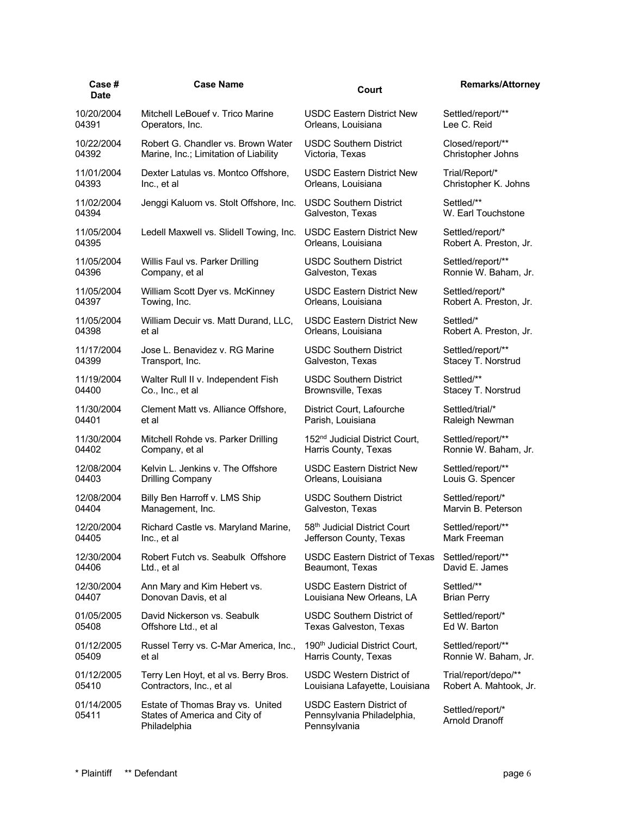| Case #<br><b>Date</b> | <b>Case Name</b>                                                                  | Court                                                                         | <b>Remarks/Attorney</b>            |
|-----------------------|-----------------------------------------------------------------------------------|-------------------------------------------------------------------------------|------------------------------------|
| 10/20/2004            | Mitchell LeBouef v. Trico Marine                                                  | USDC Eastern District New                                                     | Settled/report/**                  |
| 04391                 | Operators, Inc.                                                                   | Orleans, Louisiana                                                            | Lee C. Reid                        |
| 10/22/2004            | Robert G. Chandler vs. Brown Water                                                | <b>USDC Southern District</b>                                                 | Closed/report/**                   |
| 04392                 | Marine, Inc.; Limitation of Liability                                             | Victoria, Texas                                                               | Christopher Johns                  |
| 11/01/2004            | Dexter Latulas vs. Montco Offshore,                                               | USDC Eastern District New                                                     | Trial/Report/*                     |
| 04393                 | Inc., et al                                                                       | Orleans, Louisiana                                                            | Christopher K. Johns               |
| 11/02/2004            | Jenggi Kaluom vs. Stolt Offshore, Inc.                                            | <b>USDC Southern District</b>                                                 | Settled/**                         |
| 04394                 |                                                                                   | Galveston, Texas                                                              | W. Earl Touchstone                 |
| 11/05/2004            | Ledell Maxwell vs. Slidell Towing, Inc.                                           | <b>USDC Eastern District New</b>                                              | Settled/report/*                   |
| 04395                 |                                                                                   | Orleans, Louisiana                                                            | Robert A. Preston, Jr.             |
| 11/05/2004            | Willis Faul vs. Parker Drilling                                                   | <b>USDC Southern District</b>                                                 | Settled/report/**                  |
| 04396                 | Company, et al                                                                    | Galveston, Texas                                                              | Ronnie W. Baham, Jr.               |
| 11/05/2004            | William Scott Dyer vs. McKinney                                                   | <b>USDC Eastern District New</b>                                              | Settled/report/*                   |
| 04397                 | Towing, Inc.                                                                      | Orleans, Louisiana                                                            | Robert A. Preston, Jr.             |
| 11/05/2004            | William Decuir vs. Matt Durand, LLC,                                              | <b>USDC Eastern District New</b>                                              | Settled/*                          |
| 04398                 | et al                                                                             | Orleans, Louisiana                                                            | Robert A. Preston, Jr.             |
| 11/17/2004            | Jose L. Benavidez v. RG Marine                                                    | <b>USDC Southern District</b>                                                 | Settled/report/**                  |
| 04399                 | Transport, Inc.                                                                   | Galveston, Texas                                                              | Stacey T. Norstrud                 |
| 11/19/2004            | Walter Rull II v. Independent Fish                                                | <b>USDC Southern District</b>                                                 | Settled/**                         |
| 04400                 | Co., Inc., et al                                                                  | Brownsville, Texas                                                            | Stacey T. Norstrud                 |
| 11/30/2004            | Clement Matt vs. Alliance Offshore,                                               | District Court, Lafourche                                                     | Settled/trial/*                    |
| 04401                 | et al                                                                             | Parish, Louisiana                                                             | Raleigh Newman                     |
| 11/30/2004            | Mitchell Rohde vs. Parker Drilling                                                | 152 <sup>nd</sup> Judicial District Court,                                    | Settled/report/**                  |
| 04402                 | Company, et al                                                                    | Harris County, Texas                                                          | Ronnie W. Baham, Jr.               |
| 12/08/2004            | Kelvin L. Jenkins v. The Offshore                                                 | USDC Eastern District New                                                     | Settled/report/**                  |
| 04403                 | Drilling Company                                                                  | Orleans, Louisiana                                                            | Louis G. Spencer                   |
| 12/08/2004            | Billy Ben Harroff v. LMS Ship                                                     | <b>USDC Southern District</b>                                                 | Settled/report/*                   |
| 04404                 | Management, Inc.                                                                  | Galveston, Texas                                                              | Marvin B. Peterson                 |
| 12/20/2004            | Richard Castle vs. Maryland Marine,                                               | 58th Judicial District Court                                                  | Settled/report/**                  |
| 04405                 | Inc., et al                                                                       | Jefferson County, Texas                                                       | Mark Freeman                       |
| 12/30/2004            | Robert Futch vs. Seabulk Offshore                                                 | <b>USDC Eastern District of Texas</b>                                         | Settled/report/**                  |
| 04406                 | Ltd., et al                                                                       | Beaumont, Texas                                                               | David E. James                     |
| 12/30/2004            | Ann Mary and Kim Hebert vs.                                                       | <b>USDC Eastern District of</b>                                               | Settled/**                         |
| 04407                 | Donovan Davis, et al                                                              | Louisiana New Orleans, LA                                                     | <b>Brian Perry</b>                 |
| 01/05/2005            | David Nickerson vs. Seabulk                                                       | <b>USDC Southern District of</b>                                              | Settled/report/*                   |
| 05408                 | Offshore Ltd., et al                                                              | Texas Galveston, Texas                                                        | Ed W. Barton                       |
| 01/12/2005            | Russel Terry vs. C-Mar America, Inc.,                                             | 190 <sup>th</sup> Judicial District Court,                                    | Settled/report/**                  |
| 05409                 | et al                                                                             | Harris County, Texas                                                          | Ronnie W. Baham, Jr.               |
| 01/12/2005            | Terry Len Hoyt, et al vs. Berry Bros.                                             | <b>USDC Western District of</b>                                               | Trial/report/depo/**               |
| 05410                 | Contractors, Inc., et al                                                          | Louisiana Lafayette, Louisiana                                                | Robert A. Mahtook, Jr.             |
| 01/14/2005<br>05411   | Estate of Thomas Bray vs. United<br>States of America and City of<br>Philadelphia | <b>USDC Eastern District of</b><br>Pennsylvania Philadelphia,<br>Pennsylvania | Settled/report/*<br>Arnold Dranoff |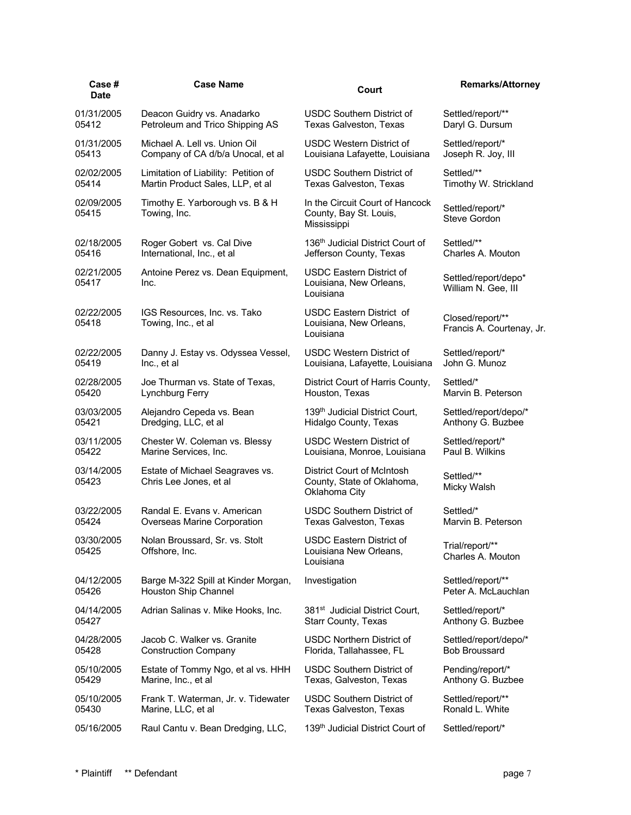| Case #<br><b>Date</b> | <b>Case Name</b>                                          | Court                                                                     | <b>Remarks/Attorney</b>                       |
|-----------------------|-----------------------------------------------------------|---------------------------------------------------------------------------|-----------------------------------------------|
| 01/31/2005            | Deacon Guidry vs. Anadarko                                | <b>USDC Southern District of</b>                                          | Settled/report/**                             |
| 05412                 | Petroleum and Trico Shipping AS                           | Texas Galveston, Texas                                                    | Daryl G. Dursum                               |
| 01/31/2005            | Michael A. Lell vs. Union Oil                             | <b>USDC Western District of</b>                                           | Settled/report/*                              |
| 05413                 | Company of CA d/b/a Unocal, et al                         | Louisiana Lafayette, Louisiana                                            | Joseph R. Joy, III                            |
| 02/02/2005            | Limitation of Liability: Petition of                      | <b>USDC Southern District of</b>                                          | Settled/**                                    |
| 05414                 | Martin Product Sales, LLP, et al                          | <b>Texas Galveston, Texas</b>                                             | Timothy W. Strickland                         |
| 02/09/2005<br>05415   | Timothy E. Yarborough vs. B & H<br>Towing, Inc.           | In the Circuit Court of Hancock<br>County, Bay St. Louis,<br>Mississippi  | Settled/report/*<br>Steve Gordon              |
| 02/18/2005            | Roger Gobert vs. Cal Dive                                 | 136th Judicial District Court of                                          | Settled/**                                    |
| 05416                 | International, Inc., et al                                | Jefferson County, Texas                                                   | Charles A. Mouton                             |
| 02/21/2005<br>05417   | Antoine Perez vs. Dean Equipment,<br>Inc.                 | <b>USDC Eastern District of</b><br>Louisiana, New Orleans,<br>Louisiana   | Settled/report/depo*<br>William N. Gee, III   |
| 02/22/2005<br>05418   | IGS Resources, Inc. vs. Tako<br>Towing, Inc., et al       | <b>USDC Eastern District of</b><br>Louisiana, New Orleans,<br>Louisiana   | Closed/report/**<br>Francis A. Courtenay, Jr. |
| 02/22/2005            | Danny J. Estay vs. Odyssea Vessel,                        | USDC Western District of                                                  | Settled/report/*                              |
| 05419                 | Inc., et al                                               | Louisiana, Lafayette, Louisiana                                           | John G. Munoz                                 |
| 02/28/2005            | Joe Thurman vs. State of Texas,                           | District Court of Harris County,                                          | Settled/*                                     |
| 05420                 | Lynchburg Ferry                                           | Houston, Texas                                                            | Marvin B. Peterson                            |
| 03/03/2005            | Alejandro Cepeda vs. Bean                                 | 139 <sup>th</sup> Judicial District Court,                                | Settled/report/depo/*                         |
| 05421                 | Dredging, LLC, et al                                      | Hidalgo County, Texas                                                     | Anthony G. Buzbee                             |
| 03/11/2005            | Chester W. Coleman vs. Blessy                             | USDC Western District of                                                  | Settled/report/*                              |
| 05422                 | Marine Services, Inc.                                     | Louisiana, Monroe, Louisiana                                              | Paul B. Wilkins                               |
| 03/14/2005<br>05423   | Estate of Michael Seagraves vs.<br>Chris Lee Jones, et al | District Court of McIntosh<br>County, State of Oklahoma,<br>Oklahoma City | Settled/**<br>Micky Walsh                     |
| 03/22/2005            | Randal E. Evans v. American                               | <b>USDC Southern District of</b>                                          | Settled/*                                     |
| 05424                 | Overseas Marine Corporation                               | <b>Texas Galveston, Texas</b>                                             | Marvin B. Peterson                            |
| 03/30/2005<br>05425   | Nolan Broussard, Sr. vs. Stolt<br>Offshore, Inc.          | USDC Eastern District of<br>Louisiana New Orleans,<br>Louisiana           | Trial/report/**<br>Charles A. Mouton          |
| 04/12/2005            | Barge M-322 Spill at Kinder Morgan,                       | Investigation                                                             | Settled/report/**                             |
| 05426                 | Houston Ship Channel                                      |                                                                           | Peter A. McLauchlan                           |
| 04/14/2005            | Adrian Salinas v. Mike Hooks, Inc.                        | 381 <sup>st</sup> Judicial District Court,                                | Settled/report/*                              |
| 05427                 |                                                           | Starr County, Texas                                                       | Anthony G. Buzbee                             |
| 04/28/2005            | Jacob C. Walker vs. Granite                               | <b>USDC Northern District of</b>                                          | Settled/report/depo/*                         |
| 05428                 | <b>Construction Company</b>                               | Florida, Tallahassee, FL                                                  | <b>Bob Broussard</b>                          |
| 05/10/2005            | Estate of Tommy Ngo, et al vs. HHH                        | <b>USDC Southern District of</b>                                          | Pending/report/*                              |
| 05429                 | Marine, Inc., et al                                       | Texas, Galveston, Texas                                                   | Anthony G. Buzbee                             |
| 05/10/2005            | Frank T. Waterman, Jr. v. Tidewater                       | <b>USDC Southern District of</b>                                          | Settled/report/**                             |
| 05430                 | Marine, LLC, et al                                        | Texas Galveston, Texas                                                    | Ronald L. White                               |
| 05/16/2005            | Raul Cantu v. Bean Dredging, LLC,                         | 139 <sup>th</sup> Judicial District Court of                              | Settled/report/*                              |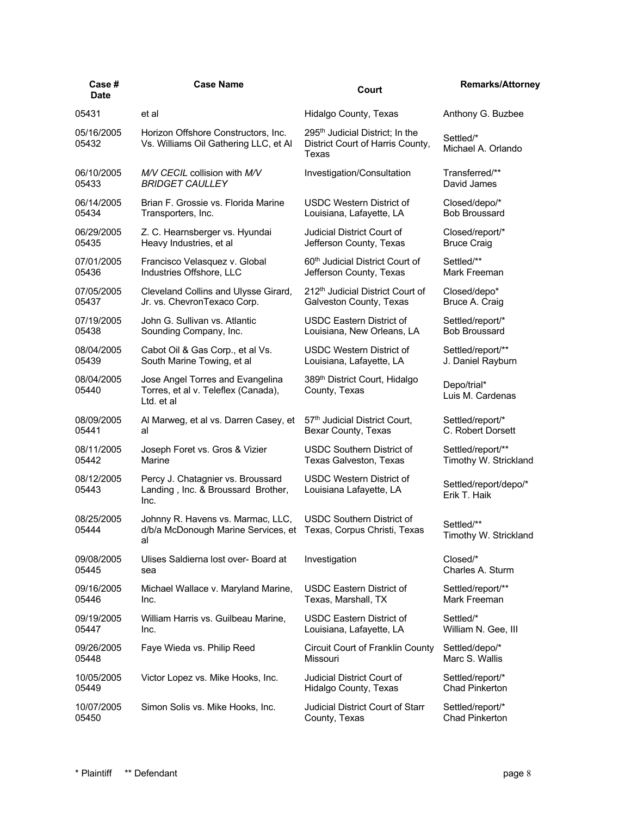| Case #<br>Date      | <b>Case Name</b>                                                                      | Court                                                                                    | <b>Remarks/Attorney</b>               |
|---------------------|---------------------------------------------------------------------------------------|------------------------------------------------------------------------------------------|---------------------------------------|
| 05431               | et al                                                                                 | Hidalgo County, Texas                                                                    | Anthony G. Buzbee                     |
| 05/16/2005<br>05432 | Horizon Offshore Constructors, Inc.<br>Vs. Williams Oil Gathering LLC, et Al          | 295 <sup>th</sup> Judicial District; In the<br>District Court of Harris County,<br>Texas | Settled/*<br>Michael A. Orlando       |
| 06/10/2005          | M/V CECIL collision with M/V                                                          | Investigation/Consultation                                                               | Transferred/**                        |
| 05433               | <b>BRIDGET CAULLEY</b>                                                                |                                                                                          | David James                           |
| 06/14/2005          | Brian F. Grossie vs. Florida Marine                                                   | <b>USDC Western District of</b>                                                          | Closed/depo/*                         |
| 05434               | Transporters, Inc.                                                                    | Louisiana, Lafayette, LA                                                                 | <b>Bob Broussard</b>                  |
| 06/29/2005          | Z. C. Hearnsberger vs. Hyundai                                                        | Judicial District Court of                                                               | Closed/report/*                       |
| 05435               | Heavy Industries, et al                                                               | Jefferson County, Texas                                                                  | <b>Bruce Craig</b>                    |
| 07/01/2005          | Francisco Velasquez v. Global                                                         | 60 <sup>th</sup> Judicial District Court of                                              | Settled/**                            |
| 05436               | Industries Offshore, LLC                                                              | Jefferson County, Texas                                                                  | Mark Freeman                          |
| 07/05/2005          | Cleveland Collins and Ulysse Girard,                                                  | 212th Judicial District Court of                                                         | Closed/depo*                          |
| 05437               | Jr. vs. ChevronTexaco Corp.                                                           | Galveston County, Texas                                                                  | Bruce A. Craig                        |
| 07/19/2005          | John G. Sullivan vs. Atlantic                                                         | USDC Eastern District of                                                                 | Settled/report/*                      |
| 05438               | Sounding Company, Inc.                                                                | Louisiana, New Orleans, LA                                                               | <b>Bob Broussard</b>                  |
| 08/04/2005          | Cabot Oil & Gas Corp., et al Vs.                                                      | USDC Western District of                                                                 | Settled/report/**                     |
| 05439               | South Marine Towing, et al                                                            | Louisiana, Lafayette, LA                                                                 | J. Daniel Rayburn                     |
| 08/04/2005<br>05440 | Jose Angel Torres and Evangelina<br>Torres, et al v. Teleflex (Canada),<br>Ltd. et al | 389 <sup>th</sup> District Court, Hidalgo<br>County, Texas                               | Depo/trial*<br>Luis M. Cardenas       |
| 08/09/2005          | Al Marweg, et al vs. Darren Casey, et                                                 | 57th Judicial District Court,                                                            | Settled/report/*                      |
| 05441               | al                                                                                    | Bexar County, Texas                                                                      | C. Robert Dorsett                     |
| 08/11/2005          | Joseph Foret vs. Gros & Vizier                                                        | <b>USDC Southern District of</b>                                                         | Settled/report/**                     |
| 05442               | Marine                                                                                | Texas Galveston, Texas                                                                   | Timothy W. Strickland                 |
| 08/12/2005<br>05443 | Percy J. Chatagnier vs. Broussard<br>Landing, Inc. & Broussard Brother,<br>Inc.       | <b>USDC Western District of</b><br>Louisiana Lafayette, LA                               | Settled/report/depo/*<br>Erik T. Haik |
| 08/25/2005<br>05444 | Johnny R. Havens vs. Marmac, LLC,<br>d/b/a McDonough Marine Services, et<br>al        | <b>USDC Southern District of</b><br>Texas, Corpus Christi, Texas                         | Settled/**<br>Timothy W. Strickland   |
| 09/08/2005          | Ulises Saldierna lost over- Board at                                                  | Investigation                                                                            | Closed/*                              |
| 05445               | sea                                                                                   |                                                                                          | Charles A. Sturm                      |
| 09/16/2005          | Michael Wallace v. Maryland Marine,                                                   | USDC Eastern District of                                                                 | Settled/report/**                     |
| 05446               | Inc.                                                                                  | Texas, Marshall, TX                                                                      | Mark Freeman                          |
| 09/19/2005          | William Harris vs. Guilbeau Marine,                                                   | <b>USDC Eastern District of</b>                                                          | Settled/*                             |
| 05447               | Inc.                                                                                  | Louisiana, Lafayette, LA                                                                 | William N. Gee, III                   |
| 09/26/2005          | Faye Wieda vs. Philip Reed                                                            | Circuit Court of Franklin County                                                         | Settled/depo/*                        |
| 05448               |                                                                                       | Missouri                                                                                 | Marc S. Wallis                        |
| 10/05/2005          | Victor Lopez vs. Mike Hooks, Inc.                                                     | Judicial District Court of                                                               | Settled/report/*                      |
| 05449               |                                                                                       | Hidalgo County, Texas                                                                    | <b>Chad Pinkerton</b>                 |
| 10/07/2005          | Simon Solis vs. Mike Hooks, Inc.                                                      | Judicial District Court of Starr                                                         | Settled/report/*                      |
| 05450               |                                                                                       | County, Texas                                                                            | <b>Chad Pinkerton</b>                 |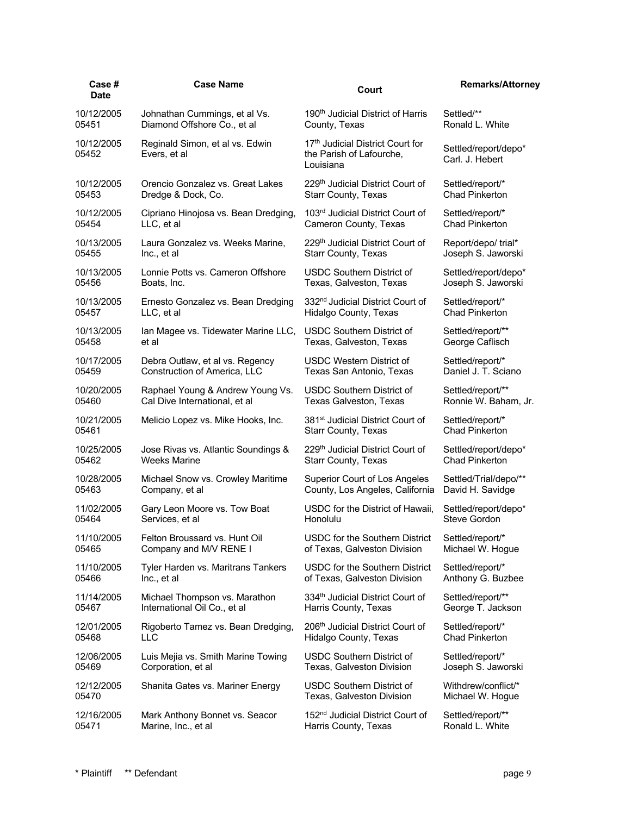| Case #<br><b>Date</b> | <b>Case Name</b>                                | Court                                                                     | <b>Remarks/Attorney</b>                 |
|-----------------------|-------------------------------------------------|---------------------------------------------------------------------------|-----------------------------------------|
| 10/12/2005            | Johnathan Cummings, et al Vs.                   | 190 <sup>th</sup> Judicial District of Harris                             | Settled/**                              |
| 05451                 | Diamond Offshore Co., et al                     | County, Texas                                                             | Ronald L. White                         |
| 10/12/2005<br>05452   | Reginald Simon, et al vs. Edwin<br>Evers, et al | 17th Judicial District Court for<br>the Parish of Lafourche,<br>Louisiana | Settled/report/depo*<br>Carl. J. Hebert |
| 10/12/2005            | Orencio Gonzalez vs. Great Lakes                | 229th Judicial District Court of                                          | Settled/report/*                        |
| 05453                 | Dredge & Dock, Co.                              | <b>Starr County, Texas</b>                                                | <b>Chad Pinkerton</b>                   |
| 10/12/2005            | Cipriano Hinojosa vs. Bean Dredging,            | 103rd Judicial District Court of                                          | Settled/report/*                        |
| 05454                 | LLC, et al                                      | Cameron County, Texas                                                     | <b>Chad Pinkerton</b>                   |
| 10/13/2005            | Laura Gonzalez vs. Weeks Marine,                | 229 <sup>th</sup> Judicial District Court of                              | Report/depo/ trial*                     |
| 05455                 | Inc., et al                                     | Starr County, Texas                                                       | Joseph S. Jaworski                      |
| 10/13/2005            | Lonnie Potts vs. Cameron Offshore               | <b>USDC Southern District of</b>                                          | Settled/report/depo*                    |
| 05456                 | Boats, Inc.                                     | Texas, Galveston, Texas                                                   | Joseph S. Jaworski                      |
| 10/13/2005            | Ernesto Gonzalez vs. Bean Dredging              | 332 <sup>nd</sup> Judicial District Court of                              | Settled/report/*                        |
| 05457                 | LLC, et al                                      | Hidalgo County, Texas                                                     | <b>Chad Pinkerton</b>                   |
| 10/13/2005            | Ian Magee vs. Tidewater Marine LLC,             | <b>USDC Southern District of</b>                                          | Settled/report/**                       |
| 05458                 | et al                                           | Texas, Galveston, Texas                                                   | George Caflisch                         |
| 10/17/2005            | Debra Outlaw, et al vs. Regency                 | USDC Western District of                                                  | Settled/report/*                        |
| 05459                 | Construction of America, LLC                    | Texas San Antonio, Texas                                                  | Daniel J. T. Sciano                     |
| 10/20/2005            | Raphael Young & Andrew Young Vs.                | <b>USDC Southern District of</b>                                          | Settled/report/**                       |
| 05460                 | Cal Dive International, et al                   | <b>Texas Galveston, Texas</b>                                             | Ronnie W. Baham, Jr.                    |
| 10/21/2005            | Melicio Lopez vs. Mike Hooks, Inc.              | 381 <sup>st</sup> Judicial District Court of                              | Settled/report/*                        |
| 05461                 |                                                 | <b>Starr County, Texas</b>                                                | <b>Chad Pinkerton</b>                   |
| 10/25/2005            | Jose Rivas vs. Atlantic Soundings &             | 229th Judicial District Court of                                          | Settled/report/depo*                    |
| 05462                 | Weeks Marine                                    | Starr County, Texas                                                       | <b>Chad Pinkerton</b>                   |
| 10/28/2005            | Michael Snow vs. Crowley Maritime               | Superior Court of Los Angeles                                             | Settled/Trial/depo/**                   |
| 05463                 | Company, et al                                  | County, Los Angeles, California                                           | David H. Savidge                        |
| 11/02/2005            | Gary Leon Moore vs. Tow Boat                    | USDC for the District of Hawaii.                                          | Settled/report/depo*                    |
| 05464                 | Services, et al                                 | Honolulu                                                                  | Steve Gordon                            |
| 11/10/2005            | Felton Broussard vs. Hunt Oil                   | USDC for the Southern District                                            | Settled/report/*                        |
| 05465                 | Company and M/V RENE I                          | of Texas, Galveston Division                                              | Michael W. Hogue                        |
| 11/10/2005            | Tyler Harden vs. Maritrans Tankers              | USDC for the Southern District                                            | Settled/report/*                        |
| 05466                 | Inc., et al                                     | of Texas, Galveston Division                                              | Anthony G. Buzbee                       |
| 11/14/2005            | Michael Thompson vs. Marathon                   | 334th Judicial District Court of                                          | Settled/report/**                       |
| 05467                 | International Oil Co., et al                    | Harris County, Texas                                                      | George T. Jackson                       |
| 12/01/2005            | Rigoberto Tamez vs. Bean Dredging,              | 206 <sup>th</sup> Judicial District Court of                              | Settled/report/*                        |
| 05468                 | <b>LLC</b>                                      | Hidalgo County, Texas                                                     | <b>Chad Pinkerton</b>                   |
| 12/06/2005            | Luis Mejia vs. Smith Marine Towing              | <b>USDC Southern District of</b>                                          | Settled/report/*                        |
| 05469                 | Corporation, et al                              | Texas, Galveston Division                                                 | Joseph S. Jaworski                      |
| 12/12/2005            | Shanita Gates vs. Mariner Energy                | <b>USDC Southern District of</b>                                          | Withdrew/conflict/*                     |
| 05470                 |                                                 | Texas, Galveston Division                                                 | Michael W. Hogue                        |
| 12/16/2005            | Mark Anthony Bonnet vs. Seacor                  | 152 <sup>nd</sup> Judicial District Court of                              | Settled/report/**                       |
| 05471                 | Marine, Inc., et al                             | Harris County, Texas                                                      | Ronald L. White                         |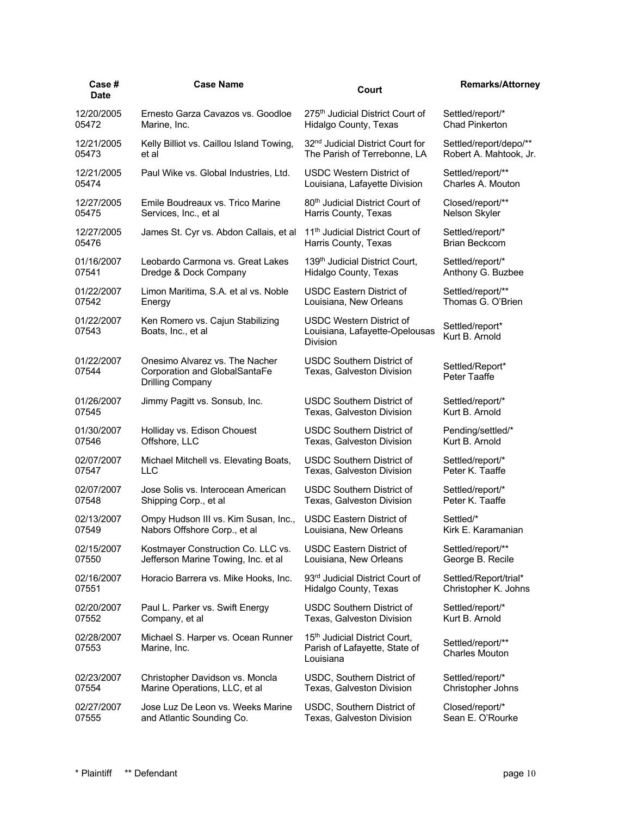| Case #<br><b>Date</b> | <b>Case Name</b>                                                                    | Court                                                                                   | <b>Remarks/Attorney</b>                    |
|-----------------------|-------------------------------------------------------------------------------------|-----------------------------------------------------------------------------------------|--------------------------------------------|
| 12/20/2005            | Ernesto Garza Cavazos vs. Goodloe                                                   | 275 <sup>th</sup> Judicial District Court of                                            | Settled/report/*                           |
| 05472                 | Marine, Inc.                                                                        | Hidalgo County, Texas                                                                   | <b>Chad Pinkerton</b>                      |
| 12/21/2005            | Kelly Billiot vs. Caillou Island Towing,                                            | 32 <sup>nd</sup> Judicial District Court for                                            | Settled/report/depo/**                     |
| 05473                 | et al                                                                               | The Parish of Terrebonne, LA                                                            | Robert A. Mahtook, Jr.                     |
| 12/21/2005            | Paul Wike vs. Global Industries, Ltd.                                               | USDC Western District of                                                                | Settled/report/**                          |
| 05474                 |                                                                                     | Louisiana, Lafayette Division                                                           | Charles A. Mouton                          |
| 12/27/2005            | Emile Boudreaux vs. Trico Marine                                                    | 80 <sup>th</sup> Judicial District Court of                                             | Closed/report/**                           |
| 05475                 | Services, Inc., et al                                                               | Harris County, Texas                                                                    | Nelson Skyler                              |
| 12/27/2005            | James St. Cyr vs. Abdon Callais, et al                                              | 11 <sup>th</sup> Judicial District Court of                                             | Settled/report/*                           |
| 05476                 |                                                                                     | Harris County, Texas                                                                    | <b>Brian Beckcom</b>                       |
| 01/16/2007            | Leobardo Carmona vs. Great Lakes                                                    | 139 <sup>th</sup> Judicial District Court,                                              | Settled/report/*                           |
| 07541                 | Dredge & Dock Company                                                               | Hidalgo County, Texas                                                                   | Anthony G. Buzbee                          |
| 01/22/2007            | Limon Maritima, S.A. et al vs. Noble                                                | <b>USDC Eastern District of</b>                                                         | Settled/report/**                          |
| 07542                 | Energy                                                                              | Louisiana, New Orleans                                                                  | Thomas G. O'Brien                          |
| 01/22/2007<br>07543   | Ken Romero vs. Cajun Stabilizing<br>Boats, Inc., et al                              | <b>USDC Western District of</b><br>Louisiana, Lafayette-Opelousas<br><b>Division</b>    | Settled/report*<br>Kurt B. Arnold          |
| 01/22/2007<br>07544   | Onesimo Alvarez vs. The Nacher<br>Corporation and GlobalSantaFe<br>Drilling Company | <b>USDC Southern District of</b><br>Texas, Galveston Division                           | Settled/Report*<br>Peter Taaffe            |
| 01/26/2007            | Jimmy Pagitt vs. Sonsub, Inc.                                                       | <b>USDC Southern District of</b>                                                        | Settled/report/*                           |
| 07545                 |                                                                                     | Texas, Galveston Division                                                               | Kurt B. Arnold                             |
| 01/30/2007            | Holliday vs. Edison Chouest                                                         | <b>USDC Southern District of</b>                                                        | Pending/settled/*                          |
| 07546                 | Offshore, LLC                                                                       | Texas, Galveston Division                                                               | Kurt B. Arnold                             |
| 02/07/2007            | Michael Mitchell vs. Elevating Boats,                                               | USDC Southern District of                                                               | Settled/report/*                           |
| 07547                 | LLC                                                                                 | Texas, Galveston Division                                                               | Peter K. Taaffe                            |
| 02/07/2007            | Jose Solis vs. Interocean American                                                  | <b>USDC Southern District of</b>                                                        | Settled/report/*                           |
| 07548                 | Shipping Corp., et al                                                               | Texas, Galveston Division                                                               | Peter K. Taaffe                            |
| 02/13/2007            | Ompy Hudson III vs. Kim Susan, Inc.,                                                | USDC Eastern District of                                                                | Settled/*                                  |
| 07549                 | Nabors Offshore Corp., et al                                                        | Louisiana, New Orleans                                                                  | Kirk E. Karamanian                         |
| 02/15/2007            | Kostmayer Construction Co. LLC vs.                                                  | <b>USDC Eastern District of</b>                                                         | Settled/report/**                          |
| 07550                 | Jefferson Marine Towing, Inc. et al                                                 | Louisiana, New Orleans                                                                  | George B. Recile                           |
| 02/16/2007            | Horacio Barrera vs. Mike Hooks, Inc.                                                | 93rd Judicial District Court of                                                         | Settled/Report/trial*                      |
| 07551                 |                                                                                     | Hidalgo County, Texas                                                                   | Christopher K. Johns                       |
| 02/20/2007            | Paul L. Parker vs. Swift Energy                                                     | <b>USDC Southern District of</b>                                                        | Settled/report/*                           |
| 07552                 | Company, et al                                                                      | Texas, Galveston Division                                                               | Kurt B. Arnold                             |
| 02/28/2007<br>07553   | Michael S. Harper vs. Ocean Runner<br>Marine, Inc.                                  | 15 <sup>th</sup> Judicial District Court,<br>Parish of Lafayette, State of<br>Louisiana | Settled/report/**<br><b>Charles Mouton</b> |
| 02/23/2007            | Christopher Davidson vs. Moncla                                                     | USDC, Southern District of                                                              | Settled/report/*                           |
| 07554                 | Marine Operations, LLC, et al                                                       | Texas, Galveston Division                                                               | Christopher Johns                          |
| 02/27/2007            | Jose Luz De Leon vs. Weeks Marine                                                   | USDC, Southern District of                                                              | Closed/report/*                            |
| 07555                 | and Atlantic Sounding Co.                                                           | Texas, Galveston Division                                                               | Sean E. O'Rourke                           |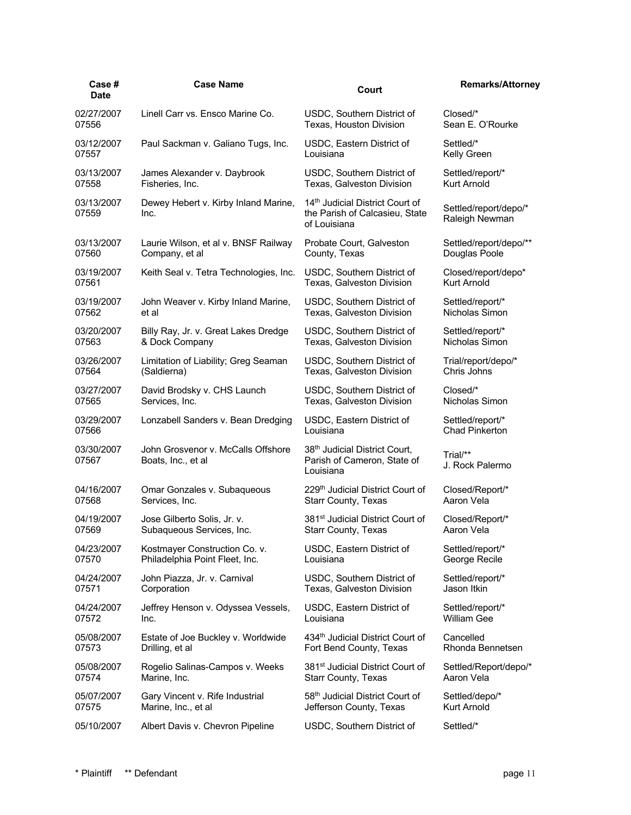| Case #<br><b>Date</b> | <b>Case Name</b>                                         | Court                                                                                         | <b>Remarks/Attorney</b>                 |
|-----------------------|----------------------------------------------------------|-----------------------------------------------------------------------------------------------|-----------------------------------------|
| 02/27/2007            | Linell Carr vs. Ensco Marine Co.                         | USDC, Southern District of                                                                    | Closed/*                                |
| 07556                 |                                                          | Texas, Houston Division                                                                       | Sean E. O'Rourke                        |
| 03/12/2007            | Paul Sackman v. Galiano Tugs, Inc.                       | USDC, Eastern District of                                                                     | Settled/*                               |
| 07557                 |                                                          | Louisiana                                                                                     | Kelly Green                             |
| 03/13/2007            | James Alexander v. Daybrook                              | USDC, Southern District of                                                                    | Settled/report/*                        |
| 07558                 | Fisheries, Inc.                                          | Texas, Galveston Division                                                                     | Kurt Arnold                             |
| 03/13/2007<br>07559   | Dewey Hebert v. Kirby Inland Marine,<br>Inc.             | 14 <sup>th</sup> Judicial District Court of<br>the Parish of Calcasieu, State<br>of Louisiana | Settled/report/depo/*<br>Raleigh Newman |
| 03/13/2007            | Laurie Wilson, et al v. BNSF Railway                     | Probate Court, Galveston                                                                      | Settled/report/depo/**                  |
| 07560                 | Company, et al                                           | County, Texas                                                                                 | Douglas Poole                           |
| 03/19/2007            | Keith Seal v. Tetra Technologies, Inc.                   | USDC, Southern District of                                                                    | Closed/report/depo*                     |
| 07561                 |                                                          | Texas, Galveston Division                                                                     | Kurt Arnold                             |
| 03/19/2007            | John Weaver v. Kirby Inland Marine,                      | USDC, Southern District of                                                                    | Settled/report/*                        |
| 07562                 | et al                                                    | Texas, Galveston Division                                                                     | Nicholas Simon                          |
| 03/20/2007            | Billy Ray, Jr. v. Great Lakes Dredge                     | USDC, Southern District of                                                                    | Settled/report/*                        |
| 07563                 | & Dock Company                                           | Texas, Galveston Division                                                                     | Nicholas Simon                          |
| 03/26/2007            | Limitation of Liability; Greg Seaman                     | USDC, Southern District of                                                                    | Trial/report/depo/*                     |
| 07564                 | (Saldierna)                                              | Texas, Galveston Division                                                                     | Chris Johns                             |
| 03/27/2007            | David Brodsky v. CHS Launch                              | USDC, Southern District of                                                                    | Closed/*                                |
| 07565                 | Services, Inc.                                           | Texas, Galveston Division                                                                     | Nicholas Simon                          |
| 03/29/2007            | Lonzabell Sanders v. Bean Dredging                       | USDC, Eastern District of                                                                     | Settled/report/*                        |
| 07566                 |                                                          | Louisiana                                                                                     | <b>Chad Pinkerton</b>                   |
| 03/30/2007<br>07567   | John Grosvenor v. McCalls Offshore<br>Boats, Inc., et al | 38 <sup>th</sup> Judicial District Court,<br>Parish of Cameron, State of<br>Louisiana         | Trial/**<br>J. Rock Palermo             |
| 04/16/2007            | Omar Gonzales v. Subaqueous                              | 229 <sup>th</sup> Judicial District Court of                                                  | Closed/Report/*                         |
| 07568                 | Services, Inc.                                           | <b>Starr County, Texas</b>                                                                    | Aaron Vela                              |
| 04/19/2007            | Jose Gilberto Solis, Jr. v.                              | 381 <sup>st</sup> Judicial District Court of                                                  | Closed/Report/*                         |
| 07569                 | Subaqueous Services, Inc.                                | <b>Starr County, Texas</b>                                                                    | Aaron Vela                              |
| 04/23/2007            | Kostmayer Construction Co. v.                            | USDC, Eastern District of                                                                     | Settled/report/*                        |
| 07570                 | Philadelphia Point Fleet, Inc.                           | Louisiana                                                                                     | George Recile                           |
| 04/24/2007            | John Piazza, Jr. v. Carnival                             | USDC, Southern District of                                                                    | Settled/report/*                        |
| 07571                 | Corporation                                              | Texas, Galveston Division                                                                     | Jason Itkin                             |
| 04/24/2007            | Jeffrey Henson v. Odyssea Vessels,                       | USDC, Eastern District of                                                                     | Settled/report/*                        |
| 07572                 | Inc.                                                     | Louisiana                                                                                     | <b>William Gee</b>                      |
| 05/08/2007            | Estate of Joe Buckley v. Worldwide                       | 434th Judicial District Court of                                                              | Cancelled                               |
| 07573                 | Drilling, et al                                          | Fort Bend County, Texas                                                                       | Rhonda Bennetsen                        |
| 05/08/2007            | Rogelio Salinas-Campos v. Weeks                          | 381 <sup>st</sup> Judicial District Court of                                                  | Settled/Report/depo/*                   |
| 07574                 | Marine, Inc.                                             | <b>Starr County, Texas</b>                                                                    | Aaron Vela                              |
| 05/07/2007            | Gary Vincent v. Rife Industrial                          | 58 <sup>th</sup> Judicial District Court of                                                   | Settled/depo/*                          |
| 07575                 | Marine, Inc., et al                                      | Jefferson County, Texas                                                                       | Kurt Arnold                             |
| 05/10/2007            | Albert Davis v. Chevron Pipeline                         | USDC, Southern District of                                                                    | Settled/*                               |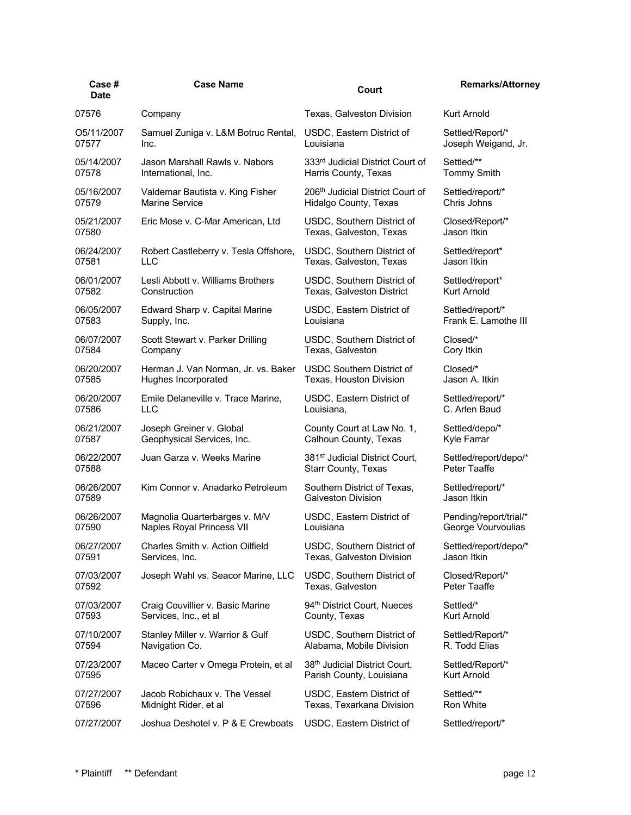| Case #<br>Date | <b>Case Name</b>                      | Court                                        | <b>Remarks/Attorney</b> |
|----------------|---------------------------------------|----------------------------------------------|-------------------------|
| 07576          | Company                               | Texas, Galveston Division                    | <b>Kurt Arnold</b>      |
| O5/11/2007     | Samuel Zuniga v. L&M Botruc Rental,   | USDC, Eastern District of                    | Settled/Report/*        |
| 07577          | Inc.                                  | Louisiana                                    | Joseph Weigand, Jr.     |
| 05/14/2007     | Jason Marshall Rawls v. Nabors        | 333rd Judicial District Court of             | Settled/**              |
| 07578          | International, Inc.                   | Harris County, Texas                         | <b>Tommy Smith</b>      |
| 05/16/2007     | Valdemar Bautista v. King Fisher      | 206 <sup>th</sup> Judicial District Court of | Settled/report/*        |
| 07579          | <b>Marine Service</b>                 | Hidalgo County, Texas                        | Chris Johns             |
| 05/21/2007     | Eric Mose v. C-Mar American, Ltd      | USDC, Southern District of                   | Closed/Report/*         |
| 07580          |                                       | Texas, Galveston, Texas                      | Jason Itkin             |
| 06/24/2007     | Robert Castleberry v. Tesla Offshore, | USDC, Southern District of                   | Settled/report*         |
| 07581          | LLC                                   | Texas, Galveston, Texas                      | Jason Itkin             |
| 06/01/2007     | Lesli Abbott v. Williams Brothers     | USDC, Southern District of                   | Settled/report*         |
| 07582          | Construction                          | Texas, Galveston District                    | Kurt Arnold             |
| 06/05/2007     | Edward Sharp v. Capital Marine        | USDC, Eastern District of                    | Settled/report/*        |
| 07583          | Supply, Inc.                          | Louisiana                                    | Frank E. Lamothe III    |
| 06/07/2007     | Scott Stewart v. Parker Drilling      | USDC, Southern District of                   | Closed/*                |
| 07584          | Company                               | Texas, Galveston                             | Cory Itkin              |
| 06/20/2007     | Herman J. Van Norman, Jr. vs. Baker   | <b>USDC Southern District of</b>             | Closed/*                |
| 07585          | Hughes Incorporated                   | Texas, Houston Division                      | Jason A. Itkin          |
| 06/20/2007     | Emile Delaneville v. Trace Marine,    | USDC, Eastern District of                    | Settled/report/*        |
| 07586          | LLC                                   | Louisiana,                                   | C. Arlen Baud           |
| 06/21/2007     | Joseph Greiner v. Global              | County Court at Law No. 1,                   | Settled/depo/*          |
| 07587          | Geophysical Services, Inc.            | Calhoun County, Texas                        | Kyle Farrar             |
| 06/22/2007     | Juan Garza v. Weeks Marine            | 381 <sup>st</sup> Judicial District Court,   | Settled/report/depo/*   |
| 07588          |                                       | <b>Starr County, Texas</b>                   | Peter Taaffe            |
| 06/26/2007     | Kim Connor v. Anadarko Petroleum      | Southern District of Texas,                  | Settled/report/*        |
| 07589          |                                       | <b>Galveston Division</b>                    | Jason Itkin             |
| 06/26/2007     | Magnolia Quarterbarges v. M/V         | USDC, Eastern District of                    | Pending/report/trial/*  |
| 07590          | Naples Royal Princess VII             | Louisiana                                    | George Vourvoulias      |
| 06/27/2007     | Charles Smith v. Action Oilfield      | USDC, Southern District of                   | Settled/report/depo/*   |
| 07591          | Services, Inc.                        | Texas, Galveston Division                    | Jason Itkin             |
| 07/03/2007     | Joseph Wahl vs. Seacor Marine, LLC    | USDC, Southern District of                   | Closed/Report/*         |
| 07592          |                                       | Texas, Galveston                             | Peter Taaffe            |
| 07/03/2007     | Craig Couvillier v. Basic Marine      | 94 <sup>th</sup> District Court, Nueces      | Settled/*               |
| 07593          | Services, Inc., et al                 | County, Texas                                | Kurt Arnold             |
| 07/10/2007     | Stanley Miller v. Warrior & Gulf      | USDC, Southern District of                   | Settled/Report/*        |
| 07594          | Navigation Co.                        | Alabama, Mobile Division                     | R. Todd Elias           |
| 07/23/2007     | Maceo Carter v Omega Protein, et al   | 38th Judicial District Court,                | Settled/Report/*        |
| 07595          |                                       | Parish County, Louisiana                     | Kurt Arnold             |
| 07/27/2007     | Jacob Robichaux v. The Vessel         | USDC, Eastern District of                    | Settled/**              |
| 07596          | Midnight Rider, et al                 | Texas, Texarkana Division                    | Ron White               |
| 07/27/2007     | Joshua Deshotel v. P & E Crewboats    | USDC, Eastern District of                    | Settled/report/*        |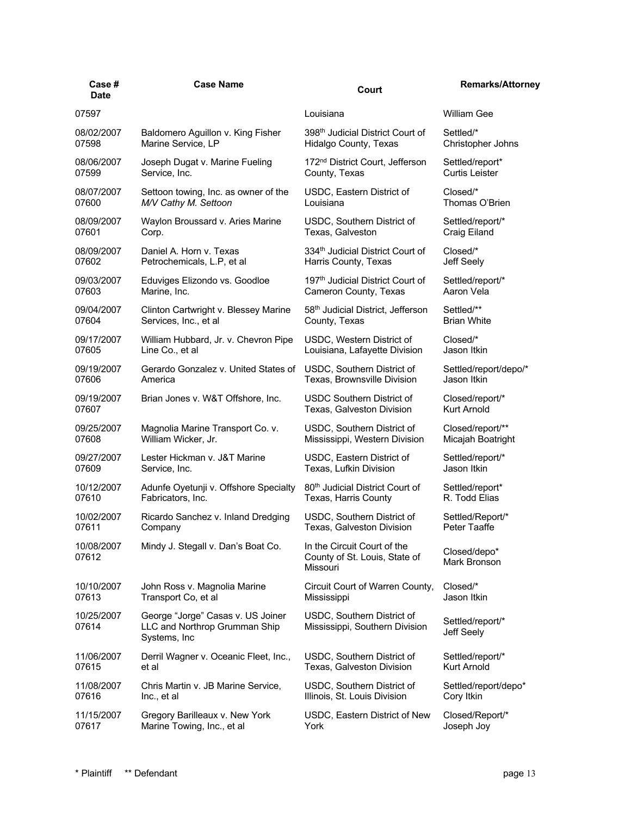| Case#<br><b>Date</b> | <b>Case Name</b>                                                                    | Court                                                                    | <b>Remarks/Attorney</b>        |
|----------------------|-------------------------------------------------------------------------------------|--------------------------------------------------------------------------|--------------------------------|
| 07597                |                                                                                     | Louisiana                                                                | <b>William Gee</b>             |
| 08/02/2007           | Baldomero Aguillon v. King Fisher                                                   | 398 <sup>th</sup> Judicial District Court of                             | Settled/*                      |
| 07598                | Marine Service, LP                                                                  | Hidalgo County, Texas                                                    | Christopher Johns              |
| 08/06/2007           | Joseph Dugat v. Marine Fueling                                                      | 172 <sup>nd</sup> District Court, Jefferson                              | Settled/report*                |
| 07599                | Service, Inc.                                                                       | County, Texas                                                            | <b>Curtis Leister</b>          |
| 08/07/2007           | Settoon towing, Inc. as owner of the                                                | USDC, Eastern District of                                                | Closed/*                       |
| 07600                | M/V Cathy M. Settoon                                                                | Louisiana                                                                | Thomas O'Brien                 |
| 08/09/2007           | Waylon Broussard v. Aries Marine                                                    | USDC, Southern District of                                               | Settled/report/*               |
| 07601                | Corp.                                                                               | Texas, Galveston                                                         | Craig Eiland                   |
| 08/09/2007           | Daniel A. Horn v. Texas                                                             | 334 <sup>th</sup> Judicial District Court of                             | Closed/*                       |
| 07602                | Petrochemicals, L.P, et al                                                          | Harris County, Texas                                                     | Jeff Seely                     |
| 09/03/2007           | Eduviges Elizondo vs. Goodloe                                                       | 197 <sup>th</sup> Judicial District Court of                             | Settled/report/*               |
| 07603                | Marine, Inc.                                                                        | Cameron County, Texas                                                    | Aaron Vela                     |
| 09/04/2007           | Clinton Cartwright v. Blessey Marine                                                | 58 <sup>th</sup> Judicial District, Jefferson                            | Settled/**                     |
| 07604                | Services, Inc., et al                                                               | County, Texas                                                            | <b>Brian White</b>             |
| 09/17/2007           | William Hubbard, Jr. v. Chevron Pipe                                                | USDC, Western District of                                                | Closed/*                       |
| 07605                | Line Co., et al                                                                     | Louisiana, Lafayette Division                                            | Jason Itkin                    |
| 09/19/2007           | Gerardo Gonzalez v. United States of                                                | USDC, Southern District of                                               | Settled/report/depo/*          |
| 07606                | America                                                                             | Texas, Brownsville Division                                              | Jason Itkin                    |
| 09/19/2007           | Brian Jones v. W&T Offshore, Inc.                                                   | USDC Southern District of                                                | Closed/report/*                |
| 07607                |                                                                                     | Texas, Galveston Division                                                | <b>Kurt Arnold</b>             |
| 09/25/2007           | Magnolia Marine Transport Co. v.                                                    | USDC, Southern District of                                               | Closed/report/**               |
| 07608                | William Wicker, Jr.                                                                 | Mississippi, Western Division                                            | Micajah Boatright              |
| 09/27/2007           | Lester Hickman v. J&T Marine                                                        | USDC, Eastern District of                                                | Settled/report/*               |
| 07609                | Service, Inc.                                                                       | Texas, Lufkin Division                                                   | Jason Itkin                    |
| 10/12/2007           | Adunfe Oyetunji v. Offshore Specialty                                               | 80 <sup>th</sup> Judicial District Court of                              | Settled/report*                |
| 07610                | Fabricators, Inc.                                                                   | Texas, Harris County                                                     | R. Todd Elias                  |
| 10/02/2007           | Ricardo Sanchez v. Inland Dredging                                                  | USDC, Southern District of                                               | Settled/Report/*               |
| 07611                | Company                                                                             | Texas, Galveston Division                                                | Peter Taaffe                   |
| 10/08/2007<br>07612  | Mindy J. Stegall v. Dan's Boat Co.                                                  | In the Circuit Court of the<br>County of St. Louis, State of<br>Missouri | Closed/depo*<br>Mark Bronson   |
| 10/10/2007           | John Ross v. Magnolia Marine                                                        | Circuit Court of Warren County,                                          | Closed/*                       |
| 07613                | Transport Co, et al                                                                 | Mississippi                                                              | Jason Itkin                    |
| 10/25/2007<br>07614  | George "Jorge" Casas v. US Joiner<br>LLC and Northrop Grumman Ship<br>Systems, Inc. | USDC, Southern District of<br>Mississippi, Southern Division             | Settled/report/*<br>Jeff Seely |
| 11/06/2007           | Derril Wagner v. Oceanic Fleet, Inc.,                                               | USDC, Southern District of                                               | Settled/report/*               |
| 07615                | et al                                                                               | Texas, Galveston Division                                                | Kurt Arnold                    |
| 11/08/2007           | Chris Martin v. JB Marine Service,                                                  | USDC, Southern District of                                               | Settled/report/depo*           |
| 07616                | Inc., et al                                                                         | Illinois, St. Louis Division                                             | Cory Itkin                     |
| 11/15/2007           | Gregory Barilleaux v. New York                                                      | USDC, Eastern District of New                                            | Closed/Report/*                |
| 07617                | Marine Towing, Inc., et al                                                          | York                                                                     | Joseph Joy                     |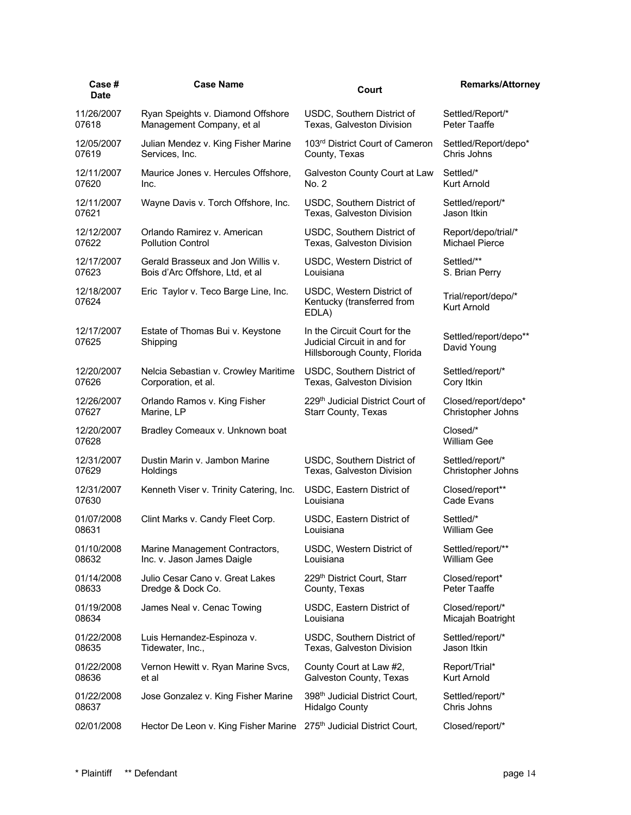| Case #<br><b>Date</b> | <b>Case Name</b>                             | Court                                                                                       | <b>Remarks/Attorney</b>                   |
|-----------------------|----------------------------------------------|---------------------------------------------------------------------------------------------|-------------------------------------------|
| 11/26/2007            | Ryan Speights v. Diamond Offshore            | USDC, Southern District of                                                                  | Settled/Report/*                          |
| 07618                 | Management Company, et al                    | Texas, Galveston Division                                                                   | Peter Taaffe                              |
| 12/05/2007            | Julian Mendez v. King Fisher Marine          | 103rd District Court of Cameron                                                             | Settled/Report/depo*                      |
| 07619                 | Services, Inc.                               | County, Texas                                                                               | Chris Johns                               |
| 12/11/2007            | Maurice Jones v. Hercules Offshore,          | Galveston County Court at Law                                                               | Settled/*                                 |
| 07620                 | Inc.                                         | No. 2                                                                                       | Kurt Arnold                               |
| 12/11/2007            | Wayne Davis v. Torch Offshore, Inc.          | USDC, Southern District of                                                                  | Settled/report/*                          |
| 07621                 |                                              | Texas, Galveston Division                                                                   | Jason Itkin                               |
| 12/12/2007            | Orlando Ramirez v. American                  | USDC, Southern District of                                                                  | Report/depo/trial/*                       |
| 07622                 | <b>Pollution Control</b>                     | Texas, Galveston Division                                                                   | <b>Michael Pierce</b>                     |
| 12/17/2007            | Gerald Brasseux and Jon Willis v.            | USDC, Western District of                                                                   | Settled/**                                |
| 07623                 | Bois d'Arc Offshore, Ltd, et al              | Louisiana                                                                                   | S. Brian Perry                            |
| 12/18/2007<br>07624   | Eric Taylor v. Teco Barge Line, Inc.         | USDC, Western District of<br>Kentucky (transferred from<br>EDLA)                            | Trial/report/depo/*<br><b>Kurt Arnold</b> |
| 12/17/2007<br>07625   | Estate of Thomas Bui v. Keystone<br>Shipping | In the Circuit Court for the<br>Judicial Circuit in and for<br>Hillsborough County, Florida | Settled/report/depo**<br>David Young      |
| 12/20/2007            | Nelcia Sebastian v. Crowley Maritime         | USDC, Southern District of                                                                  | Settled/report/*                          |
| 07626                 | Corporation, et al.                          | Texas, Galveston Division                                                                   | Cory Itkin                                |
| 12/26/2007            | Orlando Ramos v. King Fisher                 | 229 <sup>th</sup> Judicial District Court of                                                | Closed/report/depo*                       |
| 07627                 | Marine, LP                                   | <b>Starr County, Texas</b>                                                                  | Christopher Johns                         |
| 12/20/2007<br>07628   | Bradley Comeaux v. Unknown boat              |                                                                                             | $Closed/*$<br><b>William Gee</b>          |
| 12/31/2007            | Dustin Marin v. Jambon Marine                | USDC, Southern District of                                                                  | Settled/report/*                          |
| 07629                 | Holdings                                     | Texas, Galveston Division                                                                   | Christopher Johns                         |
| 12/31/2007            | Kenneth Viser v. Trinity Catering, Inc.      | USDC, Eastern District of                                                                   | Closed/report**                           |
| 07630                 |                                              | Louisiana                                                                                   | Cade Evans                                |
| 01/07/2008            | Clint Marks v. Candy Fleet Corp.             | USDC, Eastern District of                                                                   | Settled/*                                 |
| 08631                 |                                              | Louisiana                                                                                   | William Gee                               |
| 01/10/2008            | Marine Management Contractors,               | USDC, Western District of                                                                   | Settled/report/**                         |
| 08632                 | Inc. v. Jason James Daigle                   | Louisiana                                                                                   | William Gee                               |
| 01/14/2008            | Julio Cesar Cano v. Great Lakes              | 229th District Court, Starr                                                                 | Closed/report*                            |
| 08633                 | Dredge & Dock Co.                            | County, Texas                                                                               | Peter Taaffe                              |
| 01/19/2008            | James Neal v. Cenac Towing                   | USDC, Eastern District of                                                                   | Closed/report/*                           |
| 08634                 |                                              | Louisiana                                                                                   | Micajah Boatright                         |
| 01/22/2008            | Luis Hernandez-Espinoza v.                   | USDC, Southern District of                                                                  | Settled/report/*                          |
| 08635                 | Tidewater, Inc.,                             | Texas, Galveston Division                                                                   | Jason Itkin                               |
| 01/22/2008            | Vernon Hewitt v. Ryan Marine Svcs,           | County Court at Law #2,                                                                     | Report/Trial*                             |
| 08636                 | et al                                        | Galveston County, Texas                                                                     | Kurt Arnold                               |
| 01/22/2008            | Jose Gonzalez v. King Fisher Marine          | 398 <sup>th</sup> Judicial District Court,                                                  | Settled/report/*                          |
| 08637                 |                                              | <b>Hidalgo County</b>                                                                       | Chris Johns                               |
| 02/01/2008            | Hector De Leon v. King Fisher Marine         | 275 <sup>th</sup> Judicial District Court,                                                  | Closed/report/*                           |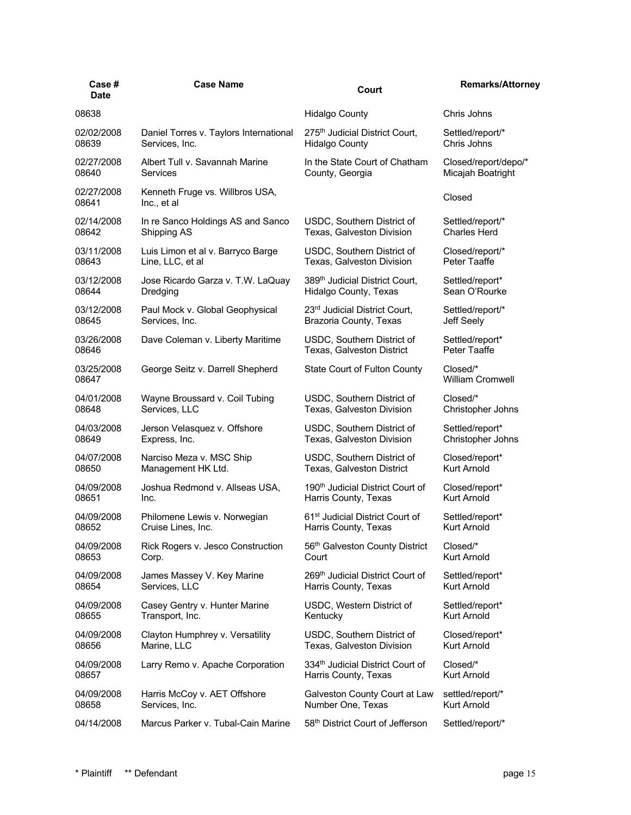| Case #<br><b>Date</b> | <b>Case Name</b>                               | Court                                        | <b>Remarks/Attorney</b>             |
|-----------------------|------------------------------------------------|----------------------------------------------|-------------------------------------|
| 08638                 |                                                | <b>Hidalgo County</b>                        | Chris Johns                         |
| 02/02/2008            | Daniel Torres v. Taylors International         | 275 <sup>th</sup> Judicial District Court,   | Settled/report/*                    |
| 08639                 | Services, Inc.                                 | <b>Hidalgo County</b>                        | Chris Johns                         |
| 02/27/2008            | Albert Tull v. Savannah Marine                 | In the State Court of Chatham                | Closed/report/depo/*                |
| 08640                 | Services                                       | County, Georgia                              | Micajah Boatright                   |
| 02/27/2008<br>08641   | Kenneth Fruge vs. Willbros USA,<br>Inc., et al |                                              | Closed                              |
| 02/14/2008            | In re Sanco Holdings AS and Sanco              | USDC, Southern District of                   | Settled/report/*                    |
| 08642                 | Shipping AS                                    | Texas, Galveston Division                    | <b>Charles Herd</b>                 |
| 03/11/2008            | Luis Limon et al v. Barryco Barge              | USDC, Southern District of                   | Closed/report/*                     |
| 08643                 | Line, LLC, et al                               | Texas, Galveston Division                    | Peter Taaffe                        |
| 03/12/2008            | Jose Ricardo Garza v. T.W. LaQuay              | 389th Judicial District Court,               | Settled/report*                     |
| 08644                 | Dredging                                       | Hidalgo County, Texas                        | Sean O'Rourke                       |
| 03/12/2008            | Paul Mock v. Global Geophysical                | 23rd Judicial District Court,                | Settled/report/*                    |
| 08645                 | Services, Inc.                                 | Brazoria County, Texas                       | Jeff Seely                          |
| 03/26/2008            | Dave Coleman v. Liberty Maritime               | USDC, Southern District of                   | Settled/report*                     |
| 08646                 |                                                | Texas, Galveston District                    | Peter Taaffe                        |
| 03/25/2008<br>08647   | George Seitz v. Darrell Shepherd               | State Court of Fulton County                 | Closed/*<br><b>William Cromwell</b> |
| 04/01/2008            | Wayne Broussard v. Coil Tubing                 | USDC, Southern District of                   | Closed/*                            |
| 08648                 | Services, LLC                                  | Texas, Galveston Division                    | Christopher Johns                   |
| 04/03/2008            | Jerson Velasquez v. Offshore                   | USDC, Southern District of                   | Settled/report*                     |
| 08649                 | Express, Inc.                                  | Texas, Galveston Division                    | Christopher Johns                   |
| 04/07/2008            | Narciso Meza v. MSC Ship                       | USDC, Southern District of                   | Closed/report*                      |
| 08650                 | Management HK Ltd.                             | Texas, Galveston District                    | Kurt Arnold                         |
| 04/09/2008            | Joshua Redmond v. Allseas USA,                 | 190 <sup>th</sup> Judicial District Court of | Closed/report*                      |
| 08651                 | Inc.                                           | Harris County, Texas                         | <b>Kurt Arnold</b>                  |
| 04/09/2008            | Philomene Lewis v. Norwegian                   | 61 <sup>st</sup> Judicial District Court of  | Settled/report*                     |
| 08652                 | Cruise Lines, Inc.                             | Harris County, Texas                         | Kurt Arnold                         |
| 04/09/2008            | Rick Rogers v. Jesco Construction              | 56 <sup>th</sup> Galveston County District   | Closed/*                            |
| 08653                 | Corp.                                          | Court                                        | Kurt Arnold                         |
| 04/09/2008            | James Massey V. Key Marine                     | 269th Judicial District Court of             | Settled/report*                     |
| 08654                 | Services, LLC                                  | Harris County, Texas                         | Kurt Arnold                         |
| 04/09/2008            | Casey Gentry v. Hunter Marine                  | USDC, Western District of                    | Settled/report*                     |
| 08655                 | Transport, Inc.                                | Kentucky                                     | Kurt Arnold                         |
| 04/09/2008            | Clayton Humphrey v. Versatility                | USDC, Southern District of                   | Closed/report*                      |
| 08656                 | Marine, LLC                                    | Texas, Galveston Division                    | Kurt Arnold                         |
| 04/09/2008            | Larry Remo v. Apache Corporation               | 334th Judicial District Court of             | Closed/*                            |
| 08657                 |                                                | Harris County, Texas                         | Kurt Arnold                         |
| 04/09/2008            | Harris McCoy v. AET Offshore                   | Galveston County Court at Law                | settled/report/*                    |
| 08658                 | Services, Inc.                                 | Number One, Texas                            | <b>Kurt Arnold</b>                  |
| 04/14/2008            | Marcus Parker v. Tubal-Cain Marine             | 58th District Court of Jefferson             | Settled/report/*                    |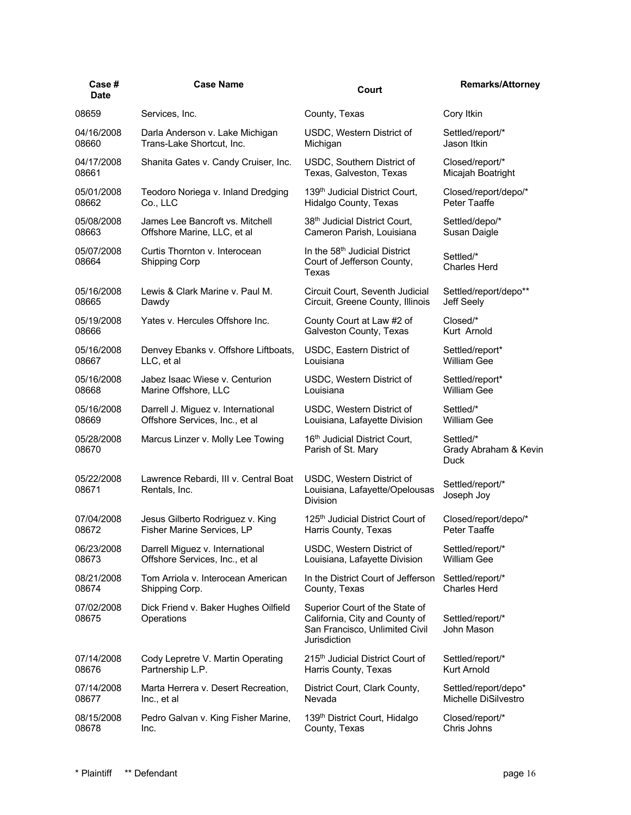| Case#<br><b>Date</b> | <b>Case Name</b>                                       | Court                                                                                                              | <b>Remarks/Attorney</b>                    |
|----------------------|--------------------------------------------------------|--------------------------------------------------------------------------------------------------------------------|--------------------------------------------|
| 08659                | Services, Inc.                                         | County, Texas                                                                                                      | Cory Itkin                                 |
| 04/16/2008           | Darla Anderson v. Lake Michigan                        | USDC, Western District of                                                                                          | Settled/report/*                           |
| 08660                | Trans-Lake Shortcut, Inc.                              | Michigan                                                                                                           | Jason Itkin                                |
| 04/17/2008           | Shanita Gates v. Candy Cruiser, Inc.                   | USDC, Southern District of                                                                                         | Closed/report/*                            |
| 08661                |                                                        | Texas, Galveston, Texas                                                                                            | Micajah Boatright                          |
| 05/01/2008           | Teodoro Noriega v. Inland Dredging                     | 139th Judicial District Court,                                                                                     | Closed/report/depo/*                       |
| 08662                | Co., LLC                                               | Hidalgo County, Texas                                                                                              | Peter Taaffe                               |
| 05/08/2008           | James Lee Bancroft vs. Mitchell                        | 38th Judicial District Court,                                                                                      | Settled/depo/*                             |
| 08663                | Offshore Marine, LLC, et al                            | Cameron Parish, Louisiana                                                                                          | Susan Daigle                               |
| 05/07/2008<br>08664  | Curtis Thornton v. Interocean<br>Shipping Corp         | In the 58 <sup>th</sup> Judicial District<br>Court of Jefferson County,<br>Texas                                   | Settled/*<br><b>Charles Herd</b>           |
| 05/16/2008           | Lewis & Clark Marine v. Paul M.                        | Circuit Court, Seventh Judicial                                                                                    | Settled/report/depo**                      |
| 08665                | Dawdy                                                  | Circuit, Greene County, Illinois                                                                                   | Jeff Seely                                 |
| 05/19/2008           | Yates v. Hercules Offshore Inc.                        | County Court at Law #2 of                                                                                          | Closed/*                                   |
| 08666                |                                                        | Galveston County, Texas                                                                                            | Kurt Arnold                                |
| 05/16/2008           | Denvey Ebanks v. Offshore Liftboats,                   | USDC, Eastern District of                                                                                          | Settled/report*                            |
| 08667                | LLC, et al                                             | Louisiana                                                                                                          | <b>William Gee</b>                         |
| 05/16/2008           | Jabez Isaac Wiese v. Centurion                         | USDC, Western District of                                                                                          | Settled/report*                            |
| 08668                | Marine Offshore, LLC                                   | Louisiana                                                                                                          | <b>William Gee</b>                         |
| 05/16/2008           | Darrell J. Miguez v. International                     | USDC, Western District of                                                                                          | Settled/*                                  |
| 08669                | Offshore Services, Inc., et al                         | Louisiana, Lafayette Division                                                                                      | William Gee                                |
| 05/28/2008<br>08670  | Marcus Linzer v. Molly Lee Towing                      | 16 <sup>th</sup> Judicial District Court,<br>Parish of St. Mary                                                    | Settled/*<br>Grady Abraham & Kevin<br>Duck |
| 05/22/2008<br>08671  | Lawrence Rebardi, III v. Central Boat<br>Rentals, Inc. | USDC, Western District of<br>Louisiana, Lafayette/Opelousas<br><b>Division</b>                                     | Settled/report/*<br>Joseph Joy             |
| 07/04/2008           | Jesus Gilberto Rodriguez v. King                       | 125 <sup>th</sup> Judicial District Court of                                                                       | Closed/report/depo/*                       |
| 08672                | Fisher Marine Services, LP                             | Harris County, Texas                                                                                               | Peter Taaffe                               |
| 06/23/2008           | Darrell Miguez v. International                        | USDC, Western District of                                                                                          | Settled/report/*                           |
| 08673                | Offshore Services, Inc., et al                         | Louisiana, Lafayette Division                                                                                      | <b>William Gee</b>                         |
| 08/21/2008           | Tom Arriola v. Interocean American                     | In the District Court of Jefferson                                                                                 | Settled/report/*                           |
| 08674                | Shipping Corp.                                         | County, Texas                                                                                                      | <b>Charles Herd</b>                        |
| 07/02/2008<br>08675  | Dick Friend v. Baker Hughes Oilfield<br>Operations     | Superior Court of the State of<br>California, City and County of<br>San Francisco, Unlimited Civil<br>Jurisdiction | Settled/report/*<br>John Mason             |
| 07/14/2008           | Cody Lepretre V. Martin Operating                      | 215 <sup>th</sup> Judicial District Court of                                                                       | Settled/report/*                           |
| 08676                | Partnership L.P.                                       | Harris County, Texas                                                                                               | <b>Kurt Arnold</b>                         |
| 07/14/2008           | Marta Herrera v. Desert Recreation,                    | District Court, Clark County,                                                                                      | Settled/report/depo*                       |
| 08677                | Inc., et al                                            | Nevada                                                                                                             | Michelle DiSilvestro                       |
| 08/15/2008           | Pedro Galvan v. King Fisher Marine,                    | 139th District Court, Hidalgo                                                                                      | Closed/report/*                            |
| 08678                | Inc.                                                   | County, Texas                                                                                                      | Chris Johns                                |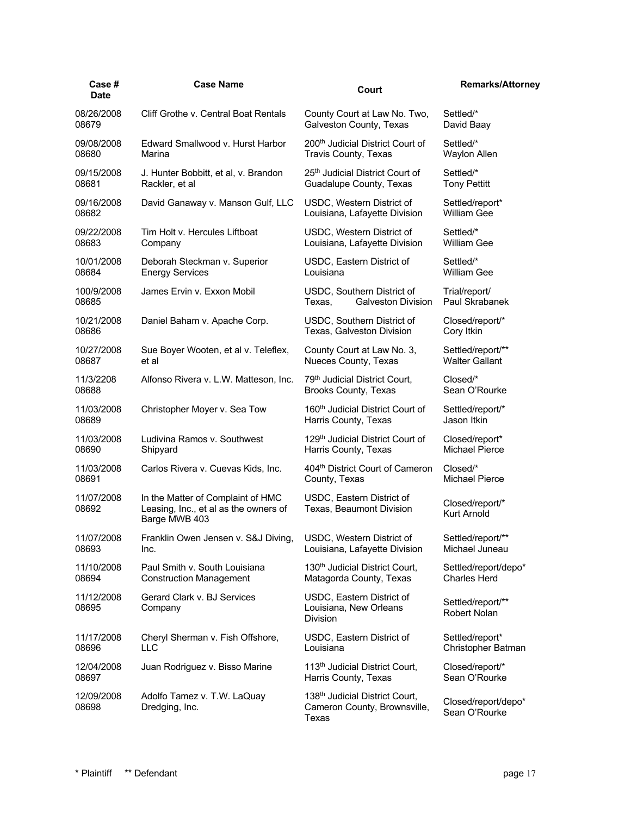| Case#<br><b>Date</b> | <b>Case Name</b>                                                                            | Court                                                                   | <b>Remarks/Attorney</b>               |
|----------------------|---------------------------------------------------------------------------------------------|-------------------------------------------------------------------------|---------------------------------------|
| 08/26/2008           | Cliff Grothe v. Central Boat Rentals                                                        | County Court at Law No. Two,                                            | Settled/*                             |
| 08679                |                                                                                             | Galveston County, Texas                                                 | David Baay                            |
| 09/08/2008           | Edward Smallwood v. Hurst Harbor                                                            | 200 <sup>th</sup> Judicial District Court of                            | Settled/*                             |
| 08680                | Marina                                                                                      | Travis County, Texas                                                    | Waylon Allen                          |
| 09/15/2008           | J. Hunter Bobbitt, et al, v. Brandon                                                        | 25th Judicial District Court of                                         | Settled/*                             |
| 08681                | Rackler, et al                                                                              | Guadalupe County, Texas                                                 | <b>Tony Pettitt</b>                   |
| 09/16/2008           | David Ganaway v. Manson Gulf, LLC                                                           | USDC, Western District of                                               | Settled/report*                       |
| 08682                |                                                                                             | Louisiana, Lafayette Division                                           | <b>William Gee</b>                    |
| 09/22/2008           | Tim Holt v. Hercules Liftboat                                                               | USDC, Western District of                                               | Settled/*                             |
| 08683                | Company                                                                                     | Louisiana, Lafayette Division                                           | <b>William Gee</b>                    |
| 10/01/2008           | Deborah Steckman v. Superior                                                                | USDC, Eastern District of                                               | Settled/*                             |
| 08684                | <b>Energy Services</b>                                                                      | Louisiana                                                               | <b>William Gee</b>                    |
| 100/9/2008<br>08685  | James Ervin v. Exxon Mobil                                                                  | USDC, Southern District of<br>Texas,<br><b>Galveston Division</b>       | Trial/report/<br>Paul Skrabanek       |
| 10/21/2008           | Daniel Baham v. Apache Corp.                                                                | USDC, Southern District of                                              | Closed/report/*                       |
| 08686                |                                                                                             | Texas, Galveston Division                                               | Cory Itkin                            |
| 10/27/2008           | Sue Boyer Wooten, et al v. Teleflex,                                                        | County Court at Law No. 3,                                              | Settled/report/**                     |
| 08687                | et al                                                                                       | Nueces County, Texas                                                    | <b>Walter Gallant</b>                 |
| 11/3/2208            | Alfonso Rivera v. L.W. Matteson, Inc.                                                       | 79 <sup>th</sup> Judicial District Court,                               | Closed/*                              |
| 08688                |                                                                                             | <b>Brooks County, Texas</b>                                             | Sean O'Rourke                         |
| 11/03/2008           | Christopher Moyer v. Sea Tow                                                                | 160 <sup>th</sup> Judicial District Court of                            | Settled/report/*                      |
| 08689                |                                                                                             | Harris County, Texas                                                    | Jason Itkin                           |
| 11/03/2008           | Ludivina Ramos v. Southwest                                                                 | 129th Judicial District Court of                                        | Closed/report*                        |
| 08690                | Shipyard                                                                                    | Harris County, Texas                                                    | Michael Pierce                        |
| 11/03/2008           | Carlos Rivera v. Cuevas Kids, Inc.                                                          | 404th District Court of Cameron                                         | Closed/*                              |
| 08691                |                                                                                             | County, Texas                                                           | <b>Michael Pierce</b>                 |
| 11/07/2008<br>08692  | In the Matter of Complaint of HMC<br>Leasing, Inc., et al as the owners of<br>Barge MWB 403 | USDC, Eastern District of<br>Texas, Beaumont Division                   | Closed/report/*<br><b>Kurt Arnold</b> |
| 11/07/2008           | Franklin Owen Jensen v. S&J Diving                                                          | USDC, Western District of                                               | Settled/report/**                     |
| 08693                | Inc.                                                                                        | Louisiana, Lafayette Division                                           | Michael Juneau                        |
| 11/10/2008           | Paul Smith v. South Louisiana                                                               | 130 <sup>th</sup> Judicial District Court,                              | Settled/report/depo*                  |
| 08694                | <b>Construction Management</b>                                                              | Matagorda County, Texas                                                 | <b>Charles Herd</b>                   |
| 11/12/2008<br>08695  | Gerard Clark v. BJ Services<br>Company                                                      | USDC, Eastern District of<br>Louisiana, New Orleans<br><b>Division</b>  | Settled/report/**<br>Robert Nolan     |
| 11/17/2008           | Cheryl Sherman v. Fish Offshore,                                                            | USDC, Eastern District of                                               | Settled/report*                       |
| 08696                | LLC                                                                                         | Louisiana                                                               | Christopher Batman                    |
| 12/04/2008           | Juan Rodriguez v. Bisso Marine                                                              | 113 <sup>th</sup> Judicial District Court,                              | Closed/report/*                       |
| 08697                |                                                                                             | Harris County, Texas                                                    | Sean O'Rourke                         |
| 12/09/2008<br>08698  | Adolfo Tamez v. T.W. LaQuay<br>Dredging, Inc.                                               | 138th Judicial District Court,<br>Cameron County, Brownsville,<br>Texas | Closed/report/depo*<br>Sean O'Rourke  |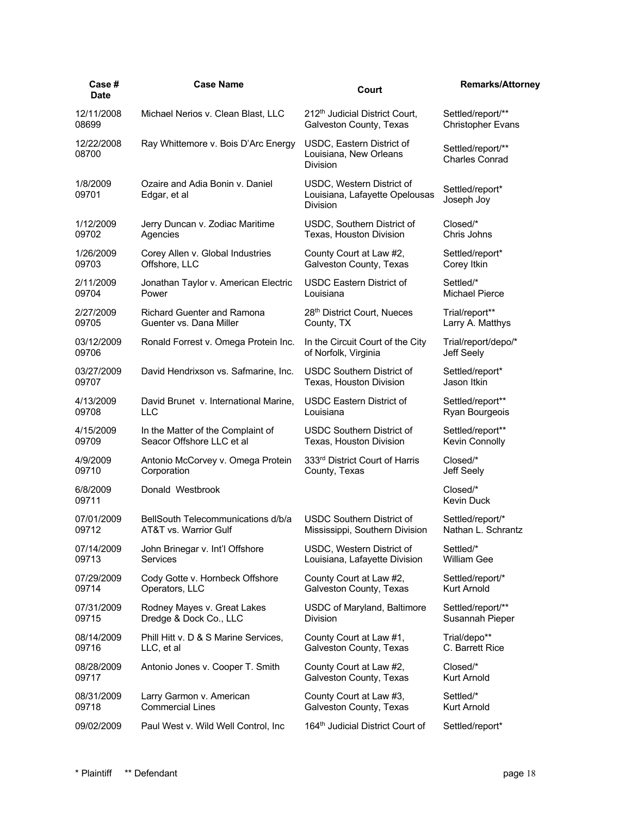| Case #<br><b>Date</b> | <b>Case Name</b>                                | Court                                                                   | <b>Remarks/Attorney</b>                    |
|-----------------------|-------------------------------------------------|-------------------------------------------------------------------------|--------------------------------------------|
| 12/11/2008            | Michael Nerios v. Clean Blast, LLC              | 212 <sup>th</sup> Judicial District Court,                              | Settled/report/**                          |
| 08699                 |                                                 | Galveston County, Texas                                                 | <b>Christopher Evans</b>                   |
| 12/22/2008<br>08700   | Ray Whittemore v. Bois D'Arc Energy             | USDC, Eastern District of<br>Louisiana, New Orleans<br><b>Division</b>  | Settled/report/**<br><b>Charles Conrad</b> |
| 1/8/2009<br>09701     | Ozaire and Adia Bonin v. Daniel<br>Edgar, et al | USDC, Western District of<br>Louisiana, Lafayette Opelousas<br>Division | Settled/report*<br>Joseph Joy              |
| 1/12/2009             | Jerry Duncan v. Zodiac Maritime                 | USDC, Southern District of                                              | Closed/*                                   |
| 09702                 | Agencies                                        | Texas, Houston Division                                                 | Chris Johns                                |
| 1/26/2009             | Corey Allen v. Global Industries                | County Court at Law #2,                                                 | Settled/report*                            |
| 09703                 | Offshore, LLC                                   | Galveston County, Texas                                                 | Corey Itkin                                |
| 2/11/2009             | Jonathan Taylor v. American Electric            | <b>USDC Eastern District of</b>                                         | Settled/*                                  |
| 09704                 | Power                                           | Louisiana                                                               | Michael Pierce                             |
| 2/27/2009             | <b>Richard Guenter and Ramona</b>               | 28th District Court, Nueces                                             | Trial/report**                             |
| 09705                 | Guenter vs. Dana Miller                         | County, TX                                                              | Larry A. Matthys                           |
| 03/12/2009            | Ronald Forrest v. Omega Protein Inc.            | In the Circuit Court of the City                                        | Trial/report/depo/*                        |
| 09706                 |                                                 | of Norfolk, Virginia                                                    | Jeff Seely                                 |
| 03/27/2009            | David Hendrixson vs. Safmarine, Inc.            | <b>USDC Southern District of</b>                                        | Settled/report*                            |
| 09707                 |                                                 | Texas, Houston Division                                                 | Jason Itkin                                |
| 4/13/2009             | David Brunet v. International Marine,           | USDC Eastern District of                                                | Settled/report**                           |
| 09708                 | LLC                                             | Louisiana                                                               | Ryan Bourgeois                             |
| 4/15/2009             | In the Matter of the Complaint of               | USDC Southern District of                                               | Settled/report**                           |
| 09709                 | Seacor Offshore LLC et al                       | Texas, Houston Division                                                 | Kevin Connolly                             |
| 4/9/2009              | Antonio McCorvey v. Omega Protein               | 333rd District Court of Harris                                          | Closed/*                                   |
| 09710                 | Corporation                                     | County, Texas                                                           | Jeff Seely                                 |
| 6/8/2009<br>09711     | Donald Westbrook                                |                                                                         | Closed/*<br>Kevin Duck                     |
| 07/01/2009            | BellSouth Telecommunications d/b/a              | USDC Southern District of                                               | Settled/report/*                           |
| 09712                 | AT&T vs. Warrior Gulf                           | Mississippi, Southern Division                                          | Nathan L. Schrantz                         |
| 07/14/2009            | John Brinegar v. Int'l Offshore                 | USDC, Western District of                                               | Settled/*                                  |
| 09713                 | <b>Services</b>                                 | Louisiana, Lafayette Division                                           | William Gee                                |
| 07/29/2009            | Cody Gotte v. Hornbeck Offshore                 | County Court at Law #2,                                                 | Settled/report/*                           |
| 09714                 | Operators, LLC                                  | Galveston County, Texas                                                 | Kurt Arnold                                |
| 07/31/2009            | Rodney Mayes v. Great Lakes                     | USDC of Maryland, Baltimore                                             | Settled/report/**                          |
| 09715                 | Dredge & Dock Co., LLC                          | <b>Division</b>                                                         | Susannah Pieper                            |
| 08/14/2009            | Phill Hitt v. D & S Marine Services,            | County Court at Law #1,                                                 | Trial/depo**                               |
| 09716                 | LLC, et al                                      | Galveston County, Texas                                                 | C. Barrett Rice                            |
| 08/28/2009            | Antonio Jones v. Cooper T. Smith                | County Court at Law #2,                                                 | Closed/*                                   |
| 09717                 |                                                 | Galveston County, Texas                                                 | Kurt Arnold                                |
| 08/31/2009            | Larry Garmon v. American                        | County Court at Law #3,                                                 | Settled/*                                  |
| 09718                 | <b>Commercial Lines</b>                         | Galveston County, Texas                                                 | Kurt Arnold                                |
| 09/02/2009            | Paul West v. Wild Well Control, Inc.            | 164 <sup>th</sup> Judicial District Court of                            | Settled/report*                            |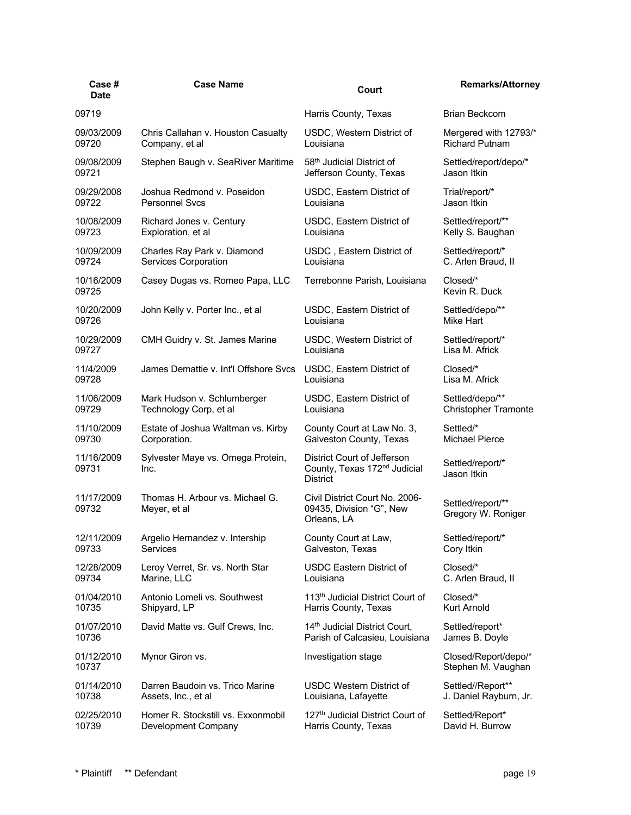| Case #<br><b>Date</b> | <b>Case Name</b>                                | Court                                                                                      | <b>Remarks/Attorney</b>                    |
|-----------------------|-------------------------------------------------|--------------------------------------------------------------------------------------------|--------------------------------------------|
| 09719                 |                                                 | Harris County, Texas                                                                       | <b>Brian Beckcom</b>                       |
| 09/03/2009            | Chris Callahan v. Houston Casualty              | USDC, Western District of                                                                  | Mergered with 12793/*                      |
| 09720                 | Company, et al                                  | Louisiana                                                                                  | <b>Richard Putnam</b>                      |
| 09/08/2009            | Stephen Baugh v. SeaRiver Maritime              | 58 <sup>th</sup> Judicial District of                                                      | Settled/report/depo/*                      |
| 09721                 |                                                 | Jefferson County, Texas                                                                    | Jason Itkin                                |
| 09/29/2008            | Joshua Redmond v. Poseidon                      | USDC, Eastern District of                                                                  | Trial/report/*                             |
| 09722                 | <b>Personnel Sycs</b>                           | Louisiana                                                                                  | Jason Itkin                                |
| 10/08/2009            | Richard Jones v. Century                        | USDC, Eastern District of                                                                  | Settled/report/**                          |
| 09723                 | Exploration, et al                              | Louisiana                                                                                  | Kelly S. Baughan                           |
| 10/09/2009            | Charles Ray Park v. Diamond                     | USDC, Eastern District of                                                                  | Settled/report/*                           |
| 09724                 | Services Corporation                            | Louisiana                                                                                  | C. Arlen Braud, II                         |
| 10/16/2009<br>09725   | Casey Dugas vs. Romeo Papa, LLC                 | Terrebonne Parish, Louisiana                                                               | Closed/*<br>Kevin R. Duck                  |
| 10/20/2009            | John Kelly v. Porter Inc., et al                | USDC, Eastern District of                                                                  | Settled/depo/**                            |
| 09726                 |                                                 | Louisiana                                                                                  | Mike Hart                                  |
| 10/29/2009            | CMH Guidry v. St. James Marine                  | USDC, Western District of                                                                  | Settled/report/*                           |
| 09727                 |                                                 | Louisiana                                                                                  | Lisa M. Africk                             |
| 11/4/2009             | James Demattie v. Int'l Offshore Svcs           | USDC, Eastern District of                                                                  | Closed/*                                   |
| 09728                 |                                                 | Louisiana                                                                                  | Lisa M. Africk                             |
| 11/06/2009            | Mark Hudson v. Schlumberger                     | USDC, Eastern District of                                                                  | Settled/depo/**                            |
| 09729                 | Technology Corp, et al                          | Louisiana                                                                                  | Christopher Tramonte                       |
| 11/10/2009            | Estate of Joshua Waltman vs. Kirby              | County Court at Law No. 3,                                                                 | Settled/*                                  |
| 09730                 | Corporation.                                    | Galveston County, Texas                                                                    | Michael Pierce                             |
| 11/16/2009<br>09731   | Sylvester Maye vs. Omega Protein,<br>Inc.       | District Court of Jefferson<br>County, Texas 172 <sup>nd</sup> Judicial<br><b>District</b> | Settled/report/*<br>Jason Itkin            |
| 11/17/2009<br>09732   | Thomas H. Arbour vs. Michael G.<br>Meyer, et al | Civil District Court No. 2006-<br>09435, Division "G", New<br>Orleans, LA                  | Settled/report/**<br>Gregory W. Roniger    |
| 12/11/2009            | Argelio Hernandez v. Intership                  | County Court at Law,                                                                       | Settled/report/*                           |
| 09733                 | <b>Services</b>                                 | Galveston, Texas                                                                           | Cory Itkin                                 |
| 12/28/2009            | Leroy Verret, Sr. vs. North Star                | <b>USDC Eastern District of</b>                                                            | Closed/*                                   |
| 09734                 | Marine, LLC                                     | Louisiana                                                                                  | C. Arlen Braud, II                         |
| 01/04/2010            | Antonio Lomeli vs. Southwest                    | 113 <sup>th</sup> Judicial District Court of                                               | Closed/*                                   |
| 10735                 | Shipyard, LP                                    | Harris County, Texas                                                                       | Kurt Arnold                                |
| 01/07/2010            | David Matte vs. Gulf Crews, Inc.                | 14 <sup>th</sup> Judicial District Court,                                                  | Settled/report*                            |
| 10736                 |                                                 | Parish of Calcasieu, Louisiana                                                             | James B. Doyle                             |
| 01/12/2010<br>10737   | Mynor Giron vs.                                 | Investigation stage                                                                        | Closed/Report/depo/*<br>Stephen M. Vaughan |
| 01/14/2010            | Darren Baudoin vs. Trico Marine                 | <b>USDC Western District of</b>                                                            | Settled//Report**                          |
| 10738                 | Assets, Inc., et al                             | Louisiana, Lafayette                                                                       | J. Daniel Rayburn, Jr.                     |
| 02/25/2010            | Homer R. Stockstill vs. Exxonmobil              | 127th Judicial District Court of                                                           | Settled/Report*                            |
| 10739                 | Development Company                             | Harris County, Texas                                                                       | David H. Burrow                            |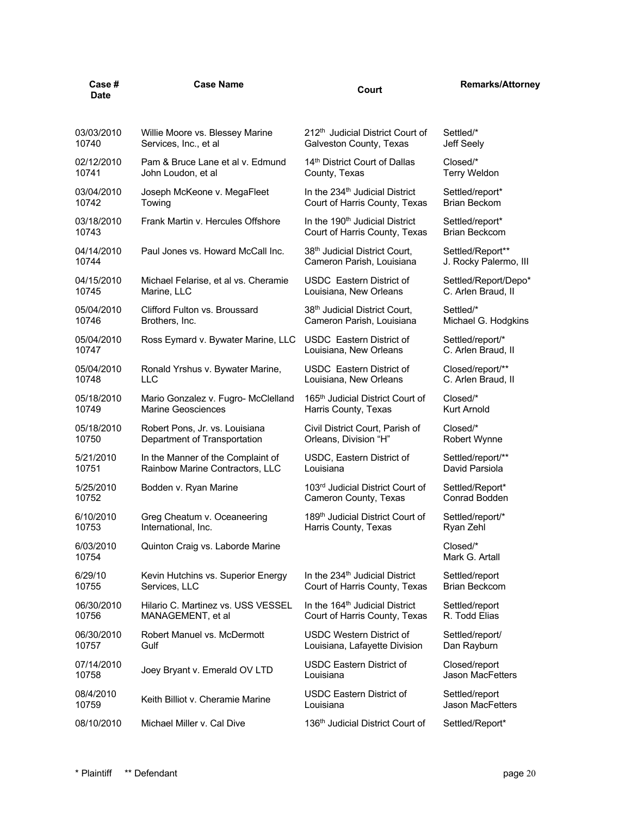| Case #<br><b>Date</b> | <b>Case Name</b>                     | Court                                        | <b>Remarks/Attorney</b>    |
|-----------------------|--------------------------------------|----------------------------------------------|----------------------------|
| 03/03/2010            | Willie Moore vs. Blessey Marine      | 212 <sup>th</sup> Judicial District Court of | Settled/*                  |
| 10740                 | Services, Inc., et al                | Galveston County, Texas                      | Jeff Seely                 |
| 02/12/2010            | Pam & Bruce Lane et al v. Edmund     | 14th District Court of Dallas                | Closed/*                   |
| 10741                 | John Loudon, et al                   | County, Texas                                | <b>Terry Weldon</b>        |
| 03/04/2010            | Joseph McKeone v. MegaFleet          | In the 234 <sup>th</sup> Judicial District   | Settled/report*            |
| 10742                 | Towing                               | Court of Harris County, Texas                | <b>Brian Beckom</b>        |
| 03/18/2010            | Frank Martin v. Hercules Offshore    | In the 190 <sup>th</sup> Judicial District   | Settled/report*            |
| 10743                 |                                      | Court of Harris County, Texas                | <b>Brian Beckcom</b>       |
| 04/14/2010            | Paul Jones vs. Howard McCall Inc.    | 38th Judicial District Court,                | Settled/Report**           |
| 10744                 |                                      | Cameron Parish, Louisiana                    | J. Rocky Palermo, III      |
| 04/15/2010            | Michael Felarise, et al vs. Cheramie | <b>USDC</b> Eastern District of              | Settled/Report/Depo*       |
| 10745                 | Marine, LLC                          | Louisiana, New Orleans                       | C. Arlen Braud, II         |
| 05/04/2010            | Clifford Fulton vs. Broussard        | 38th Judicial District Court,                | Settled/*                  |
| 10746                 | Brothers, Inc.                       | Cameron Parish, Louisiana                    | Michael G. Hodgkins        |
| 05/04/2010            | Ross Eymard v. Bywater Marine, LLC   | <b>USDC</b> Eastern District of              | Settled/report/*           |
| 10747                 |                                      | Louisiana, New Orleans                       | C. Arlen Braud, II         |
| 05/04/2010            | Ronald Yrshus v. Bywater Marine,     | USDC Eastern District of                     | Closed/report/**           |
| 10748                 | LLC                                  | Louisiana, New Orleans                       | C. Arlen Braud, II         |
| 05/18/2010            | Mario Gonzalez v. Fugro- McClelland  | 165 <sup>th</sup> Judicial District Court of | Closed/*                   |
| 10749                 | <b>Marine Geosciences</b>            | Harris County, Texas                         | Kurt Arnold                |
| 05/18/2010            | Robert Pons, Jr. vs. Louisiana       | Civil District Court, Parish of              | Closed/*                   |
| 10750                 | Department of Transportation         | Orleans, Division "H"                        | Robert Wynne               |
| 5/21/2010             | In the Manner of the Complaint of    | USDC, Eastern District of                    | Settled/report/**          |
| 10751                 | Rainbow Marine Contractors, LLC      | Louisiana                                    | David Parsiola             |
| 5/25/2010             | Bodden v. Ryan Marine                | 103rd Judicial District Court of             | Settled/Report*            |
| 10752                 |                                      | Cameron County, Texas                        | Conrad Bodden              |
| 6/10/2010             | Greg Cheatum v. Oceaneering          | 189 <sup>th</sup> Judicial District Court of | Settled/report/*           |
| 10753                 | International, Inc.                  | Harris County, Texas                         | Ryan Zehl                  |
| 6/03/2010<br>10754    | Quinton Craig vs. Laborde Marine     |                                              | Closed/*<br>Mark G. Artall |
| 6/29/10               | Kevin Hutchins vs. Superior Energy   | In the 234 <sup>th</sup> Judicial District   | Settled/report             |
| 10755                 | Services, LLC                        | Court of Harris County, Texas                | <b>Brian Beckcom</b>       |
| 06/30/2010            | Hilario C. Martinez vs. USS VESSEL   | In the 164 <sup>th</sup> Judicial District   | Settled/report             |
| 10756                 | MANAGEMENT, et al                    | Court of Harris County, Texas                | R. Todd Elias              |
| 06/30/2010            | Robert Manuel vs. McDermott          | USDC Western District of                     | Settled/report/            |
| 10757                 | Gulf                                 | Louisiana, Lafayette Division                | Dan Rayburn                |
| 07/14/2010            | Joey Bryant v. Emerald OV LTD        | <b>USDC Eastern District of</b>              | Closed/report              |
| 10758                 |                                      | Louisiana                                    | Jason MacFetters           |
| 08/4/2010             | Keith Billiot v. Cheramie Marine     | USDC Eastern District of                     | Settled/report             |
| 10759                 |                                      | Louisiana                                    | <b>Jason MacFetters</b>    |
| 08/10/2010            | Michael Miller v. Cal Dive           | 136 <sup>th</sup> Judicial District Court of | Settled/Report*            |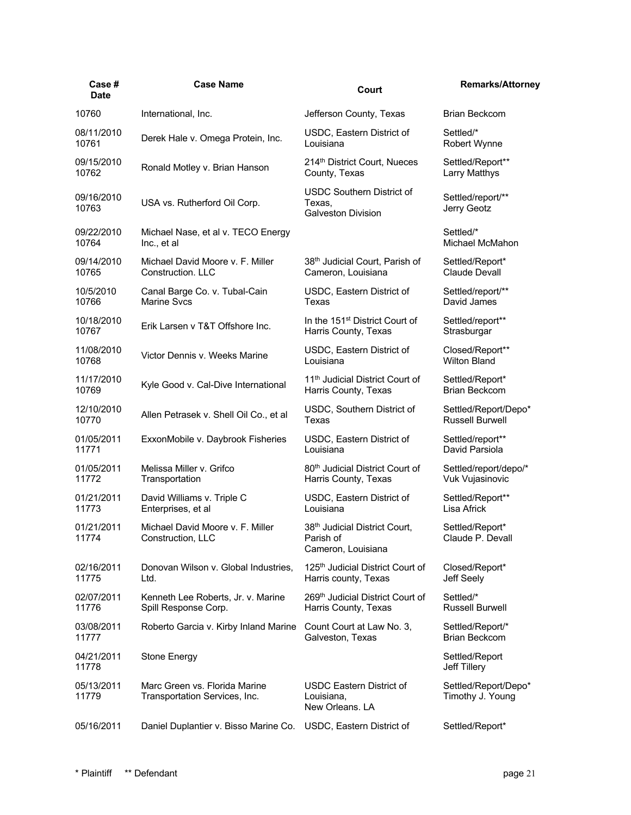| Case#<br><b>Date</b> | <b>Case Name</b>                                               | Court                                                                   | <b>Remarks/Attorney</b>                  |
|----------------------|----------------------------------------------------------------|-------------------------------------------------------------------------|------------------------------------------|
| 10760                | International, Inc.                                            | Jefferson County, Texas                                                 | <b>Brian Beckcom</b>                     |
| 08/11/2010           | Derek Hale v. Omega Protein, Inc.                              | USDC, Eastern District of                                               | Settled/*                                |
| 10761                |                                                                | Louisiana                                                               | Robert Wynne                             |
| 09/15/2010           | Ronald Motley v. Brian Hanson                                  | 214th District Court, Nueces                                            | Settled/Report**                         |
| 10762                |                                                                | County, Texas                                                           | Larry Matthys                            |
| 09/16/2010<br>10763  | USA vs. Rutherford Oil Corp.                                   | <b>USDC Southern District of</b><br>Texas,<br><b>Galveston Division</b> | Settled/report/**<br>Jerry Geotz         |
| 09/22/2010           | Michael Nase, et al v. TECO Energy                             |                                                                         | Settled/*                                |
| 10764                | Inc., et al                                                    |                                                                         | Michael McMahon                          |
| 09/14/2010           | Michael David Moore v. F. Miller                               | 38 <sup>th</sup> Judicial Court, Parish of                              | Settled/Report*                          |
| 10765                | Construction, LLC                                              | Cameron, Louisiana                                                      | Claude Devall                            |
| 10/5/2010            | Canal Barge Co. v. Tubal-Cain                                  | USDC, Eastern District of                                               | Settled/report/**                        |
| 10766                | <b>Marine Svcs</b>                                             | <b>Texas</b>                                                            | David James                              |
| 10/18/2010           | Erik Larsen v T&T Offshore Inc.                                | In the 151 <sup>st</sup> District Court of                              | Settled/report**                         |
| 10767                |                                                                | Harris County, Texas                                                    | Strasburgar                              |
| 11/08/2010           | Victor Dennis v. Weeks Marine                                  | USDC, Eastern District of                                               | Closed/Report**                          |
| 10768                |                                                                | Louisiana                                                               | <b>Wilton Bland</b>                      |
| 11/17/2010           | Kyle Good v. Cal-Dive International                            | 11 <sup>th</sup> Judicial District Court of                             | Settled/Report*                          |
| 10769                |                                                                | Harris County, Texas                                                    | <b>Brian Beckcom</b>                     |
| 12/10/2010           | Allen Petrasek v. Shell Oil Co., et al                         | USDC, Southern District of                                              | Settled/Report/Depo*                     |
| 10770                |                                                                | Texas                                                                   | <b>Russell Burwell</b>                   |
| 01/05/2011           | ExxonMobile v. Daybrook Fisheries                              | USDC, Eastern District of                                               | Settled/report**                         |
| 11771                |                                                                | Louisiana                                                               | David Parsiola                           |
| 01/05/2011           | Melissa Miller v. Grifco                                       | 80 <sup>th</sup> Judicial District Court of                             | Settled/report/depo/*                    |
| 11772                | Transportation                                                 | Harris County, Texas                                                    | Vuk Vujasinovic                          |
| 01/21/2011           | David Williams v. Triple C                                     | USDC, Eastern District of                                               | Settled/Report**                         |
| 11773                | Enterprises, et al                                             | Louisiana                                                               | Lisa Africk                              |
| 01/21/2011<br>11774  | Michael David Moore v. F. Miller<br>Construction, LLC          | 38th Judicial District Court.<br>Parish of<br>Cameron, Louisiana        | Settled/Report*<br>Claude P. Devall      |
| 02/16/2011           | Donovan Wilson v. Global Industries,                           | 125 <sup>th</sup> Judicial District Court of                            | Closed/Report*                           |
| 11775                | Ltd.                                                           | Harris county, Texas                                                    | Jeff Seely                               |
| 02/07/2011           | Kenneth Lee Roberts, Jr. v. Marine                             | 269th Judicial District Court of                                        | Settled/*                                |
| 11776                | Spill Response Corp.                                           | Harris County, Texas                                                    | <b>Russell Burwell</b>                   |
| 03/08/2011           | Roberto Garcia v. Kirby Inland Marine                          | Count Court at Law No. 3,                                               | Settled/Report/*                         |
| 11777                |                                                                | Galveston, Texas                                                        | <b>Brian Beckcom</b>                     |
| 04/21/2011<br>11778  | <b>Stone Energy</b>                                            |                                                                         | Settled/Report<br>Jeff Tillery           |
| 05/13/2011<br>11779  | Marc Green vs. Florida Marine<br>Transportation Services, Inc. | <b>USDC Eastern District of</b><br>Louisiana,<br>New Orleans. LA        | Settled/Report/Depo*<br>Timothy J. Young |
| 05/16/2011           | Daniel Duplantier v. Bisso Marine Co.                          | USDC, Eastern District of                                               | Settled/Report*                          |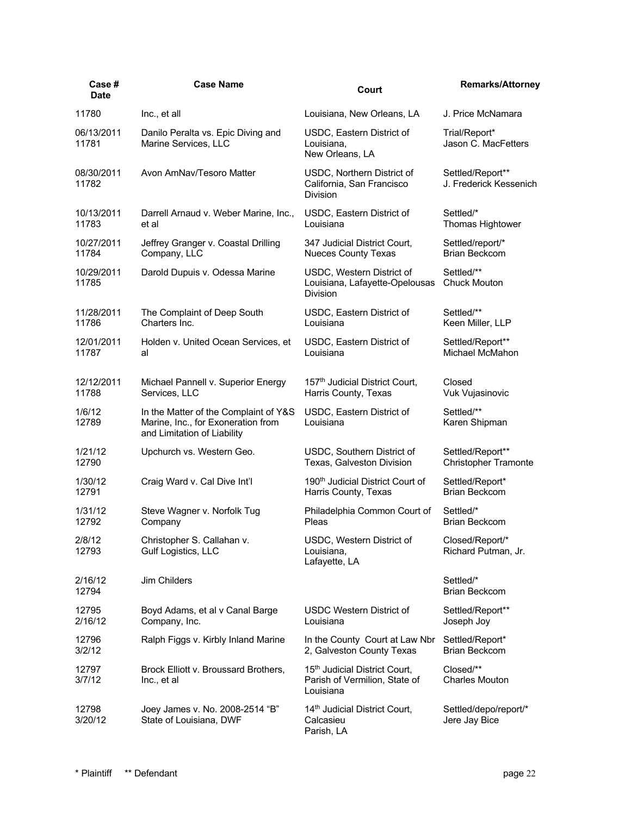| Case#<br><b>Date</b> | <b>Case Name</b>                                                                                           | Court                                                                                   | <b>Remarks/Attorney</b>                    |
|----------------------|------------------------------------------------------------------------------------------------------------|-----------------------------------------------------------------------------------------|--------------------------------------------|
| 11780                | Inc., et all                                                                                               | Louisiana, New Orleans, LA                                                              | J. Price McNamara                          |
| 06/13/2011<br>11781  | Danilo Peralta vs. Epic Diving and<br>Marine Services, LLC                                                 | USDC, Eastern District of<br>Louisiana,<br>New Orleans, LA                              | Trial/Report*<br>Jason C. MacFetters       |
| 08/30/2011<br>11782  | Avon AmNav/Tesoro Matter                                                                                   | USDC, Northern District of<br>California, San Francisco<br><b>Division</b>              | Settled/Report**<br>J. Frederick Kessenich |
| 10/13/2011           | Darrell Arnaud v. Weber Marine, Inc.,                                                                      | USDC, Eastern District of                                                               | Settled/*                                  |
| 11783                | et al                                                                                                      | Louisiana                                                                               | Thomas Hightower                           |
| 10/27/2011           | Jeffrey Granger v. Coastal Drilling                                                                        | 347 Judicial District Court,                                                            | Settled/report/*                           |
| 11784                | Company, LLC                                                                                               | <b>Nueces County Texas</b>                                                              | <b>Brian Beckcom</b>                       |
| 10/29/2011<br>11785  | Darold Dupuis v. Odessa Marine                                                                             | USDC, Western District of<br>Louisiana, Lafayette-Opelousas<br><b>Division</b>          | Settled/**<br><b>Chuck Mouton</b>          |
| 11/28/2011           | The Complaint of Deep South                                                                                | USDC, Eastern District of                                                               | Settled/**                                 |
| 11786                | Charters Inc.                                                                                              | Louisiana                                                                               | Keen Miller, LLP                           |
| 12/01/2011           | Holden v. United Ocean Services, et                                                                        | USDC, Eastern District of                                                               | Settled/Report**                           |
| 11787                | al                                                                                                         | Louisiana                                                                               | Michael McMahon                            |
| 12/12/2011           | Michael Pannell v. Superior Energy                                                                         | 157 <sup>th</sup> Judicial District Court,                                              | Closed                                     |
| 11788                | Services, LLC                                                                                              | Harris County, Texas                                                                    | Vuk Vujasinovic                            |
| 1/6/12<br>12789      | In the Matter of the Complaint of Y&S<br>Marine, Inc., for Exoneration from<br>and Limitation of Liability | USDC, Eastern District of<br>Louisiana                                                  | Settled/**<br>Karen Shipman                |
| 1/21/12              | Upchurch vs. Western Geo.                                                                                  | USDC, Southern District of                                                              | Settled/Report**                           |
| 12790                |                                                                                                            | Texas, Galveston Division                                                               | <b>Christopher Tramonte</b>                |
| 1/30/12              | Craig Ward v. Cal Dive Int'l                                                                               | 190 <sup>th</sup> Judicial District Court of                                            | Settled/Report*                            |
| 12791                |                                                                                                            | Harris County, Texas                                                                    | <b>Brian Beckcom</b>                       |
| 1/31/12              | Steve Wagner v. Norfolk Tug                                                                                | Philadelphia Common Court of                                                            | Settled/*                                  |
| 12792                | Company                                                                                                    | Pleas                                                                                   | <b>Brian Beckcom</b>                       |
| 2/8/12<br>12793      | Christopher S. Callahan v.<br>Gulf Logistics, LLC                                                          | USDC, Western District of<br>Louisiana,<br>Lafayette, LA                                | Closed/Report/*<br>Richard Putman, Jr.     |
| 2/16/12<br>12794     | Jim Childers                                                                                               |                                                                                         | Settled/*<br><b>Brian Beckcom</b>          |
| 12795                | Boyd Adams, et al v Canal Barge                                                                            | <b>USDC Western District of</b>                                                         | Settled/Report**                           |
| 2/16/12              | Company, Inc.                                                                                              | Louisiana                                                                               | Joseph Joy                                 |
| 12796                | Ralph Figgs v. Kirbly Inland Marine                                                                        | In the County Court at Law Nbr                                                          | Settled/Report*                            |
| 3/2/12               |                                                                                                            | 2, Galveston County Texas                                                               | <b>Brian Beckcom</b>                       |
| 12797<br>3/7/12      | Brock Elliott v. Broussard Brothers,<br>Inc., et al                                                        | 15 <sup>th</sup> Judicial District Court,<br>Parish of Vermilion, State of<br>Louisiana | Closed/**<br><b>Charles Mouton</b>         |
| 12798<br>3/20/12     | Joey James v. No. 2008-2514 "B"<br>State of Louisiana, DWF                                                 | 14 <sup>th</sup> Judicial District Court,<br>Calcasieu<br>Parish, LA                    | Settled/depo/report/*<br>Jere Jay Bice     |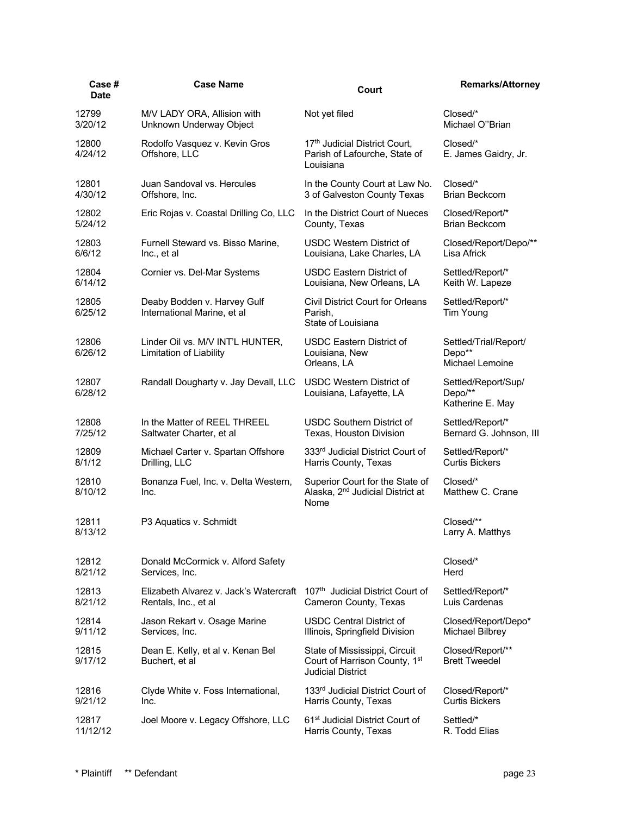| Case #<br><b>Date</b> | <b>Case Name</b>                                            | Court                                                                                      | <b>Remarks/Attorney</b>                            |
|-----------------------|-------------------------------------------------------------|--------------------------------------------------------------------------------------------|----------------------------------------------------|
| 12799                 | M/V LADY ORA, Allision with                                 | Not yet filed                                                                              | Closed/*                                           |
| 3/20/12               | Unknown Underway Object                                     |                                                                                            | Michael O"Brian                                    |
| 12800<br>4/24/12      | Rodolfo Vasquez v. Kevin Gros<br>Offshore, LLC              | 17th Judicial District Court,<br>Parish of Lafourche, State of<br>Louisiana                | Closed/*<br>E. James Gaidry, Jr.                   |
| 12801                 | Juan Sandoval vs. Hercules                                  | In the County Court at Law No.                                                             | Closed/*                                           |
| 4/30/12               | Offshore, Inc.                                              | 3 of Galveston County Texas                                                                | Brian Beckcom                                      |
| 12802                 | Eric Rojas v. Coastal Drilling Co, LLC                      | In the District Court of Nueces                                                            | Closed/Report/*                                    |
| 5/24/12               |                                                             | County, Texas                                                                              | <b>Brian Beckcom</b>                               |
| 12803                 | Furnell Steward vs. Bisso Marine,                           | <b>USDC Western District of</b>                                                            | Closed/Report/Depo/**                              |
| 6/6/12                | Inc., et al                                                 | Louisiana, Lake Charles, LA                                                                | Lisa Africk                                        |
| 12804                 | Cornier vs. Del-Mar Systems                                 | USDC Eastern District of                                                                   | Settled/Report/*                                   |
| 6/14/12               |                                                             | Louisiana, New Orleans, LA                                                                 | Keith W. Lapeze                                    |
| 12805<br>6/25/12      | Deaby Bodden v. Harvey Gulf<br>International Marine, et al  | <b>Civil District Court for Orleans</b><br>Parish,<br>State of Louisiana                   | Settled/Report/*<br>Tim Young                      |
| 12806<br>6/26/12      | Linder Oil vs. M/V INT'L HUNTER,<br>Limitation of Liability | <b>USDC Eastern District of</b><br>Louisiana, New<br>Orleans, LA                           | Settled/Trial/Report/<br>Depo**<br>Michael Lemoine |
| 12807<br>6/28/12      | Randall Dougharty v. Jay Devall, LLC                        | <b>USDC Western District of</b><br>Louisiana, Lafayette, LA                                | Settled/Report/Sup/<br>Depo/**<br>Katherine E. May |
| 12808                 | In the Matter of REEL THREEL                                | <b>USDC Southern District of</b>                                                           | Settled/Report/*                                   |
| 7/25/12               | Saltwater Charter, et al                                    | Texas, Houston Division                                                                    | Bernard G. Johnson, III                            |
| 12809                 | Michael Carter v. Spartan Offshore                          | 333rd Judicial District Court of                                                           | Settled/Report/*                                   |
| 8/1/12                | Drilling, LLC                                               | Harris County, Texas                                                                       | <b>Curtis Bickers</b>                              |
| 12810<br>8/10/12      | Bonanza Fuel, Inc. v. Delta Western,<br>Inc.                | Superior Court for the State of<br>Alaska, 2 <sup>nd</sup> Judicial District at<br>Nome    | Closed/*<br>Matthew C. Crane                       |
| 12811<br>8/13/12      | P3 Aquatics v. Schmidt                                      |                                                                                            | Closed/**<br>Larry A. Matthys                      |
| 12812                 | Donald McCormick v. Alford Safety                           |                                                                                            | Closed/*                                           |
| 8/21/12               | Services, Inc.                                              |                                                                                            | Herd                                               |
| 12813                 | Elizabeth Alvarez v. Jack's Watercraft                      | 107th Judicial District Court of                                                           | Settled/Report/*                                   |
| 8/21/12               | Rentals, Inc., et al                                        | Cameron County, Texas                                                                      | Luis Cardenas                                      |
| 12814                 | Jason Rekart v. Osage Marine                                | USDC Central District of                                                                   | Closed/Report/Depo*                                |
| 9/11/12               | Services, Inc.                                              | Illinois, Springfield Division                                                             | <b>Michael Bilbrey</b>                             |
| 12815<br>9/17/12      | Dean E. Kelly, et al v. Kenan Bel<br>Buchert, et al         | State of Mississippi, Circuit<br>Court of Harrison County, 1st<br><b>Judicial District</b> | Closed/Report/**<br><b>Brett Tweedel</b>           |
| 12816                 | Clyde White v. Foss International,                          | 133 <sup>rd</sup> Judicial District Court of                                               | Closed/Report/*                                    |
| 9/21/12               | Inc.                                                        | Harris County, Texas                                                                       | <b>Curtis Bickers</b>                              |
| 12817                 | Joel Moore v. Legacy Offshore, LLC                          | 61 <sup>st</sup> Judicial District Court of                                                | Settled/*                                          |
| 11/12/12              |                                                             | Harris County, Texas                                                                       | R. Todd Elias                                      |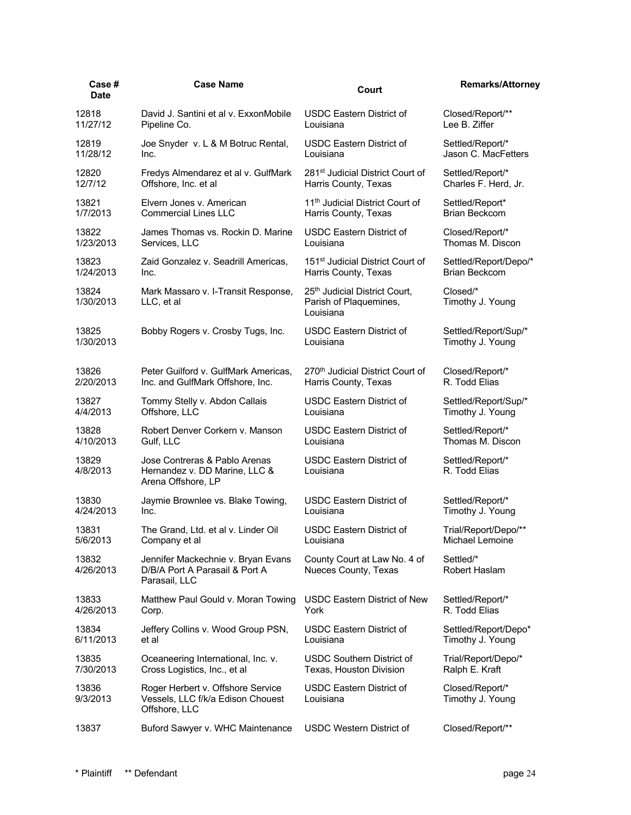| Case#<br><b>Date</b> | <b>Case Name</b>                                                                        | Court                                                                | <b>Remarks/Attorney</b>             |
|----------------------|-----------------------------------------------------------------------------------------|----------------------------------------------------------------------|-------------------------------------|
| 12818                | David J. Santini et al v. ExxonMobile                                                   | <b>USDC Eastern District of</b>                                      | Closed/Report/**                    |
| 11/27/12             | Pipeline Co.                                                                            | Louisiana                                                            | Lee B. Ziffer                       |
| 12819                | Joe Snyder v. L & M Botruc Rental,                                                      | <b>USDC Eastern District of</b>                                      | Settled/Report/*                    |
| 11/28/12             | Inc.                                                                                    | Louisiana                                                            | Jason C. MacFetters                 |
| 12820                | Fredys Almendarez et al v. GulfMark                                                     | 281 <sup>st</sup> Judicial District Court of                         | Settled/Report/*                    |
| 12/7/12              | Offshore, Inc. et al                                                                    | Harris County, Texas                                                 | Charles F. Herd, Jr.                |
| 13821                | Elvern Jones v. American                                                                | 11 <sup>th</sup> Judicial District Court of                          | Settled/Report*                     |
| 1/7/2013             | <b>Commercial Lines LLC</b>                                                             | Harris County, Texas                                                 | <b>Brian Beckcom</b>                |
| 13822                | James Thomas vs. Rockin D. Marine                                                       | <b>USDC Eastern District of</b>                                      | Closed/Report/*                     |
| 1/23/2013            | Services, LLC                                                                           | Louisiana                                                            | Thomas M. Discon                    |
| 13823                | Zaid Gonzalez v. Seadrill Americas,                                                     | 151 <sup>st</sup> Judicial District Court of                         | Settled/Report/Depo/*               |
| 1/24/2013            | Inc.                                                                                    | Harris County, Texas                                                 | Brian Beckcom                       |
| 13824<br>1/30/2013   | Mark Massaro v. I-Transit Response,<br>LLC, et al                                       | 25th Judicial District Court,<br>Parish of Plaquemines,<br>Louisiana | Closed/*<br>Timothy J. Young        |
| 13825                | Bobby Rogers v. Crosby Tugs, Inc.                                                       | <b>USDC Eastern District of</b>                                      | Settled/Report/Sup/*                |
| 1/30/2013            |                                                                                         | Louisiana                                                            | Timothy J. Young                    |
| 13826                | Peter Guilford v. GulfMark Americas.                                                    | 270th Judicial District Court of                                     | Closed/Report/*                     |
| 2/20/2013            | Inc. and GulfMark Offshore, Inc.                                                        | Harris County, Texas                                                 | R. Todd Elias                       |
| 13827                | Tommy Stelly v. Abdon Callais                                                           | <b>USDC Eastern District of</b>                                      | Settled/Report/Sup/*                |
| 4/4/2013             | Offshore, LLC                                                                           | Louisiana                                                            | Timothy J. Young                    |
| 13828                | Robert Denver Corkern v. Manson                                                         | <b>USDC Eastern District of</b>                                      | Settled/Report/*                    |
| 4/10/2013            | Gulf, LLC                                                                               | Louisiana                                                            | Thomas M. Discon                    |
| 13829<br>4/8/2013    | Jose Contreras & Pablo Arenas<br>Hernandez v. DD Marine, LLC &<br>Arena Offshore, LP    | <b>USDC Eastern District of</b><br>Louisiana                         | Settled/Report/*<br>R. Todd Elias   |
| 13830                | Jaymie Brownlee vs. Blake Towing,                                                       | <b>USDC Eastern District of</b>                                      | Settled/Report/*                    |
| 4/24/2013            | Inc.                                                                                    | Louisiana                                                            | Timothy J. Young                    |
| 13831                | The Grand, Ltd. et al v. Linder Oil                                                     | <b>USDC Eastern District of</b>                                      | Trial/Report/Depo/**                |
| 5/6/2013             | Company et al                                                                           | Louisiana                                                            | Michael Lemoine                     |
| 13832<br>4/26/2013   | Jennifer Mackechnie v. Bryan Evans<br>D/B/A Port A Parasail & Port A<br>Parasail, LLC   | County Court at Law No. 4 of<br>Nueces County, Texas                 | Settled/*<br>Robert Haslam          |
| 13833                | Matthew Paul Gould v. Moran Towing                                                      | USDC Eastern District of New                                         | Settled/Report/*                    |
| 4/26/2013            | Corp.                                                                                   | York                                                                 | R. Todd Elias                       |
| 13834                | Jeffery Collins v. Wood Group PSN,                                                      | <b>USDC Eastern District of</b>                                      | Settled/Report/Depo*                |
| 6/11/2013            | et al                                                                                   | Louisiana                                                            | Timothy J. Young                    |
| 13835                | Oceaneering International, Inc. v.                                                      | <b>USDC Southern District of</b>                                     | Trial/Report/Depo/*                 |
| 7/30/2013            | Cross Logistics, Inc., et al                                                            | Texas, Houston Division                                              | Ralph E. Kraft                      |
| 13836<br>9/3/2013    | Roger Herbert v. Offshore Service<br>Vessels, LLC f/k/a Edison Chouest<br>Offshore, LLC | <b>USDC Eastern District of</b><br>Louisiana                         | Closed/Report/*<br>Timothy J. Young |
| 13837                | Buford Sawyer v. WHC Maintenance                                                        | <b>USDC Western District of</b>                                      | Closed/Report/**                    |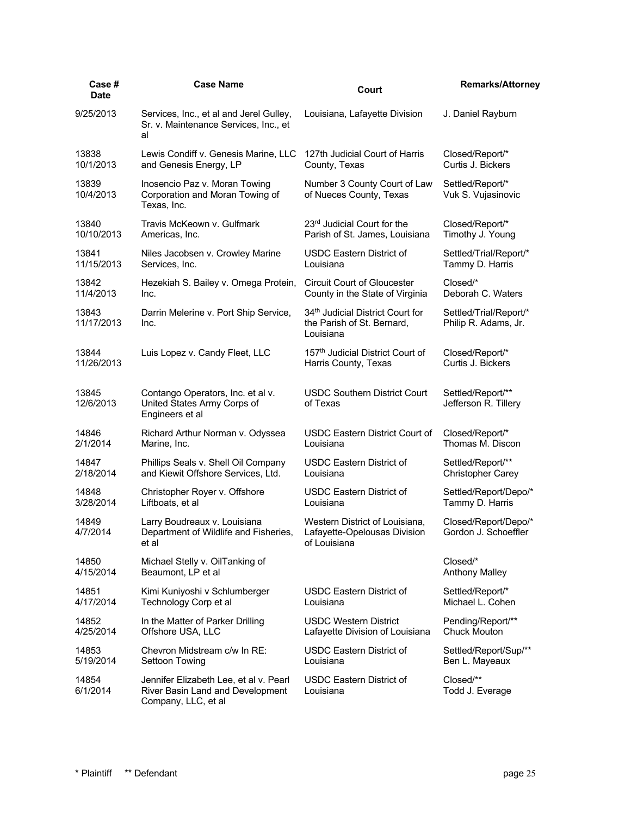| Case#<br><b>Date</b> | <b>Case Name</b>                                                                                  | Court                                                                                   | <b>Remarks/Attorney</b>                        |
|----------------------|---------------------------------------------------------------------------------------------------|-----------------------------------------------------------------------------------------|------------------------------------------------|
| 9/25/2013            | Services, Inc., et al and Jerel Gulley,<br>Sr. v. Maintenance Services, Inc., et<br>al            | Louisiana, Lafayette Division                                                           | J. Daniel Rayburn                              |
| 13838                | Lewis Condiff v. Genesis Marine, LLC                                                              | 127th Judicial Court of Harris                                                          | Closed/Report/*                                |
| 10/1/2013            | and Genesis Energy, LP                                                                            | County, Texas                                                                           | Curtis J. Bickers                              |
| 13839<br>10/4/2013   | Inosencio Paz v. Moran Towing<br>Corporation and Moran Towing of<br>Texas, Inc.                   | Number 3 County Court of Law<br>of Nueces County, Texas                                 | Settled/Report/*<br>Vuk S. Vujasinovic         |
| 13840                | Travis McKeown v. Gulfmark                                                                        | 23rd Judicial Court for the                                                             | Closed/Report/*                                |
| 10/10/2013           | Americas, Inc.                                                                                    | Parish of St. James, Louisiana                                                          | Timothy J. Young                               |
| 13841                | Niles Jacobsen v. Crowley Marine                                                                  | USDC Eastern District of                                                                | Settled/Trial/Report/*                         |
| 11/15/2013           | Services, Inc.                                                                                    | Louisiana                                                                               | Tammy D. Harris                                |
| 13842                | Hezekiah S. Bailey v. Omega Protein,                                                              | <b>Circuit Court of Gloucester</b>                                                      | Closed/*                                       |
| 11/4/2013            | Inc.                                                                                              | County in the State of Virginia                                                         | Deborah C. Waters                              |
| 13843<br>11/17/2013  | Darrin Melerine v. Port Ship Service,<br>Inc.                                                     | 34 <sup>th</sup> Judicial District Court for<br>the Parish of St. Bernard,<br>Louisiana | Settled/Trial/Report/*<br>Philip R. Adams, Jr. |
| 13844                | Luis Lopez v. Candy Fleet, LLC                                                                    | 157 <sup>th</sup> Judicial District Court of                                            | Closed/Report/*                                |
| 11/26/2013           |                                                                                                   | Harris County, Texas                                                                    | Curtis J. Bickers                              |
| 13845<br>12/6/2013   | Contango Operators, Inc. et al v.<br>United States Army Corps of<br>Engineers et al               | <b>USDC Southern District Court</b><br>of Texas                                         | Settled/Report/**<br>Jefferson R. Tillery      |
| 14846                | Richard Arthur Norman v. Odyssea                                                                  | <b>USDC Eastern District Court of</b>                                                   | Closed/Report/*                                |
| 2/1/2014             | Marine, Inc.                                                                                      | Louisiana                                                                               | Thomas M. Discon                               |
| 14847                | Phillips Seals v. Shell Oil Company                                                               | <b>USDC Eastern District of</b>                                                         | Settled/Report/**                              |
| 2/18/2014            | and Kiewit Offshore Services, Ltd.                                                                | Louisiana                                                                               | <b>Christopher Carey</b>                       |
| 14848                | Christopher Royer v. Offshore                                                                     | <b>USDC Eastern District of</b>                                                         | Settled/Report/Depo/*                          |
| 3/28/2014            | Liftboats, et al                                                                                  | Louisiana                                                                               | Tammy D. Harris                                |
| 14849<br>4/7/2014    | Larry Boudreaux v. Louisiana<br>Department of Wildlife and Fisheries,<br>et al                    | Western District of Louisiana,<br>Lafayette-Opelousas Division<br>of Louisiana          | Closed/Report/Depo/*<br>Gordon J. Schoeffler   |
| 14850                | Michael Stelly v. OilTanking of                                                                   |                                                                                         | Closed/*                                       |
| 4/15/2014            | Beaumont, LP et al                                                                                |                                                                                         | <b>Anthony Malley</b>                          |
| 14851                | Kimi Kuniyoshi v Schlumberger                                                                     | <b>USDC Eastern District of</b>                                                         | Settled/Report/*                               |
| 4/17/2014            | Technology Corp et al                                                                             | Louisiana                                                                               | Michael L. Cohen                               |
| 14852                | In the Matter of Parker Drilling                                                                  | <b>USDC Western District</b>                                                            | Pending/Report/**                              |
| 4/25/2014            | Offshore USA, LLC                                                                                 | Lafayette Division of Louisiana                                                         | <b>Chuck Mouton</b>                            |
| 14853                | Chevron Midstream c/w In RE:                                                                      | <b>USDC Eastern District of</b>                                                         | Settled/Report/Sup/**                          |
| 5/19/2014            | Settoon Towing                                                                                    | Louisiana                                                                               | Ben L. Mayeaux                                 |
| 14854<br>6/1/2014    | Jennifer Elizabeth Lee, et al v. Pearl<br>River Basin Land and Development<br>Company, LLC, et al | <b>USDC Eastern District of</b><br>Louisiana                                            | Closed/**<br>Todd J. Everage                   |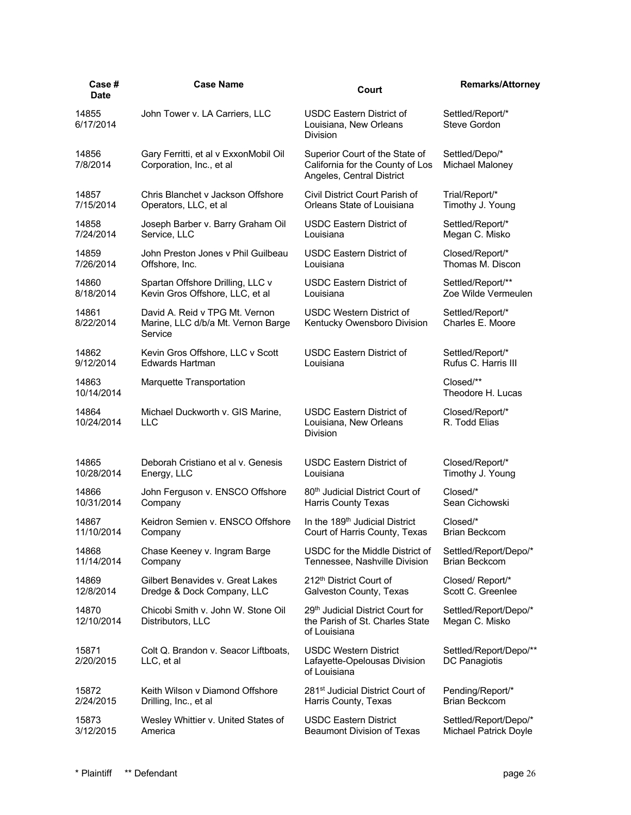| Case #<br><b>Date</b> | <b>Case Name</b>                                                                | Court                                                                                           | <b>Remarks/Attorney</b>                 |
|-----------------------|---------------------------------------------------------------------------------|-------------------------------------------------------------------------------------------------|-----------------------------------------|
| 14855<br>6/17/2014    | John Tower v. LA Carriers, LLC                                                  | <b>USDC Eastern District of</b><br>Louisiana, New Orleans<br><b>Division</b>                    | Settled/Report/*<br>Steve Gordon        |
| 14856<br>7/8/2014     | Gary Ferritti, et al v ExxonMobil Oil<br>Corporation, Inc., et al               | Superior Court of the State of<br>California for the County of Los<br>Angeles, Central District | Settled/Depo/*<br>Michael Maloney       |
| 14857                 | Chris Blanchet v Jackson Offshore                                               | Civil District Court Parish of                                                                  | Trial/Report/*                          |
| 7/15/2014             | Operators, LLC, et al                                                           | Orleans State of Louisiana                                                                      | Timothy J. Young                        |
| 14858                 | Joseph Barber v. Barry Graham Oil                                               | <b>USDC Eastern District of</b>                                                                 | Settled/Report/*                        |
| 7/24/2014             | Service, LLC                                                                    | Louisiana                                                                                       | Megan C. Misko                          |
| 14859                 | John Preston Jones v Phil Guilbeau                                              | <b>USDC Eastern District of</b>                                                                 | Closed/Report/*                         |
| 7/26/2014             | Offshore, Inc.                                                                  | Louisiana                                                                                       | Thomas M. Discon                        |
| 14860                 | Spartan Offshore Drilling, LLC v                                                | <b>USDC Eastern District of</b>                                                                 | Settled/Report/**                       |
| 8/18/2014             | Kevin Gros Offshore, LLC, et al                                                 | Louisiana                                                                                       | Zoe Wilde Vermeulen                     |
| 14861<br>8/22/2014    | David A. Reid v TPG Mt. Vernon<br>Marine, LLC d/b/a Mt. Vernon Barge<br>Service | <b>USDC Western District of</b><br>Kentucky Owensboro Division                                  | Settled/Report/*<br>Charles E. Moore    |
| 14862                 | Kevin Gros Offshore, LLC v Scott                                                | <b>USDC Eastern District of</b>                                                                 | Settled/Report/*                        |
| 9/12/2014             | <b>Edwards Hartman</b>                                                          | Louisiana                                                                                       | Rufus C. Harris III                     |
| 14863<br>10/14/2014   | Marquette Transportation                                                        |                                                                                                 | Closed/**<br>Theodore H. Lucas          |
| 14864<br>10/24/2014   | Michael Duckworth v. GIS Marine,<br>LLC                                         | <b>USDC Eastern District of</b><br>Louisiana, New Orleans<br><b>Division</b>                    | Closed/Report/*<br>R. Todd Elias        |
| 14865                 | Deborah Cristiano et al v. Genesis                                              | <b>USDC Eastern District of</b>                                                                 | Closed/Report/*                         |
| 10/28/2014            | Energy, LLC                                                                     | Louisiana                                                                                       | Timothy J. Young                        |
| 14866                 | John Ferguson v. ENSCO Offshore                                                 | 80 <sup>th</sup> Judicial District Court of                                                     | Closed/*                                |
| 10/31/2014            | Company                                                                         | Harris County Texas                                                                             | Sean Cichowski                          |
| 14867                 | Keidron Semien v. ENSCO Offshore                                                | In the 189 <sup>th</sup> Judicial District                                                      | Closed/*                                |
| 11/10/2014            | Company                                                                         | Court of Harris County, Texas                                                                   | <b>Brian Beckcom</b>                    |
| 14868                 | Chase Keeney v. Ingram Barge                                                    | USDC for the Middle District of                                                                 | Settled/Report/Depo/*                   |
| 11/14/2014            | Company                                                                         | Tennessee, Nashville Division                                                                   | <b>Brian Beckcom</b>                    |
| 14869                 | Gilbert Benavides v. Great Lakes                                                | 212 <sup>th</sup> District Court of                                                             | Closed/Report/*                         |
| 12/8/2014             | Dredge & Dock Company, LLC                                                      | Galveston County, Texas                                                                         | Scott C. Greenlee                       |
| 14870<br>12/10/2014   | Chicobi Smith v. John W. Stone Oil<br>Distributors, LLC                         | 29 <sup>th</sup> Judicial District Court for<br>the Parish of St. Charles State<br>of Louisiana | Settled/Report/Depo/*<br>Megan C. Misko |
| 15871<br>2/20/2015    | Colt Q. Brandon v. Seacor Liftboats,<br>LLC, et al                              | <b>USDC Western District</b><br>Lafayette-Opelousas Division<br>of Louisiana                    | Settled/Report/Depo/**<br>DC Panagiotis |
| 15872                 | Keith Wilson v Diamond Offshore                                                 | 281 <sup>st</sup> Judicial District Court of                                                    | Pending/Report/*                        |
| 2/24/2015             | Drilling, Inc., et al                                                           | Harris County, Texas                                                                            | <b>Brian Beckcom</b>                    |
| 15873                 | Wesley Whittier v. United States of                                             | <b>USDC Eastern District</b>                                                                    | Settled/Report/Depo/*                   |
| 3/12/2015             | America                                                                         | <b>Beaumont Division of Texas</b>                                                               | Michael Patrick Doyle                   |
|                       |                                                                                 |                                                                                                 |                                         |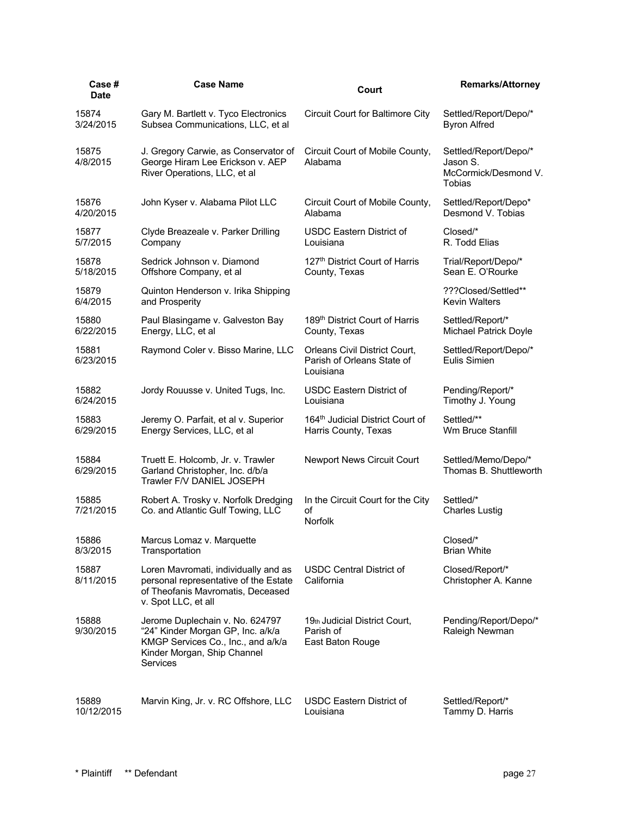| Case #<br><b>Date</b> | <b>Case Name</b>                                                                                                                                      | Court                                                                    | <b>Remarks/Attorney</b>                                                    |
|-----------------------|-------------------------------------------------------------------------------------------------------------------------------------------------------|--------------------------------------------------------------------------|----------------------------------------------------------------------------|
| 15874                 | Gary M. Bartlett v. Tyco Electronics                                                                                                                  | Circuit Court for Baltimore City                                         | Settled/Report/Depo/*                                                      |
| 3/24/2015             | Subsea Communications, LLC, et al                                                                                                                     |                                                                          | <b>Byron Alfred</b>                                                        |
| 15875<br>4/8/2015     | J. Gregory Carwie, as Conservator of<br>George Hiram Lee Erickson v. AEP<br>River Operations, LLC, et al                                              | Circuit Court of Mobile County,<br>Alabama                               | Settled/Report/Depo/*<br>Jason S.<br>McCormick/Desmond V.<br><b>Tobias</b> |
| 15876                 | John Kyser v. Alabama Pilot LLC                                                                                                                       | Circuit Court of Mobile County,                                          | Settled/Report/Depo*                                                       |
| 4/20/2015             |                                                                                                                                                       | Alabama                                                                  | Desmond V. Tobias                                                          |
| 15877                 | Clyde Breazeale v. Parker Drilling                                                                                                                    | <b>USDC Eastern District of</b>                                          | Closed/*                                                                   |
| 5/7/2015              | Company                                                                                                                                               | Louisiana                                                                | R. Todd Elias                                                              |
| 15878                 | Sedrick Johnson v. Diamond                                                                                                                            | 127th District Court of Harris                                           | Trial/Report/Depo/*                                                        |
| 5/18/2015             | Offshore Company, et al                                                                                                                               | County, Texas                                                            | Sean E. O'Rourke                                                           |
| 15879                 | Quinton Henderson v. Irika Shipping                                                                                                                   |                                                                          | ???Closed/Settled**                                                        |
| 6/4/2015              | and Prosperity                                                                                                                                        |                                                                          | <b>Kevin Walters</b>                                                       |
| 15880                 | Paul Blasingame v. Galveston Bay                                                                                                                      | 189 <sup>th</sup> District Court of Harris                               | Settled/Report/*                                                           |
| 6/22/2015             | Energy, LLC, et al                                                                                                                                    | County, Texas                                                            | <b>Michael Patrick Doyle</b>                                               |
| 15881<br>6/23/2015    | Raymond Coler v. Bisso Marine, LLC                                                                                                                    | Orleans Civil District Court,<br>Parish of Orleans State of<br>Louisiana | Settled/Report/Depo/*<br>Eulis Simien                                      |
| 15882                 | Jordy Rouusse v. United Tugs, Inc.                                                                                                                    | <b>USDC Eastern District of</b>                                          | Pending/Report/*                                                           |
| 6/24/2015             |                                                                                                                                                       | Louisiana                                                                | Timothy J. Young                                                           |
| 15883                 | Jeremy O. Parfait, et al v. Superior                                                                                                                  | 164 <sup>th</sup> Judicial District Court of                             | Settled/**                                                                 |
| 6/29/2015             | Energy Services, LLC, et al                                                                                                                           | Harris County, Texas                                                     | Wm Bruce Stanfill                                                          |
| 15884<br>6/29/2015    | Truett E. Holcomb, Jr. v. Trawler<br>Garland Christopher, Inc. d/b/a<br>Trawler F/V DANIEL JOSEPH                                                     | Newport News Circuit Court                                               | Settled/Memo/Depo/*<br>Thomas B. Shuttleworth                              |
| 15885<br>7/21/2015    | Robert A. Trosky v. Norfolk Dredging<br>Co. and Atlantic Gulf Towing, LLC                                                                             | In the Circuit Court for the City<br>of<br>Norfolk                       | Settled/*<br><b>Charles Lustig</b>                                         |
| 15886                 | Marcus Lomaz v. Marquette                                                                                                                             |                                                                          | Closed/*                                                                   |
| 8/3/2015              | Transportation                                                                                                                                        |                                                                          | <b>Brian White</b>                                                         |
| 15887<br>8/11/2015    | Loren Mavromati, individually and as<br>personal representative of the Estate<br>of Theofanis Mavromatis, Deceased<br>v. Spot LLC, et all             | <b>USDC Central District of</b><br>California                            | Closed/Report/*<br>Christopher A. Kanne                                    |
| 15888<br>9/30/2015    | Jerome Duplechain v. No. 624797<br>"24" Kinder Morgan GP, Inc. a/k/a<br>KMGP Services Co., Inc., and a/k/a<br>Kinder Morgan, Ship Channel<br>Services | 19th Judicial District Court,<br>Parish of<br>East Baton Rouge           | Pending/Report/Depo/*<br>Raleigh Newman                                    |
| 15889                 | Marvin King, Jr. v. RC Offshore, LLC                                                                                                                  | USDC Eastern District of                                                 | Settled/Report/*                                                           |
| 10/12/2015            |                                                                                                                                                       | Louisiana                                                                | Tammy D. Harris                                                            |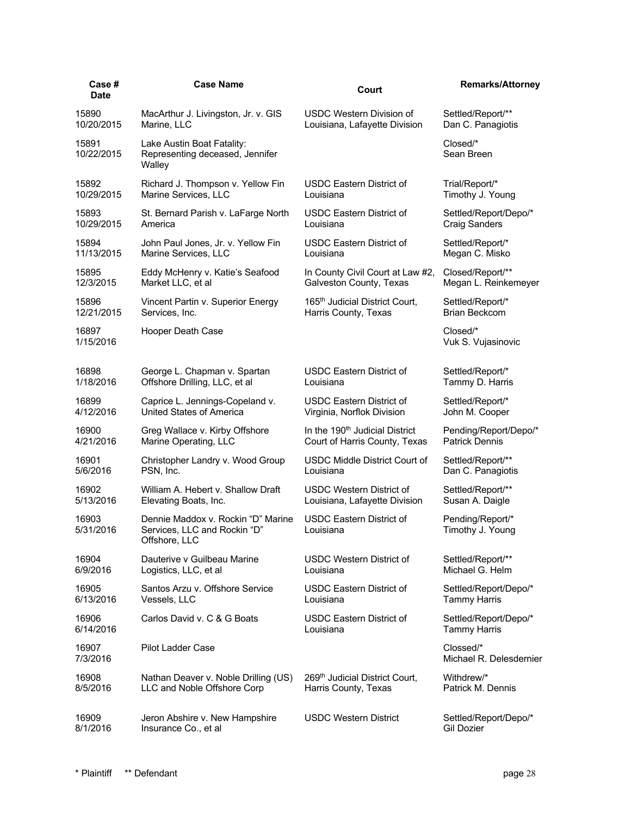| Case #<br>Date      | <b>Case Name</b>                                                                    | Court                                        | <b>Remarks/Attorney</b>              |
|---------------------|-------------------------------------------------------------------------------------|----------------------------------------------|--------------------------------------|
| 15890               | MacArthur J. Livingston, Jr. v. GIS                                                 | USDC Western Division of                     | Settled/Report/**                    |
| 10/20/2015          | Marine, LLC                                                                         | Louisiana, Lafayette Division                | Dan C. Panagiotis                    |
| 15891<br>10/22/2015 | Lake Austin Boat Fatality:<br>Representing deceased, Jennifer<br>Walley             |                                              | Closed/*<br>Sean Breen               |
| 15892               | Richard J. Thompson v. Yellow Fin                                                   | <b>USDC Eastern District of</b>              | Trial/Report/*                       |
| 10/29/2015          | Marine Services, LLC                                                                | Louisiana                                    | Timothy J. Young                     |
| 15893               | St. Bernard Parish v. LaFarge North                                                 | <b>USDC Eastern District of</b>              | Settled/Report/Depo/*                |
| 10/29/2015          | America                                                                             | Louisiana                                    | <b>Craig Sanders</b>                 |
| 15894               | John Paul Jones, Jr. v. Yellow Fin                                                  | <b>USDC Eastern District of</b>              | Settled/Report/*                     |
| 11/13/2015          | Marine Services, LLC                                                                | Louisiana                                    | Megan C. Misko                       |
| 15895               | Eddy McHenry v. Katie's Seafood                                                     | In County Civil Court at Law #2,             | Closed/Report/**                     |
| 12/3/2015           | Market LLC, et al                                                                   | Galveston County, Texas                      | Megan L. Reinkemeyer                 |
| 15896               | Vincent Partin v. Superior Energy                                                   | 165 <sup>th</sup> Judicial District Court,   | Settled/Report/*                     |
| 12/21/2015          | Services, Inc.                                                                      | Harris County, Texas                         | <b>Brian Beckcom</b>                 |
| 16897<br>1/15/2016  | Hooper Death Case                                                                   |                                              | Closed/*<br>Vuk S. Vujasinovic       |
| 16898               | George L. Chapman v. Spartan                                                        | <b>USDC Eastern District of</b>              | Settled/Report/*                     |
| 1/18/2016           | Offshore Drilling, LLC, et al                                                       | Louisiana                                    | Tammy D. Harris                      |
| 16899               | Caprice L. Jennings-Copeland v.                                                     | <b>USDC Eastern District of</b>              | Settled/Report/*                     |
| 4/12/2016           | United States of America                                                            | Virginia, Norflok Division                   | John M. Cooper                       |
| 16900               | Greg Wallace v. Kirby Offshore                                                      | In the 190 <sup>th</sup> Judicial District   | Pending/Report/Depo/*                |
| 4/21/2016           | Marine Operating, LLC                                                               | Court of Harris County, Texas                | <b>Patrick Dennis</b>                |
| 16901               | Christopher Landry v. Wood Group                                                    | USDC Middle District Court of                | Settled/Report/**                    |
| 5/6/2016            | PSN, Inc.                                                                           | Louisiana                                    | Dan C. Panagiotis                    |
| 16902               | William A. Hebert v. Shallow Draft                                                  | <b>USDC Western District of</b>              | Settled/Report/**                    |
| 5/13/2016           | Elevating Boats, Inc.                                                               | Louisiana, Lafayette Division                | Susan A. Daigle                      |
| 16903<br>5/31/2016  | Dennie Maddox v. Rockin "D" Marine<br>Services, LLC and Rockin "D"<br>Offshore, LLC | <b>USDC Eastern District of</b><br>Louisiana | Pending/Report/*<br>Timothy J. Young |
| 16904               | Dauterive v Guilbeau Marine                                                         | <b>USDC Western District of</b>              | Settled/Report/**                    |
| 6/9/2016            | Logistics, LLC, et al                                                               | Louisiana                                    | Michael G. Helm                      |
| 16905               | Santos Arzu v. Offshore Service                                                     | <b>USDC Eastern District of</b>              | Settled/Report/Depo/*                |
| 6/13/2016           | Vessels, LLC                                                                        | Louisiana                                    | <b>Tammy Harris</b>                  |
| 16906               | Carlos David v. C & G Boats                                                         | <b>USDC Eastern District of</b>              | Settled/Report/Depo/*                |
| 6/14/2016           |                                                                                     | Louisiana                                    | <b>Tammy Harris</b>                  |
| 16907<br>7/3/2016   | <b>Pilot Ladder Case</b>                                                            |                                              | Clossed/*<br>Michael R. Delesdernier |
| 16908               | Nathan Deaver v. Noble Drilling (US)                                                | 269 <sup>th</sup> Judicial District Court,   | Withdrew/*                           |
| 8/5/2016            | LLC and Noble Offshore Corp                                                         | Harris County, Texas                         | Patrick M. Dennis                    |
| 16909               | Jeron Abshire v. New Hampshire                                                      | USDC Western District                        | Settled/Report/Depo/*                |
| 8/1/2016            | Insurance Co., et al                                                                |                                              | <b>Gil Dozier</b>                    |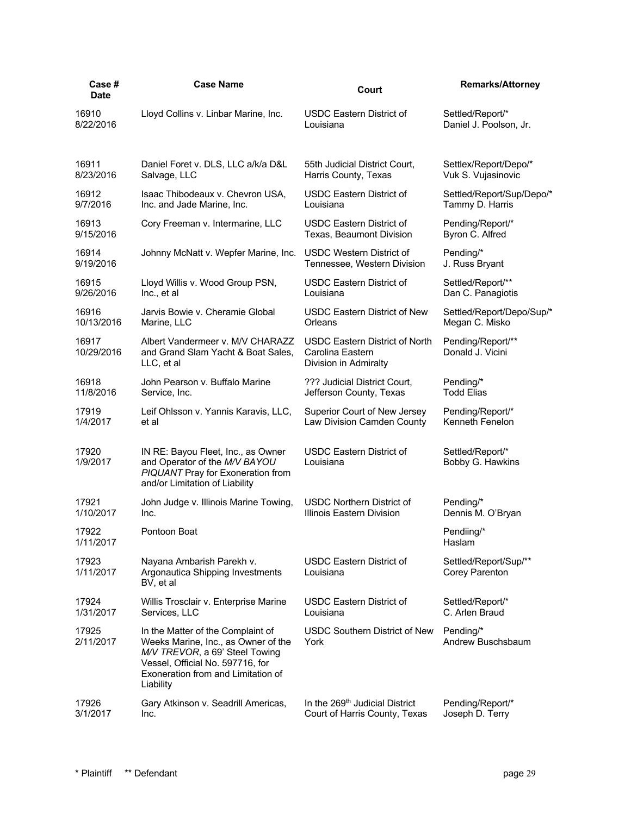| Case#<br><b>Date</b> | <b>Case Name</b>                                                                                                                                                                                  | Court                                                                              | <b>Remarks/Attorney</b>                 |
|----------------------|---------------------------------------------------------------------------------------------------------------------------------------------------------------------------------------------------|------------------------------------------------------------------------------------|-----------------------------------------|
| 16910                | Lloyd Collins v. Linbar Marine, Inc.                                                                                                                                                              | <b>USDC Eastern District of</b>                                                    | Settled/Report/*                        |
| 8/22/2016            |                                                                                                                                                                                                   | Louisiana                                                                          | Daniel J. Poolson, Jr.                  |
| 16911                | Daniel Foret v. DLS, LLC a/k/a D&L                                                                                                                                                                | 55th Judicial District Court,                                                      | Settlex/Report/Depo/*                   |
| 8/23/2016            | Salvage, LLC                                                                                                                                                                                      | Harris County, Texas                                                               | Vuk S. Vujasinovic                      |
| 16912                | Isaac Thibodeaux v. Chevron USA,                                                                                                                                                                  | <b>USDC Eastern District of</b>                                                    | Settled/Report/Sup/Depo/*               |
| 9/7/2016             | Inc. and Jade Marine, Inc.                                                                                                                                                                        | Louisiana                                                                          | Tammy D. Harris                         |
| 16913                | Cory Freeman v. Intermarine, LLC                                                                                                                                                                  | <b>USDC Eastern District of</b>                                                    | Pending/Report/*                        |
| 9/15/2016            |                                                                                                                                                                                                   | Texas, Beaumont Division                                                           | Byron C. Alfred                         |
| 16914                | Johnny McNatt v. Wepfer Marine, Inc.                                                                                                                                                              | <b>USDC Western District of</b>                                                    | Pending/*                               |
| 9/19/2016            |                                                                                                                                                                                                   | Tennessee, Western Division                                                        | J. Russ Bryant                          |
| 16915                | Lloyd Willis v. Wood Group PSN,                                                                                                                                                                   | <b>USDC Eastern District of</b>                                                    | Settled/Report/**                       |
| 9/26/2016            | Inc., et al                                                                                                                                                                                       | Louisiana                                                                          | Dan C. Panagiotis                       |
| 16916                | Jarvis Bowie v. Cheramie Global                                                                                                                                                                   | <b>USDC Eastern District of New</b>                                                | Settled/Report/Depo/Sup/*               |
| 10/13/2016           | Marine, LLC                                                                                                                                                                                       | Orleans                                                                            | Megan C. Misko                          |
| 16917<br>10/29/2016  | Albert Vandermeer v. M/V CHARAZZ<br>and Grand Slam Yacht & Boat Sales,<br>LLC, et al                                                                                                              | <b>USDC Eastern District of North</b><br>Carolina Eastern<br>Division in Admiralty | Pending/Report/**<br>Donald J. Vicini   |
| 16918                | John Pearson v. Buffalo Marine                                                                                                                                                                    | ??? Judicial District Court,                                                       | Pending/*                               |
| 11/8/2016            | Service, Inc.                                                                                                                                                                                     | Jefferson County, Texas                                                            | <b>Todd Elias</b>                       |
| 17919                | Leif Ohlsson v. Yannis Karavis, LLC,                                                                                                                                                              | Superior Court of New Jersey                                                       | Pending/Report/*                        |
| 1/4/2017             | et al                                                                                                                                                                                             | Law Division Camden County                                                         | Kenneth Fenelon                         |
| 17920<br>1/9/2017    | IN RE: Bayou Fleet, Inc., as Owner<br>and Operator of the M/V BAYOU<br>PIQUANT Pray for Exoneration from<br>and/or Limitation of Liability                                                        | <b>USDC Eastern District of</b><br>Louisiana                                       | Settled/Report/*<br>Bobby G. Hawkins    |
| 17921                | John Judge v. Illinois Marine Towing,                                                                                                                                                             | <b>USDC Northern District of</b>                                                   | Pending/*                               |
| 1/10/2017            | Inc.                                                                                                                                                                                              | Illinois Eastern Division                                                          | Dennis M. O'Bryan                       |
| 17922<br>1/11/2017   | Pontoon Boat                                                                                                                                                                                      |                                                                                    | Pendiing/*<br>Hasiam                    |
| 17923<br>1/11/2017   | Nayana Ambarish Parekh v.<br>Argonautica Shipping Investments<br>BV, et al                                                                                                                        | <b>USDC Eastern District of</b><br>Louisiana                                       | Settled/Report/Sup/**<br>Corey Parenton |
| 17924                | Willis Trosclair v. Enterprise Marine                                                                                                                                                             | <b>USDC Eastern District of</b>                                                    | Settled/Report/*                        |
| 1/31/2017            | Services, LLC                                                                                                                                                                                     | Louisiana                                                                          | C. Arlen Braud                          |
| 17925<br>2/11/2017   | In the Matter of the Complaint of<br>Weeks Marine, Inc., as Owner of the<br>M/V TREVOR, a 69' Steel Towing<br>Vessel, Official No. 597716, for<br>Exoneration from and Limitation of<br>Liability | <b>USDC Southern District of New</b><br>York                                       | Pending/*<br>Andrew Buschsbaum          |
| 17926                | Gary Atkinson v. Seadrill Americas,                                                                                                                                                               | In the 269 <sup>th</sup> Judicial District                                         | Pending/Report/*                        |
| 3/1/2017             | Inc.                                                                                                                                                                                              | Court of Harris County, Texas                                                      | Joseph D. Terry                         |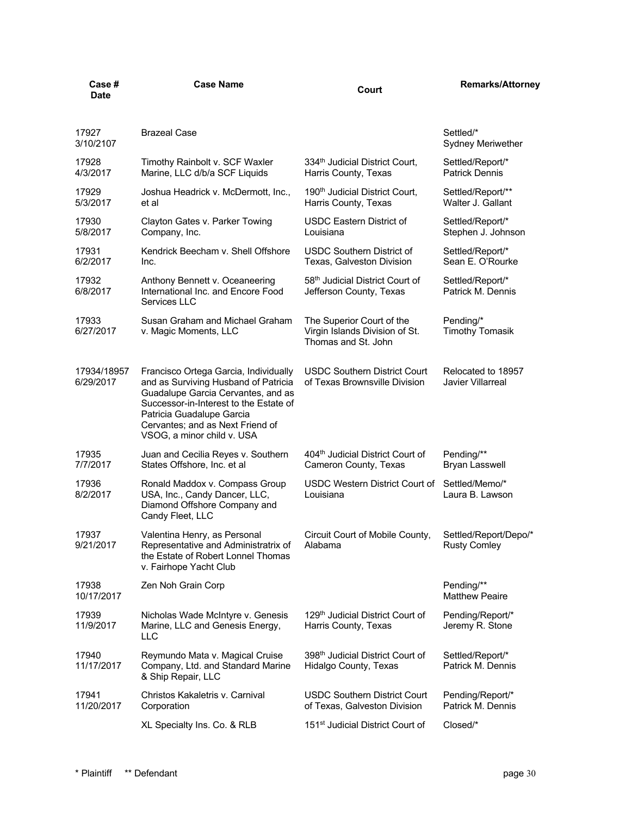| Case #<br><b>Date</b>    | <b>Case Name</b>                                                                                                                                                                                                                                             | Court                                                                              | <b>Remarks/Attorney</b>                      |
|--------------------------|--------------------------------------------------------------------------------------------------------------------------------------------------------------------------------------------------------------------------------------------------------------|------------------------------------------------------------------------------------|----------------------------------------------|
| 17927<br>3/10/2107       | <b>Brazeal Case</b>                                                                                                                                                                                                                                          |                                                                                    | Settled/*<br>Sydney Meriwether               |
| 17928<br>4/3/2017        | Timothy Rainbolt v. SCF Waxler<br>Marine, LLC d/b/a SCF Liquids                                                                                                                                                                                              | 334 <sup>th</sup> Judicial District Court,<br>Harris County, Texas                 | Settled/Report/*<br><b>Patrick Dennis</b>    |
| 17929<br>5/3/2017        | Joshua Headrick v. McDermott, Inc.,<br>et al                                                                                                                                                                                                                 | 190 <sup>th</sup> Judicial District Court,<br>Harris County, Texas                 | Settled/Report/**<br>Walter J. Gallant       |
| 17930<br>5/8/2017        | Clayton Gates v. Parker Towing<br>Company, Inc.                                                                                                                                                                                                              | <b>USDC Eastern District of</b><br>Louisiana                                       | Settled/Report/*<br>Stephen J. Johnson       |
| 17931<br>6/2/2017        | Kendrick Beecham v. Shell Offshore<br>Inc.                                                                                                                                                                                                                   | <b>USDC Southern District of</b><br>Texas, Galveston Division                      | Settled/Report/*<br>Sean E. O'Rourke         |
| 17932<br>6/8/2017        | Anthony Bennett v. Oceaneering<br>International Inc. and Encore Food<br>Services LLC                                                                                                                                                                         | 58th Judicial District Court of<br>Jefferson County, Texas                         | Settled/Report/*<br>Patrick M. Dennis        |
| 17933<br>6/27/2017       | Susan Graham and Michael Graham<br>v. Magic Moments, LLC                                                                                                                                                                                                     | The Superior Court of the<br>Virgin Islands Division of St.<br>Thomas and St. John | Pending/*<br><b>Timothy Tomasik</b>          |
| 17934/18957<br>6/29/2017 | Francisco Ortega Garcia, Individually<br>and as Surviving Husband of Patricia<br>Guadalupe Garcia Cervantes, and as<br>Successor-in-Interest to the Estate of<br>Patricia Guadalupe Garcia<br>Cervantes; and as Next Friend of<br>VSOG, a minor child v. USA | <b>USDC Southern District Court</b><br>of Texas Brownsville Division               | Relocated to 18957<br>Javier Villarreal      |
| 17935<br>7/7/2017        | Juan and Cecilia Reyes v. Southern<br>States Offshore, Inc. et al                                                                                                                                                                                            | 404th Judicial District Court of<br>Cameron County, Texas                          | Pending/**<br><b>Bryan Lasswell</b>          |
| 17936<br>8/2/2017        | Ronald Maddox v. Compass Group<br>USA, Inc., Candy Dancer, LLC,<br>Diamond Offshore Company and<br>Candy Fleet, LLC                                                                                                                                          | USDC Western District Court of<br>Louisiana                                        | Settled/Memo/*<br>Laura B. Lawson            |
| 17937<br>9/21/2017       | Valentina Henry, as Personal<br>Representative and Administratrix of<br>the Estate of Robert Lonnel Thomas<br>v. Fairhope Yacht Club                                                                                                                         | Circuit Court of Mobile County,<br>Alabama                                         | Settled/Report/Depo/*<br><b>Rusty Comley</b> |
| 17938<br>10/17/2017      | Zen Noh Grain Corp                                                                                                                                                                                                                                           |                                                                                    | Pending/**<br><b>Matthew Peaire</b>          |
| 17939<br>11/9/2017       | Nicholas Wade McIntyre v. Genesis<br>Marine, LLC and Genesis Energy,<br>LLC                                                                                                                                                                                  | 129th Judicial District Court of<br>Harris County, Texas                           | Pending/Report/*<br>Jeremy R. Stone          |
| 17940<br>11/17/2017      | Reymundo Mata v. Magical Cruise<br>Company, Ltd. and Standard Marine<br>& Ship Repair, LLC                                                                                                                                                                   | 398 <sup>th</sup> Judicial District Court of<br>Hidalgo County, Texas              | Settled/Report/*<br>Patrick M. Dennis        |
| 17941<br>11/20/2017      | Christos Kakaletris v. Carnival<br>Corporation                                                                                                                                                                                                               | <b>USDC Southern District Court</b><br>of Texas, Galveston Division                | Pending/Report/*<br>Patrick M. Dennis        |
|                          | XL Specialty Ins. Co. & RLB                                                                                                                                                                                                                                  | 151 <sup>st</sup> Judicial District Court of                                       | Closed/*                                     |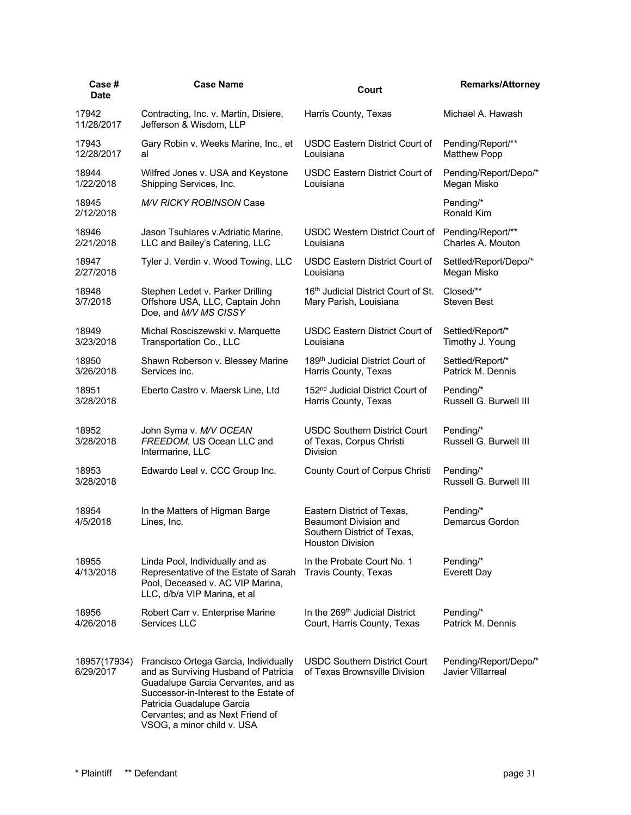| Case #<br><b>Date</b>     | <b>Case Name</b>                                                                                                                                                                                                                                             | Court                                                                                                  | <b>Remarks/Attorney</b>                           |
|---------------------------|--------------------------------------------------------------------------------------------------------------------------------------------------------------------------------------------------------------------------------------------------------------|--------------------------------------------------------------------------------------------------------|---------------------------------------------------|
| 17942<br>11/28/2017       | Contracting, Inc. v. Martin, Disiere,<br>Jefferson & Wisdom, LLP                                                                                                                                                                                             | Harris County, Texas                                                                                   | Michael A. Hawash                                 |
| 17943<br>12/28/2017       | Gary Robin v. Weeks Marine, Inc., et<br>al                                                                                                                                                                                                                   | <b>USDC Eastern District Court of</b><br>Louisiana                                                     | Pending/Report/**<br><b>Matthew Popp</b>          |
| 18944<br>1/22/2018        | Wilfred Jones v. USA and Keystone<br>Shipping Services, Inc.                                                                                                                                                                                                 | USDC Eastern District Court of<br>Louisiana                                                            | Pending/Report/Depo/*<br>Megan Misko              |
| 18945<br>2/12/2018        | <b>M/V RICKY ROBINSON Case</b>                                                                                                                                                                                                                               |                                                                                                        | Pending/*<br>Ronald Kim                           |
| 18946<br>2/21/2018        | Jason Tsuhlares v. Adriatic Marine,<br>LLC and Bailey's Catering, LLC                                                                                                                                                                                        | <b>USDC Western District Court of</b><br>Louisiana                                                     | Pending/Report/**<br>Charles A. Mouton            |
| 18947<br>2/27/2018        | Tyler J. Verdin v. Wood Towing, LLC                                                                                                                                                                                                                          | USDC Eastern District Court of<br>Louisiana                                                            | Settled/Report/Depo/*<br>Megan Misko              |
| 18948<br>3/7/2018         | Stephen Ledet v. Parker Drilling<br>Offshore USA, LLC, Captain John<br>Doe, and M/V MS CISSY                                                                                                                                                                 | 16th Judicial District Court of St.<br>Mary Parish, Louisiana                                          | Closed/**<br><b>Steven Best</b>                   |
| 18949<br>3/23/2018        | Michal Rosciszewski v. Marquette<br>Transportation Co., LLC                                                                                                                                                                                                  | <b>USDC Eastern District Court of</b><br>Louisiana                                                     | Settled/Report/*<br>Timothy J. Young              |
| 18950<br>3/26/2018        | Shawn Roberson v. Blessey Marine<br>Services inc.                                                                                                                                                                                                            | 189 <sup>th</sup> Judicial District Court of<br>Harris County, Texas                                   | Settled/Report/*<br>Patrick M. Dennis             |
| 18951<br>3/28/2018        | Eberto Castro v. Maersk Line, Ltd                                                                                                                                                                                                                            | 152 <sup>nd</sup> Judicial District Court of<br>Harris County, Texas                                   | Pending/*<br>Russell G. Burwell III               |
| 18952<br>3/28/2018        | John Syma v. M/V OCEAN<br>FREEDOM, US Ocean LLC and<br>Intermarine, LLC                                                                                                                                                                                      | <b>USDC Southern District Court</b><br>of Texas, Corpus Christi<br>Division                            | Pending/*<br>Russell G. Burwell III               |
| 18953<br>3/28/2018        | Edwardo Leal v. CCC Group Inc.                                                                                                                                                                                                                               | County Court of Corpus Christi                                                                         | Pending/*<br>Russell G. Burwell III               |
| 18954<br>4/5/2018         | In the Matters of Higman Barge<br>Lines, Inc.                                                                                                                                                                                                                | Eastern District of Texas,<br>Beaumont Division and<br>Southern District of Texas,<br>Houston Division | Pending/*<br>Demarcus Gordon                      |
| 18955<br>4/13/2018        | Linda Pool, Individually and as<br>Representative of the Estate of Sarah<br>Pool, Deceased v. AC VIP Marina,<br>LLC, d/b/a VIP Marina, et al                                                                                                                 | In the Probate Court No. 1<br>Travis County, Texas                                                     | Pending/*<br>Everett Day                          |
| 18956<br>4/26/2018        | Robert Carr v. Enterprise Marine<br>Services LLC                                                                                                                                                                                                             | In the 269 <sup>th</sup> Judicial District<br>Court, Harris County, Texas                              | Pending/*<br>Patrick M. Dennis                    |
| 18957(17934)<br>6/29/2017 | Francisco Ortega Garcia, Individually<br>and as Surviving Husband of Patricia<br>Guadalupe Garcia Cervantes, and as<br>Successor-in-Interest to the Estate of<br>Patricia Guadalupe Garcia<br>Cervantes; and as Next Friend of<br>VSOG, a minor child v. USA | <b>USDC Southern District Court</b><br>of Texas Brownsville Division                                   | Pending/Report/Depo/*<br><b>Javier Villarreal</b> |